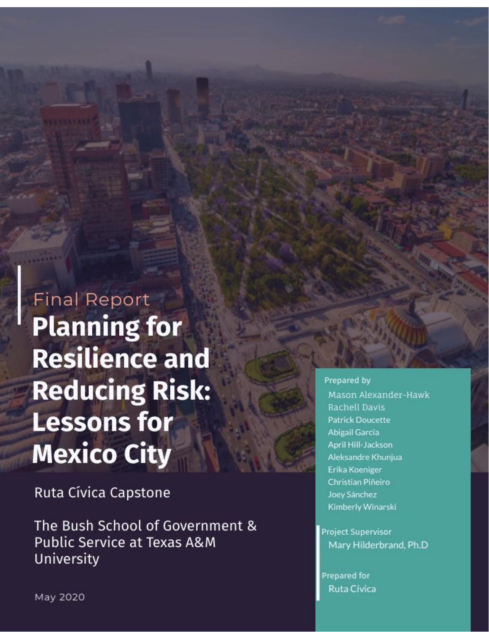**Final Report Planning for Resilience and Reducing Risk: Lessons for Mexico City** 

Ruta Cívica Capstone

The Bush School of Government & **Public Service at Texas A&M** University

#### Prepared by

Mason Alexander-Hawk Rachell Davis **Patrick Doucette** Abigail García April Hill-Jackson Aleksandre Khunjua Erika Koeniger Christian Piñeiro Joey Sánchez Kimberly Winarski

**Project Supervisor** Mary Hilderbrand, Ph.D

Prepared for Ruta Cívica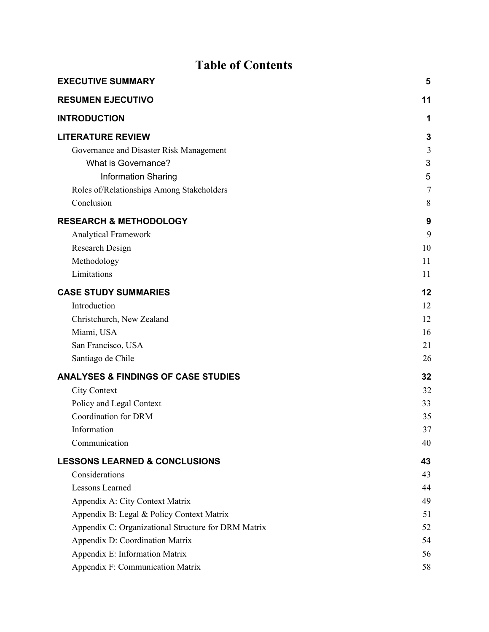# **Table of Contents**

| <b>EXECUTIVE SUMMARY</b>                            | 5              |
|-----------------------------------------------------|----------------|
| <b>RESUMEN EJECUTIVO</b>                            | 11             |
| <b>INTRODUCTION</b>                                 | 1              |
| <b>LITERATURE REVIEW</b>                            | 3              |
| Governance and Disaster Risk Management             | 3              |
| What is Governance?                                 | 3              |
| <b>Information Sharing</b>                          | 5              |
| Roles of/Relationships Among Stakeholders           | $\overline{7}$ |
| Conclusion                                          | 8              |
| <b>RESEARCH &amp; METHODOLOGY</b>                   | 9              |
| <b>Analytical Framework</b>                         | 9              |
| Research Design                                     | 10             |
| Methodology                                         | 11             |
| Limitations                                         | 11             |
| <b>CASE STUDY SUMMARIES</b>                         | 12             |
| Introduction                                        | 12             |
| Christchurch, New Zealand                           | 12             |
| Miami, USA                                          | 16             |
| San Francisco, USA                                  | 21             |
| Santiago de Chile                                   | 26             |
| <b>ANALYSES &amp; FINDINGS OF CASE STUDIES</b>      | 32             |
| <b>City Context</b>                                 | 32             |
| Policy and Legal Context                            | 33             |
| <b>Coordination for DRM</b>                         | 35             |
| Information                                         | 37             |
| Communication                                       | 40             |
| <b>LESSONS LEARNED &amp; CONCLUSIONS</b>            | 43             |
| Considerations                                      | 43             |
| <b>Lessons Learned</b>                              | 44             |
| Appendix A: City Context Matrix                     | 49             |
| Appendix B: Legal & Policy Context Matrix           | 51             |
| Appendix C: Organizational Structure for DRM Matrix | 52             |
| Appendix D: Coordination Matrix                     | 54             |
| Appendix E: Information Matrix                      | 56             |
| Appendix F: Communication Matrix                    | 58             |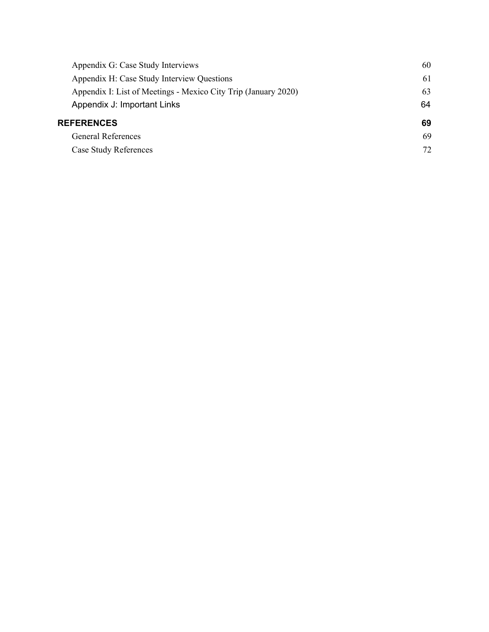| Appendix G: Case Study Interviews                              | 60 |
|----------------------------------------------------------------|----|
| Appendix H: Case Study Interview Questions                     | 61 |
| Appendix I: List of Meetings - Mexico City Trip (January 2020) | 63 |
| Appendix J: Important Links                                    | 64 |
| <b>REFERENCES</b>                                              | 69 |
| <b>General References</b>                                      | 69 |
| <b>Case Study References</b>                                   | 72 |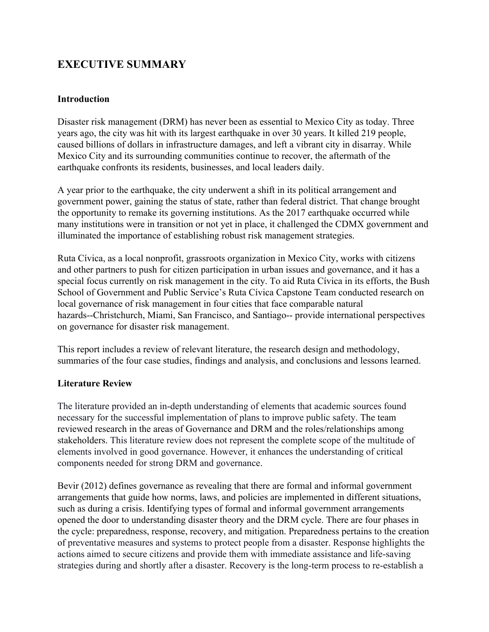## <span id="page-4-0"></span>**EXECUTIVE SUMMARY**

### **Introduction**

Disaster risk management (DRM) has never been as essential to Mexico City as today. Three years ago, the city was hit with its largest earthquake in over 30 years. It killed 219 people, caused billions of dollars in infrastructure damages, and left a vibrant city in disarray. While Mexico City and its surrounding communities continue to recover, the aftermath of the earthquake confronts its residents, businesses, and local leaders daily.

A year prior to the earthquake, the city underwent a shift in its political arrangement and government power, gaining the status of state, rather than federal district. That change brought the opportunity to remake its governing institutions. As the 2017 earthquake occurred while many institutions were in transition or not yet in place, it challenged the CDMX government and illuminated the importance of establishing robust risk management strategies.

Ruta Cívica, as a local nonprofit, grassroots organization in Mexico City, works with citizens and other partners to push for citizen participation in urban issues and governance, and it has a special focus currently on risk management in the city. To aid Ruta Cívica in its efforts, the Bush School of Government and Public Service's Ruta Cívica Capstone Team conducted research on local governance of risk management in four cities that face comparable natural hazards--Christchurch, Miami, San Francisco, and Santiago-- provide international perspectives on governance for disaster risk management.

This report includes a review of relevant literature, the research design and methodology, summaries of the four case studies, findings and analysis, and conclusions and lessons learned.

## **Literature Review**

The literature provided an in-depth understanding of elements that academic sources found necessary for the successful implementation of plans to improve public safety. The team reviewed research in the areas of Governance and DRM and the roles/relationships among stakeholders. This literature review does not represent the complete scope of the multitude of elements involved in good governance. However, it enhances the understanding of critical components needed for strong DRM and governance.

Bevir (2012) defines governance as revealing that there are formal and informal government arrangements that guide how norms, laws, and policies are implemented in different situations, such as during a crisis. Identifying types of formal and informal government arrangements opened the door to understanding disaster theory and the DRM cycle. There are four phases in the cycle: preparedness, response, recovery, and mitigation. Preparedness pertains to the creation of preventative measures and systems to protect people from a disaster. Response highlights the actions aimed to secure citizens and provide them with immediate assistance and life-saving strategies during and shortly after a disaster. Recovery is the long-term process to re-establish a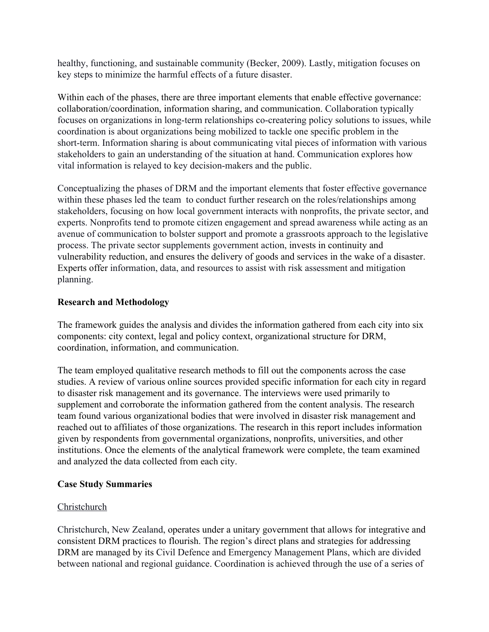healthy, functioning, and sustainable community (Becker, 2009). Lastly, mitigation focuses on key steps to minimize the harmful effects of a future disaster.

Within each of the phases, there are three important elements that enable effective governance: collaboration/coordination, information sharing, and communication. Collaboration typically focuses on organizations in long-term relationships co-createring policy solutions to issues, while coordination is about organizations being mobilized to tackle one specific problem in the short-term. Information sharing is about communicating vital pieces of information with various stakeholders to gain an understanding of the situation at hand. Communication explores how vital information is relayed to key decision-makers and the public.

Conceptualizing the phases of DRM and the important elements that foster effective governance within these phases led the team to conduct further research on the roles/relationships among stakeholders, focusing on how local government interacts with nonprofits, the private sector, and experts. Nonprofits tend to promote citizen engagement and spread awareness while acting as an avenue of communication to bolster support and promote a grassroots approach to the legislative process. The private sector supplements government action, invests in continuity and vulnerability reduction, and ensures the delivery of goods and services in the wake of a disaster. Experts offer information, data, and resources to assist with risk assessment and mitigation planning.

## **Research and Methodology**

The framework guides the analysis and divides the information gathered from each city into six components: city context, legal and policy context, organizational structure for DRM, coordination, information, and communication.

The team employed qualitative research methods to fill out the components across the case studies. A review of various online sources provided specific information for each city in regard to disaster risk management and its governance. The interviews were used primarily to supplement and corroborate the information gathered from the content analysis. The research team found various organizational bodies that were involved in disaster risk management and reached out to affiliates of those organizations. The research in this report includes information given by respondents from governmental organizations, nonprofits, universities, and other institutions. Once the elements of the analytical framework were complete, the team examined and analyzed the data collected from each city.

## **Case Study Summaries**

## Christchurch

Christchurch, New Zealand, operates under a unitary government that allows for integrative and consistent DRM practices to flourish. The region's direct plans and strategies for addressing DRM are managed by its Civil Defence and Emergency Management Plans, which are divided between national and regional guidance. Coordination is achieved through the use of a series of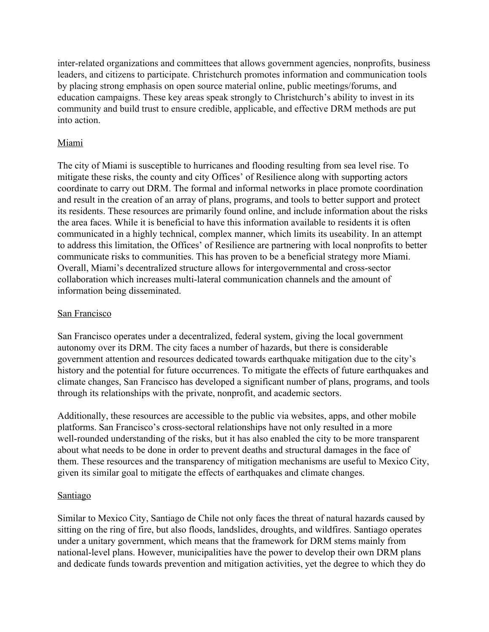inter-related organizations and committees that allows government agencies, nonprofits, business leaders, and citizens to participate. Christchurch promotes information and communication tools by placing strong emphasis on open source material online, public meetings/forums, and education campaigns. These key areas speak strongly to Christchurch's ability to invest in its community and build trust to ensure credible, applicable, and effective DRM methods are put into action.

## Miami

The city of Miami is susceptible to hurricanes and flooding resulting from sea level rise. To mitigate these risks, the county and city Offices' of Resilience along with supporting actors coordinate to carry out DRM. The formal and informal networks in place promote coordination and result in the creation of an array of plans, programs, and tools to better support and protect its residents. These resources are primarily found online, and include information about the risks the area faces. While it is beneficial to have this information available to residents it is often communicated in a highly technical, complex manner, which limits its useability. In an attempt to address this limitation, the Offices' of Resilience are partnering with local nonprofits to better communicate risks to communities. This has proven to be a beneficial strategy more Miami. Overall, Miami's decentralized structure allows for intergovernmental and cross-sector collaboration which increases multi-lateral communication channels and the amount of information being disseminated.

## San Francisco

San Francisco operates under a decentralized, federal system, giving the local government autonomy over its DRM. The city faces a number of hazards, but there is considerable government attention and resources dedicated towards earthquake mitigation due to the city's history and the potential for future occurrences. To mitigate the effects of future earthquakes and climate changes, San Francisco has developed a significant number of plans, programs, and tools through its relationships with the private, nonprofit, and academic sectors.

Additionally, these resources are accessible to the public via websites, apps, and other mobile platforms. San Francisco's cross-sectoral relationships have not only resulted in a more well-rounded understanding of the risks, but it has also enabled the city to be more transparent about what needs to be done in order to prevent deaths and structural damages in the face of them. These resources and the transparency of mitigation mechanisms are useful to Mexico City, given its similar goal to mitigate the effects of earthquakes and climate changes.

## **Santiago**

Similar to Mexico City, Santiago de Chile not only faces the threat of natural hazards caused by sitting on the ring of fire, but also floods, landslides, droughts, and wildfires. Santiago operates under a unitary government, which means that the framework for DRM stems mainly from national-level plans. However, municipalities have the power to develop their own DRM plans and dedicate funds towards prevention and mitigation activities, yet the degree to which they do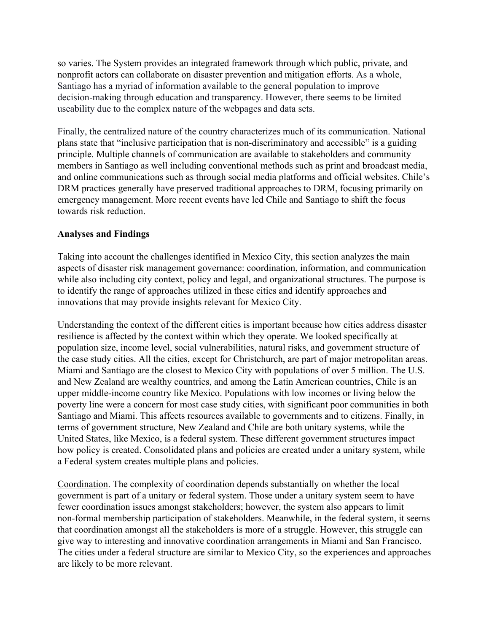so varies. The System provides an integrated framework through which public, private, and nonprofit actors can collaborate on disaster prevention and mitigation efforts. As a whole, Santiago has a myriad of information available to the general population to improve decision-making through education and transparency. However, there seems to be limited useability due to the complex nature of the webpages and data sets.

Finally, the centralized nature of the country characterizes much of its communication. National plans state that "inclusive participation that is non-discriminatory and accessible" is a guiding principle. Multiple channels of communication are available to stakeholders and community members in Santiago as well including conventional methods such as print and broadcast media, and online communications such as through social media platforms and official websites. Chile's DRM practices generally have preserved traditional approaches to DRM, focusing primarily on emergency management. More recent events have led Chile and Santiago to shift the focus towards risk reduction.

## **Analyses and Findings**

Taking into account the challenges identified in Mexico City, this section analyzes the main aspects of disaster risk management governance: coordination, information, and communication while also including city context, policy and legal, and organizational structures. The purpose is to identify the range of approaches utilized in these cities and identify approaches and innovations that may provide insights relevant for Mexico City.

Understanding the context of the different cities is important because how cities address disaster resilience is affected by the context within which they operate. We looked specifically at population size, income level, social vulnerabilities, natural risks, and government structure of the case study cities. All the cities, except for Christchurch, are part of major metropolitan areas. Miami and Santiago are the closest to Mexico City with populations of over 5 million. The U.S. and New Zealand are wealthy countries, and among the Latin American countries, Chile is an upper middle-income country like Mexico. Populations with low incomes or living below the poverty line were a concern for most case study cities, with significant poor communities in both Santiago and Miami. This affects resources available to governments and to citizens. Finally, in terms of government structure, New Zealand and Chile are both unitary systems, while the United States, like Mexico, is a federal system. These different government structures impact how policy is created. Consolidated plans and policies are created under a unitary system, while a Federal system creates multiple plans and policies.

Coordination. The complexity of coordination depends substantially on whether the local government is part of a unitary or federal system. Those under a unitary system seem to have fewer coordination issues amongst stakeholders; however, the system also appears to limit non-formal membership participation of stakeholders. Meanwhile, in the federal system, it seems that coordination amongst all the stakeholders is more of a struggle. However, this struggle can give way to interesting and innovative coordination arrangements in Miami and San Francisco. The cities under a federal structure are similar to Mexico City, so the experiences and approaches are likely to be more relevant.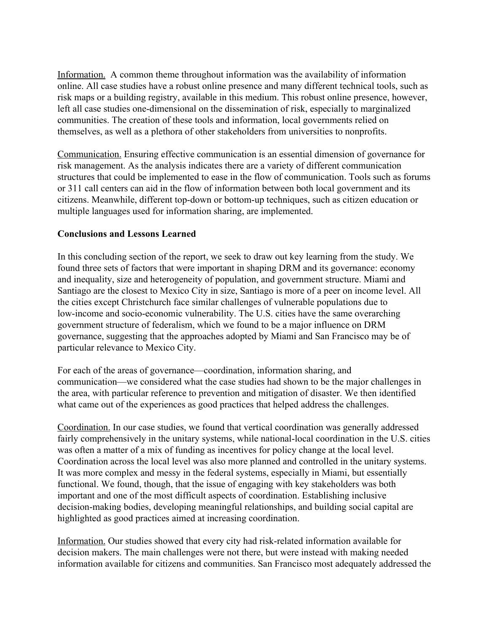Information. A common theme throughout information was the availability of information online. All case studies have a robust online presence and many different technical tools, such as risk maps or a building registry, available in this medium. This robust online presence, however, left all case studies one-dimensional on the dissemination of risk, especially to marginalized communities. The creation of these tools and information, local governments relied on themselves, as well as a plethora of other stakeholders from universities to nonprofits.

Communication. Ensuring effective communication is an essential dimension of governance for risk management. As the analysis indicates there are a variety of different communication structures that could be implemented to ease in the flow of communication. Tools such as forums or 311 call centers can aid in the flow of information between both local government and its citizens. Meanwhile, different top-down or bottom-up techniques, such as citizen education or multiple languages used for information sharing, are implemented.

## **Conclusions and Lessons Learned**

In this concluding section of the report, we seek to draw out key learning from the study. We found three sets of factors that were important in shaping DRM and its governance: economy and inequality, size and heterogeneity of population, and government structure. Miami and Santiago are the closest to Mexico City in size, Santiago is more of a peer on income level. All the cities except Christchurch face similar challenges of vulnerable populations due to low-income and socio-economic vulnerability. The U.S. cities have the same overarching government structure of federalism, which we found to be a major influence on DRM governance, suggesting that the approaches adopted by Miami and San Francisco may be of particular relevance to Mexico City.

For each of the areas of governance—coordination, information sharing, and communication—we considered what the case studies had shown to be the major challenges in the area, with particular reference to prevention and mitigation of disaster. We then identified what came out of the experiences as good practices that helped address the challenges.

Coordination. In our case studies, we found that vertical coordination was generally addressed fairly comprehensively in the unitary systems, while national-local coordination in the U.S. cities was often a matter of a mix of funding as incentives for policy change at the local level. Coordination across the local level was also more planned and controlled in the unitary systems. It was more complex and messy in the federal systems, especially in Miami, but essentially functional. We found, though, that the issue of engaging with key stakeholders was both important and one of the most difficult aspects of coordination. Establishing inclusive decision-making bodies, developing meaningful relationships, and building social capital are highlighted as good practices aimed at increasing coordination.

Information. Our studies showed that every city had risk-related information available for decision makers. The main challenges were not there, but were instead with making needed information available for citizens and communities. San Francisco most adequately addressed the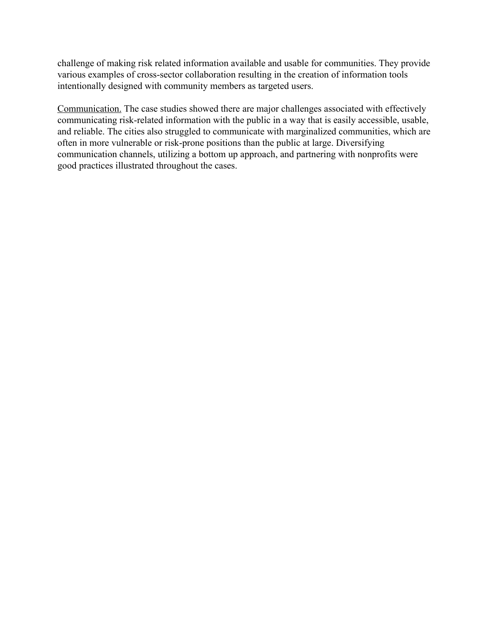challenge of making risk related information available and usable for communities. They provide various examples of cross-sector collaboration resulting in the creation of information tools intentionally designed with community members as targeted users.

Communication. The case studies showed there are major challenges associated with effectively communicating risk-related information with the public in a way that is easily accessible, usable, and reliable. The cities also struggled to communicate with marginalized communities, which are often in more vulnerable or risk-prone positions than the public at large. Diversifying communication channels, utilizing a bottom up approach, and partnering with nonprofits were good practices illustrated throughout the cases.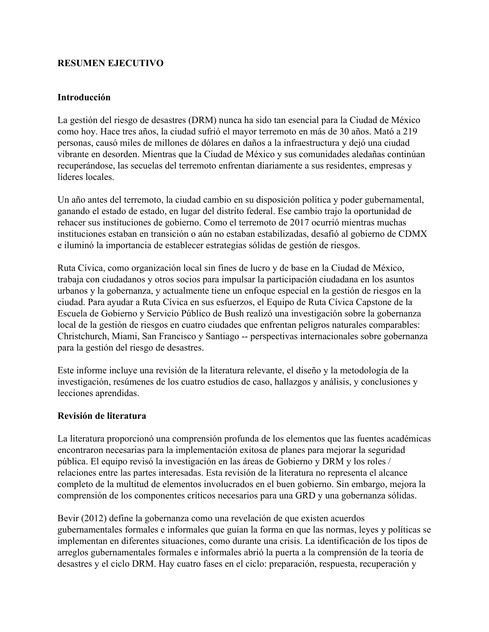## <span id="page-10-0"></span>**RESUMEN EJECUTIVO**

#### **Introducción**

La gestión del riesgo de desastres (DRM) nunca ha sido tan esencial para la Ciudad de México como hoy. Hace tres años, la ciudad sufrió el mayor terremoto en más de 30 años. Mató a 219 personas, causó miles de millones de dólares en daños a la infraestructura y dejó una ciudad vibrante en desorden. Mientras que la Ciudad de México y sus comunidades aledañas continúan recuperándose, las secuelas del terremoto enfrentan diariamente a sus residentes, empresas y líderes locales.

Un año antes del terremoto, la ciudad cambio en su disposición política y poder gubernamental, ganando el estado de estado, en lugar del distrito federal. Ese cambio trajo la oportunidad de rehacer sus instituciones de gobierno. Como el terremoto de 2017 ocurrió mientras muchas instituciones estaban en transición o aún no estaban estabilizadas, desafió al gobierno de CDMX e iluminó la importancia de establecer estrategias sólidas de gestión de riesgos.

Ruta Cívica, como organización local sin fines de lucro y de base en la Ciudad de México, trabaja con ciudadanos y otros socios para impulsar la participación ciudadana en los asuntos urbanos y la gobernanza, y actualmente tiene un enfoque especial en la gestión de riesgos en la ciudad. Para ayudar a Ruta Cívica en sus esfuerzos, el Equipo de Ruta Cívica Capstone de la Escuela de Gobierno y Servicio Público de Bush realizó una investigación sobre la gobernanza local de la gestión de riesgos en cuatro ciudades que enfrentan peligros naturales comparables: Christchurch, Miami, San Francisco y Santiago -- perspectivas internacionales sobre gobernanza para la gestión del riesgo de desastres.

Este informe incluye una revisión de la literatura relevante, el diseño y la metodología de la investigación, resúmenes de los cuatro estudios de caso, hallazgos y análisis, y conclusiones y lecciones aprendidas.

#### **Revisión de literatura**

La literatura proporcionó una comprensión profunda de los elementos que las fuentes académicas encontraron necesarias para la implementación exitosa de planes para mejorar la seguridad pública. El equipo revisó la investigación en las áreas de Gobierno y DRM y los roles / relaciones entre las partes interesadas. Esta revisión de la literatura no representa el alcance completo de la multitud de elementos involucrados en el buen gobierno. Sin embargo, mejora la comprensión de los componentes críticos necesarios para una GRD y una gobernanza sólidas.

Bevir (2012) define la gobernanza como una revelación de que existen acuerdos gubernamentales formales e informales que guían la forma en que las normas, leyes y políticas se implementan en diferentes situaciones, como durante una crisis. La identificación de los tipos de arreglos gubernamentales formales e informales abrió la puerta a la comprensión de la teoría de desastres y el ciclo DRM. Hay cuatro fases en el ciclo: preparación, respuesta, recuperación y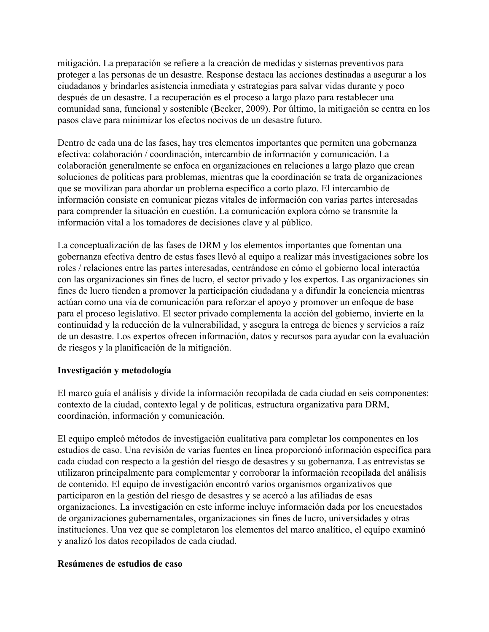mitigación. La preparación se refiere a la creación de medidas y sistemas preventivos para proteger a las personas de un desastre. Response destaca las acciones destinadas a asegurar a los ciudadanos y brindarles asistencia inmediata y estrategias para salvar vidas durante y poco después de un desastre. La recuperación es el proceso a largo plazo para restablecer una comunidad sana, funcional y sostenible (Becker, 2009). Por último, la mitigación se centra en los pasos clave para minimizar los efectos nocivos de un desastre futuro.

Dentro de cada una de las fases, hay tres elementos importantes que permiten una gobernanza efectiva: colaboración / coordinación, intercambio de información y comunicación. La colaboración generalmente se enfoca en organizaciones en relaciones a largo plazo que crean soluciones de políticas para problemas, mientras que la coordinación se trata de organizaciones que se movilizan para abordar un problema específico a corto plazo. El intercambio de información consiste en comunicar piezas vitales de información con varias partes interesadas para comprender la situación en cuestión. La comunicación explora cómo se transmite la información vital a los tomadores de decisiones clave y al público.

La conceptualización de las fases de DRM y los elementos importantes que fomentan una gobernanza efectiva dentro de estas fases llevó al equipo a realizar más investigaciones sobre los roles / relaciones entre las partes interesadas, centrándose en cómo el gobierno local interactúa con las organizaciones sin fines de lucro, el sector privado y los expertos. Las organizaciones sin fines de lucro tienden a promover la participación ciudadana y a difundir la conciencia mientras actúan como una vía de comunicación para reforzar el apoyo y promover un enfoque de base para el proceso legislativo. El sector privado complementa la acción del gobierno, invierte en la continuidad y la reducción de la vulnerabilidad, y asegura la entrega de bienes y servicios a raíz de un desastre. Los expertos ofrecen información, datos y recursos para ayudar con la evaluación de riesgos y la planificación de la mitigación.

## **Investigación y metodología**

El marco guía el análisis y divide la información recopilada de cada ciudad en seis componentes: contexto de la ciudad, contexto legal y de políticas, estructura organizativa para DRM, coordinación, información y comunicación.

El equipo empleó métodos de investigación cualitativa para completar los componentes en los estudios de caso. Una revisión de varias fuentes en línea proporcionó información específica para cada ciudad con respecto a la gestión del riesgo de desastres y su gobernanza. Las entrevistas se utilizaron principalmente para complementar y corroborar la información recopilada del análisis de contenido. El equipo de investigación encontró varios organismos organizativos que participaron en la gestión del riesgo de desastres y se acercó a las afiliadas de esas organizaciones. La investigación en este informe incluye información dada por los encuestados de organizaciones gubernamentales, organizaciones sin fines de lucro, universidades y otras instituciones. Una vez que se completaron los elementos del marco analítico, el equipo examinó y analizó los datos recopilados de cada ciudad.

#### **Resúmenes de estudios de caso**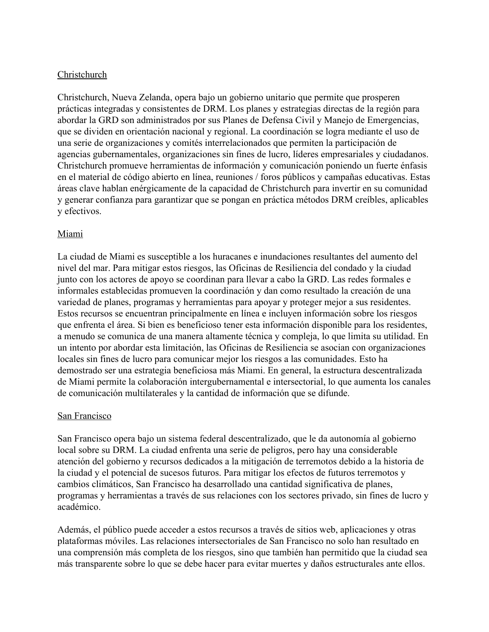## **Christchurch**

Christchurch, Nueva Zelanda, opera bajo un gobierno unitario que permite que prosperen prácticas integradas y consistentes de DRM. Los planes y estrategias directas de la región para abordar la GRD son administrados por sus Planes de Defensa Civil y Manejo de Emergencias, que se dividen en orientación nacional y regional. La coordinación se logra mediante el uso de una serie de organizaciones y comités interrelacionados que permiten la participación de agencias gubernamentales, organizaciones sin fines de lucro, líderes empresariales y ciudadanos. Christchurch promueve herramientas de información y comunicación poniendo un fuerte énfasis en el material de código abierto en línea, reuniones / foros públicos y campañas educativas. Estas áreas clave hablan enérgicamente de la capacidad de Christchurch para invertir en su comunidad y generar confianza para garantizar que se pongan en práctica métodos DRM creíbles, aplicables y efectivos.

## Miami

La ciudad de Miami es susceptible a los huracanes e inundaciones resultantes del aumento del nivel del mar. Para mitigar estos riesgos, las Oficinas de Resiliencia del condado y la ciudad junto con los actores de apoyo se coordinan para llevar a cabo la GRD. Las redes formales e informales establecidas promueven la coordinación y dan como resultado la creación de una variedad de planes, programas y herramientas para apoyar y proteger mejor a sus residentes. Estos recursos se encuentran principalmente en línea e incluyen información sobre los riesgos que enfrenta el área. Si bien es beneficioso tener esta información disponible para los residentes, a menudo se comunica de una manera altamente técnica y compleja, lo que limita su utilidad. En un intento por abordar esta limitación, las Oficinas de Resiliencia se asocian con organizaciones locales sin fines de lucro para comunicar mejor los riesgos a las comunidades. Esto ha demostrado ser una estrategia beneficiosa más Miami. En general, la estructura descentralizada de Miami permite la colaboración intergubernamental e intersectorial, lo que aumenta los canales de comunicación multilaterales y la cantidad de información que se difunde.

#### San Francisco

San Francisco opera bajo un sistema federal descentralizado, que le da autonomía al gobierno local sobre su DRM. La ciudad enfrenta una serie de peligros, pero hay una considerable atención del gobierno y recursos dedicados a la mitigación de terremotos debido a la historia de la ciudad y el potencial de sucesos futuros. Para mitigar los efectos de futuros terremotos y cambios climáticos, San Francisco ha desarrollado una cantidad significativa de planes, programas y herramientas a través de sus relaciones con los sectores privado, sin fines de lucro y académico.

Además, el público puede acceder a estos recursos a través de sitios web, aplicaciones y otras plataformas móviles. Las relaciones intersectoriales de San Francisco no solo han resultado en una comprensión más completa de los riesgos, sino que también han permitido que la ciudad sea más transparente sobre lo que se debe hacer para evitar muertes y daños estructurales ante ellos.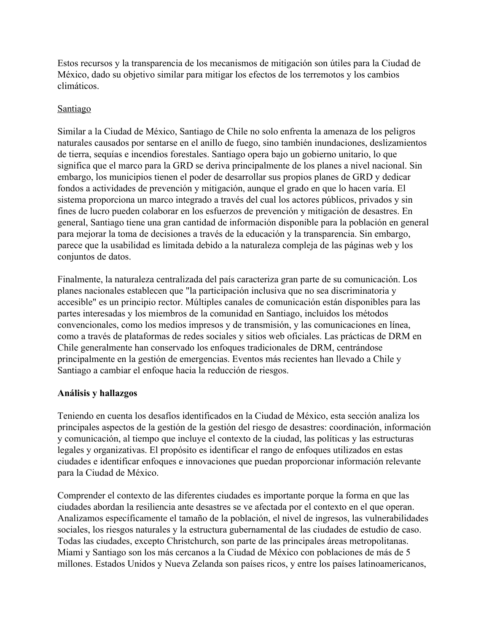Estos recursos y la transparencia de los mecanismos de mitigación son útiles para la Ciudad de México, dado su objetivo similar para mitigar los efectos de los terremotos y los cambios climáticos.

### Santiago

Similar a la Ciudad de México, Santiago de Chile no solo enfrenta la amenaza de los peligros naturales causados por sentarse en el anillo de fuego, sino también inundaciones, deslizamientos de tierra, sequías e incendios forestales. Santiago opera bajo un gobierno unitario, lo que significa que el marco para la GRD se deriva principalmente de los planes a nivel nacional. Sin embargo, los municipios tienen el poder de desarrollar sus propios planes de GRD y dedicar fondos a actividades de prevención y mitigación, aunque el grado en que lo hacen varía. El sistema proporciona un marco integrado a través del cual los actores públicos, privados y sin fines de lucro pueden colaborar en los esfuerzos de prevención y mitigación de desastres. En general, Santiago tiene una gran cantidad de información disponible para la población en general para mejorar la toma de decisiones a través de la educación y la transparencia. Sin embargo, parece que la usabilidad es limitada debido a la naturaleza compleja de las páginas web y los conjuntos de datos.

Finalmente, la naturaleza centralizada del país caracteriza gran parte de su comunicación. Los planes nacionales establecen que "la participación inclusiva que no sea discriminatoria y accesible" es un principio rector. Múltiples canales de comunicación están disponibles para las partes interesadas y los miembros de la comunidad en Santiago, incluidos los métodos convencionales, como los medios impresos y de transmisión, y las comunicaciones en línea, como a través de plataformas de redes sociales y sitios web oficiales. Las prácticas de DRM en Chile generalmente han conservado los enfoques tradicionales de DRM, centrándose principalmente en la gestión de emergencias. Eventos más recientes han llevado a Chile y Santiago a cambiar el enfoque hacia la reducción de riesgos.

## **Análisis y hallazgos**

Teniendo en cuenta los desafíos identificados en la Ciudad de México, esta sección analiza los principales aspectos de la gestión de la gestión del riesgo de desastres: coordinación, información y comunicación, al tiempo que incluye el contexto de la ciudad, las políticas y las estructuras legales y organizativas. El propósito es identificar el rango de enfoques utilizados en estas ciudades e identificar enfoques e innovaciones que puedan proporcionar información relevante para la Ciudad de México.

Comprender el contexto de las diferentes ciudades es importante porque la forma en que las ciudades abordan la resiliencia ante desastres se ve afectada por el contexto en el que operan. Analizamos específicamente el tamaño de la población, el nivel de ingresos, las vulnerabilidades sociales, los riesgos naturales y la estructura gubernamental de las ciudades de estudio de caso. Todas las ciudades, excepto Christchurch, son parte de las principales áreas metropolitanas. Miami y Santiago son los más cercanos a la Ciudad de México con poblaciones de más de 5 millones. Estados Unidos y Nueva Zelanda son países ricos, y entre los países latinoamericanos,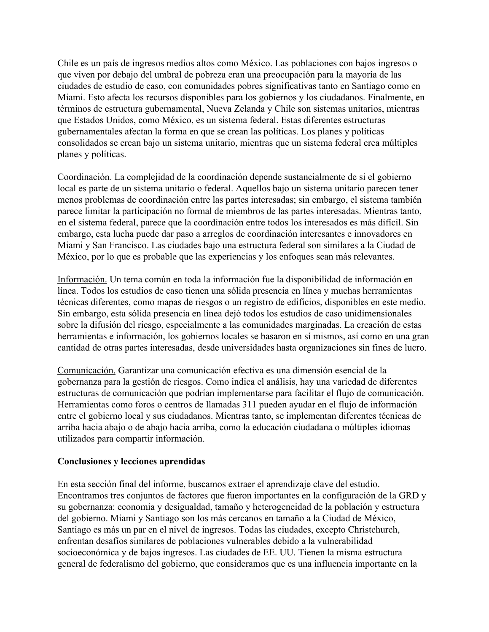Chile es un país de ingresos medios altos como México. Las poblaciones con bajos ingresos o que viven por debajo del umbral de pobreza eran una preocupación para la mayoría de las ciudades de estudio de caso, con comunidades pobres significativas tanto en Santiago como en Miami. Esto afecta los recursos disponibles para los gobiernos y los ciudadanos. Finalmente, en términos de estructura gubernamental, Nueva Zelanda y Chile son sistemas unitarios, mientras que Estados Unidos, como México, es un sistema federal. Estas diferentes estructuras gubernamentales afectan la forma en que se crean las políticas. Los planes y políticas consolidados se crean bajo un sistema unitario, mientras que un sistema federal crea múltiples planes y políticas.

Coordinación. La complejidad de la coordinación depende sustancialmente de si el gobierno local es parte de un sistema unitario o federal. Aquellos bajo un sistema unitario parecen tener menos problemas de coordinación entre las partes interesadas; sin embargo, el sistema también parece limitar la participación no formal de miembros de las partes interesadas. Mientras tanto, en el sistema federal, parece que la coordinación entre todos los interesados es más difícil. Sin embargo, esta lucha puede dar paso a arreglos de coordinación interesantes e innovadores en Miami y San Francisco. Las ciudades bajo una estructura federal son similares a la Ciudad de México, por lo que es probable que las experiencias y los enfoques sean más relevantes.

Información. Un tema común en toda la información fue la disponibilidad de información en línea. Todos los estudios de caso tienen una sólida presencia en línea y muchas herramientas técnicas diferentes, como mapas de riesgos o un registro de edificios, disponibles en este medio. Sin embargo, esta sólida presencia en línea dejó todos los estudios de caso unidimensionales sobre la difusión del riesgo, especialmente a las comunidades marginadas. La creación de estas herramientas e información, los gobiernos locales se basaron en sí mismos, así como en una gran cantidad de otras partes interesadas, desde universidades hasta organizaciones sin fines de lucro.

Comunicación. Garantizar una comunicación efectiva es una dimensión esencial de la gobernanza para la gestión de riesgos. Como indica el análisis, hay una variedad de diferentes estructuras de comunicación que podrían implementarse para facilitar el flujo de comunicación. Herramientas como foros o centros de llamadas 311 pueden ayudar en el flujo de información entre el gobierno local y sus ciudadanos. Mientras tanto, se implementan diferentes técnicas de arriba hacia abajo o de abajo hacia arriba, como la educación ciudadana o múltiples idiomas utilizados para compartir información.

#### **Conclusiones y lecciones aprendidas**

En esta sección final del informe, buscamos extraer el aprendizaje clave del estudio. Encontramos tres conjuntos de factores que fueron importantes en la configuración de la GRD y su gobernanza: economía y desigualdad, tamaño y heterogeneidad de la población y estructura del gobierno. Miami y Santiago son los más cercanos en tamaño a la Ciudad de México, Santiago es más un par en el nivel de ingresos. Todas las ciudades, excepto Christchurch, enfrentan desafíos similares de poblaciones vulnerables debido a la vulnerabilidad socioeconómica y de bajos ingresos. Las ciudades de EE. UU. Tienen la misma estructura general de federalismo del gobierno, que consideramos que es una influencia importante en la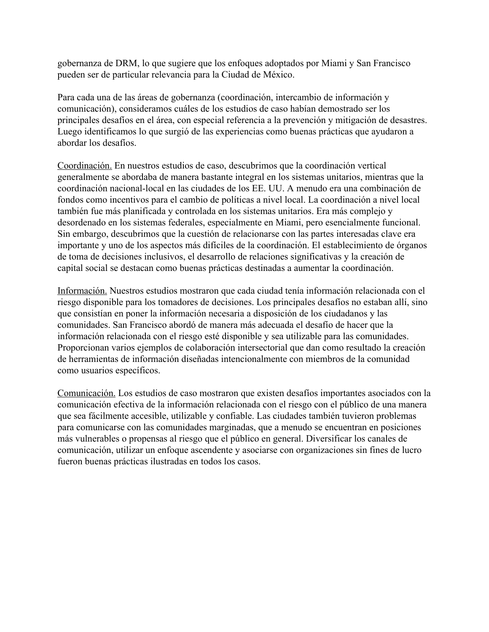gobernanza de DRM, lo que sugiere que los enfoques adoptados por Miami y San Francisco pueden ser de particular relevancia para la Ciudad de México.

Para cada una de las áreas de gobernanza (coordinación, intercambio de información y comunicación), consideramos cuáles de los estudios de caso habían demostrado ser los principales desafíos en el área, con especial referencia a la prevención y mitigación de desastres. Luego identificamos lo que surgió de las experiencias como buenas prácticas que ayudaron a abordar los desafíos.

Coordinación. En nuestros estudios de caso, descubrimos que la coordinación vertical generalmente se abordaba de manera bastante integral en los sistemas unitarios, mientras que la coordinación nacional-local en las ciudades de los EE. UU. A menudo era una combinación de fondos como incentivos para el cambio de políticas a nivel local. La coordinación a nivel local también fue más planificada y controlada en los sistemas unitarios. Era más complejo y desordenado en los sistemas federales, especialmente en Miami, pero esencialmente funcional. Sin embargo, descubrimos que la cuestión de relacionarse con las partes interesadas clave era importante y uno de los aspectos más difíciles de la coordinación. El establecimiento de órganos de toma de decisiones inclusivos, el desarrollo de relaciones significativas y la creación de capital social se destacan como buenas prácticas destinadas a aumentar la coordinación.

Información. Nuestros estudios mostraron que cada ciudad tenía información relacionada con el riesgo disponible para los tomadores de decisiones. Los principales desafíos no estaban allí, sino que consistían en poner la información necesaria a disposición de los ciudadanos y las comunidades. San Francisco abordó de manera más adecuada el desafío de hacer que la información relacionada con el riesgo esté disponible y sea utilizable para las comunidades. Proporcionan varios ejemplos de colaboración intersectorial que dan como resultado la creación de herramientas de información diseñadas intencionalmente con miembros de la comunidad como usuarios específicos.

Comunicación. Los estudios de caso mostraron que existen desafíos importantes asociados con la comunicación efectiva de la información relacionada con el riesgo con el público de una manera que sea fácilmente accesible, utilizable y confiable. Las ciudades también tuvieron problemas para comunicarse con las comunidades marginadas, que a menudo se encuentran en posiciones más vulnerables o propensas al riesgo que el público en general. Diversificar los canales de comunicación, utilizar un enfoque ascendente y asociarse con organizaciones sin fines de lucro fueron buenas prácticas ilustradas en todos los casos.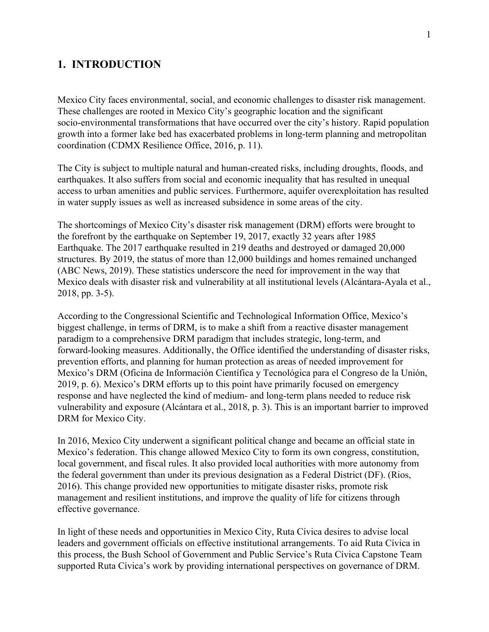## <span id="page-16-0"></span>**1. INTRODUCTION**

Mexico City faces environmental, social, and economic challenges to disaster risk management. These challenges are rooted in Mexico City's geographic location and the significant socio-environmental transformations that have occurred over the city's history. Rapid population growth into a former lake bed has exacerbated problems in long-term planning and metropolitan coordination (CDMX Resilience Office, 2016, p. 11).

The City is subject to multiple natural and human-created risks, including droughts, floods, and earthquakes. It also suffers from social and economic inequality that has resulted in unequal access to urban amenities and public services. Furthermore, aquifer overexploitation has resulted in water supply issues as well as increased subsidence in some areas of the city.

The shortcomings of Mexico City's disaster risk management (DRM) efforts were brought to the forefront by the earthquake on September 19, 2017, exactly 32 years after 1985 Earthquake. The 2017 earthquake resulted in 219 deaths and destroyed or damaged 20,000 structures. By 2019, the status of more than 12,000 buildings and homes remained unchanged (ABC News, 2019). These statistics underscore the need for improvement in the way that Mexico deals with disaster risk and vulnerability at all institutional levels (Alcántara-Ayala et al., 2018, pp. 3-5).

According to the Congressional Scientific and Technological Information Office, Mexico's biggest challenge, in terms of DRM, is to make a shift from a reactive disaster management paradigm to a comprehensive DRM paradigm that includes strategic, long-term, and forward-looking measures. Additionally, the Office identified the understanding of disaster risks, prevention efforts, and planning for human protection as areas of needed improvement for Mexico's DRM (Oficina de Información Científica y Tecnológica para el Congreso de la Unión, 2019, p. 6). Mexico's DRM efforts up to this point have primarily focused on emergency response and have neglected the kind of medium- and long-term plans needed to reduce risk vulnerability and exposure (Alcántara et al., 2018, p. 3). This is an important barrier to improved DRM for Mexico City.

In 2016, Mexico City underwent a significant political change and became an official state in Mexico's federation. This change allowed Mexico City to form its own congress, constitution, local government, and fiscal rules. It also provided local authorities with more autonomy from the federal government than under its previous designation as a Federal District (DF). (Rios, 2016). This change provided new opportunities to mitigate disaster risks, promote risk management and resilient institutions, and improve the quality of life for citizens through effective governance.

In light of these needs and opportunities in Mexico City, Ruta Cívica desires to advise local leaders and government officials on effective institutional arrangements. To aid Ruta Cívica in this process, the Bush School of Government and Public Service's Ruta Cívica Capstone Team supported Ruta Cívica's work by providing international perspectives on governance of DRM.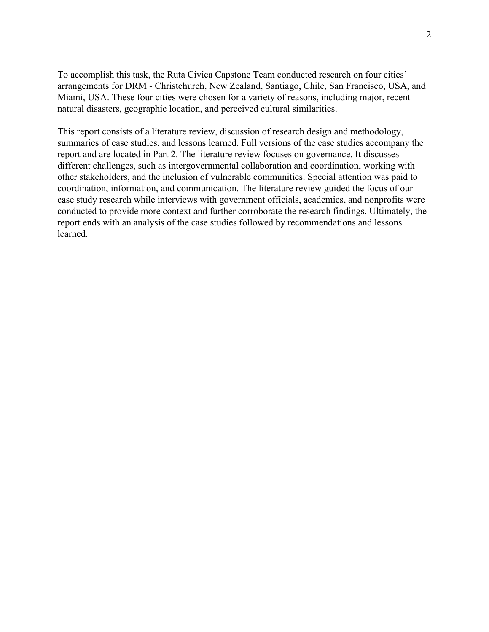To accomplish this task, the Ruta Cívica Capstone Team conducted research on four cities' arrangements for DRM - Christchurch, New Zealand, Santiago, Chile, San Francisco, USA, and Miami, USA. These four cities were chosen for a variety of reasons, including major, recent natural disasters, geographic location, and perceived cultural similarities.

This report consists of a literature review, discussion of research design and methodology, summaries of case studies, and lessons learned. Full versions of the case studies accompany the report and are located in Part 2. The literature review focuses on governance. It discusses different challenges, such as intergovernmental collaboration and coordination, working with other stakeholders, and the inclusion of vulnerable communities. Special attention was paid to coordination, information, and communication. The literature review guided the focus of our case study research while interviews with government officials, academics, and nonprofits were conducted to provide more context and further corroborate the research findings. Ultimately, the report ends with an analysis of the case studies followed by recommendations and lessons learned.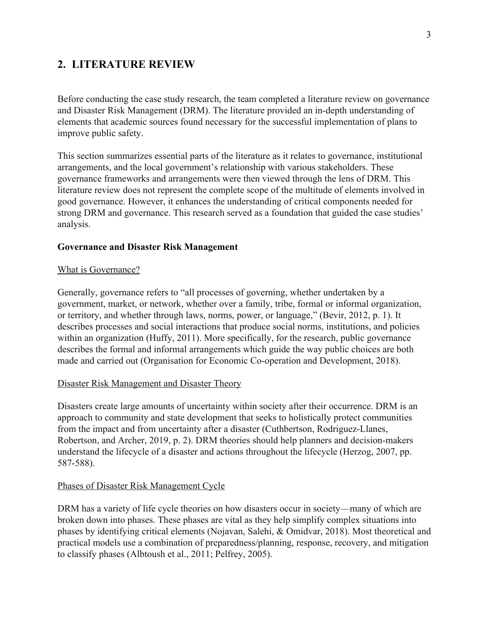## <span id="page-18-0"></span>**2. LITERATURE REVIEW**

Before conducting the case study research, the team completed a literature review on governance and Disaster Risk Management (DRM). The literature provided an in-depth understanding of elements that academic sources found necessary for the successful implementation of plans to improve public safety.

This section summarizes essential parts of the literature as it relates to governance, institutional arrangements, and the local government's relationship with various stakeholders. These governance frameworks and arrangements were then viewed through the lens of DRM. This literature review does not represent the complete scope of the multitude of elements involved in good governance. However, it enhances the understanding of critical components needed for strong DRM and governance. This research served as a foundation that guided the case studies' analysis.

#### <span id="page-18-1"></span>**Governance and Disaster Risk Management**

#### <span id="page-18-2"></span>What is Governance?

Generally, governance refers to "all processes of governing, whether undertaken by a government, market, or network, whether over a family, tribe, formal or informal organization, or territory, and whether through laws, norms, power, or language," (Bevir, 2012, p. 1). It describes processes and social interactions that produce social norms, institutions, and policies within an organization (Huffy, 2011). More specifically, for the research, public governance describes the formal and informal arrangements which guide the way public choices are both made and carried out (Organisation for Economic Co-operation and Development, 2018).

#### Disaster Risk Management and Disaster Theory

Disasters create large amounts of uncertainty within society after their occurrence. DRM is an approach to community and state development that seeks to holistically protect communities from the impact and from uncertainty after a disaster (Cuthbertson, Rodriguez-Llanes, Robertson, and Archer, 2019, p. 2). DRM theories should help planners and decision-makers understand the lifecycle of a disaster and actions throughout the lifecycle (Herzog, 2007, pp. 587-588).

#### Phases of Disaster Risk Management Cycle

DRM has a variety of life cycle theories on how disasters occur in society—many of which are broken down into phases. These phases are vital as they help simplify complex situations into phases by identifying critical elements (Nojavan, Salehi, & Omidvar, 2018). Most theoretical and practical models use a combination of preparedness/planning, response, recovery, and mitigation to classify phases (Albtoush et al., 2011; Pelfrey, 2005).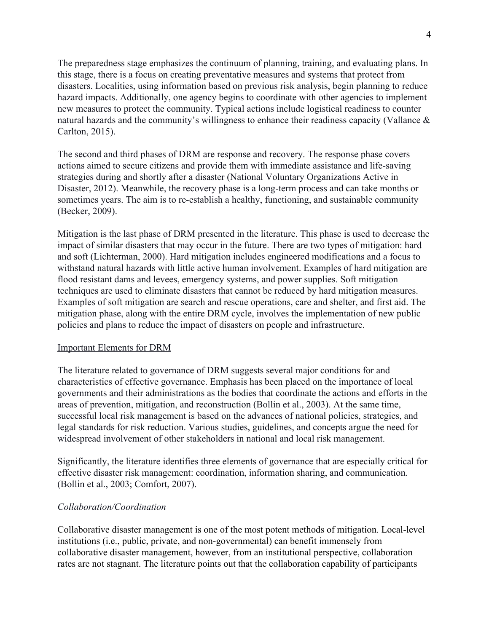The preparedness stage emphasizes the continuum of planning, training, and evaluating plans. In this stage, there is a focus on creating preventative measures and systems that protect from disasters. Localities, using information based on previous risk analysis, begin planning to reduce hazard impacts. Additionally, one agency begins to coordinate with other agencies to implement new measures to protect the community. Typical actions include logistical readiness to counter natural hazards and the community's willingness to enhance their readiness capacity (Vallance & Carlton, 2015).

The second and third phases of DRM are response and recovery. The response phase covers actions aimed to secure citizens and provide them with immediate assistance and life-saving strategies during and shortly after a disaster (National Voluntary Organizations Active in Disaster, 2012). Meanwhile, the recovery phase is a long-term process and can take months or sometimes years. The aim is to re-establish a healthy, functioning, and sustainable community (Becker, 2009).

Mitigation is the last phase of DRM presented in the literature. This phase is used to decrease the impact of similar disasters that may occur in the future. There are two types of mitigation: hard and soft (Lichterman, 2000). Hard mitigation includes engineered modifications and a focus to withstand natural hazards with little active human involvement. Examples of hard mitigation are flood resistant dams and levees, emergency systems, and power supplies. Soft mitigation techniques are used to eliminate disasters that cannot be reduced by hard mitigation measures. Examples of soft mitigation are search and rescue operations, care and shelter, and first aid. The mitigation phase, along with the entire DRM cycle, involves the implementation of new public policies and plans to reduce the impact of disasters on people and infrastructure.

#### Important Elements for DRM

The literature related to governance of DRM suggests several major conditions for and characteristics of effective governance. Emphasis has been placed on the importance of local governments and their administrations as the bodies that coordinate the actions and efforts in the areas of prevention, mitigation, and reconstruction (Bollin et al., 2003). At the same time, successful local risk management is based on the advances of national policies, strategies, and legal standards for risk reduction. Various studies, guidelines, and concepts argue the need for widespread involvement of other stakeholders in national and local risk management.

Significantly, the literature identifies three elements of governance that are especially critical for effective disaster risk management: coordination, information sharing, and communication. (Bollin et al., 2003; Comfort, 2007).

#### *Collaboration/Coordination*

Collaborative disaster management is one of the most potent methods of mitigation. Local-level institutions (i.e., public, private, and non-governmental) can benefit immensely from collaborative disaster management, however, from an institutional perspective, collaboration rates are not stagnant. The literature points out that the collaboration capability of participants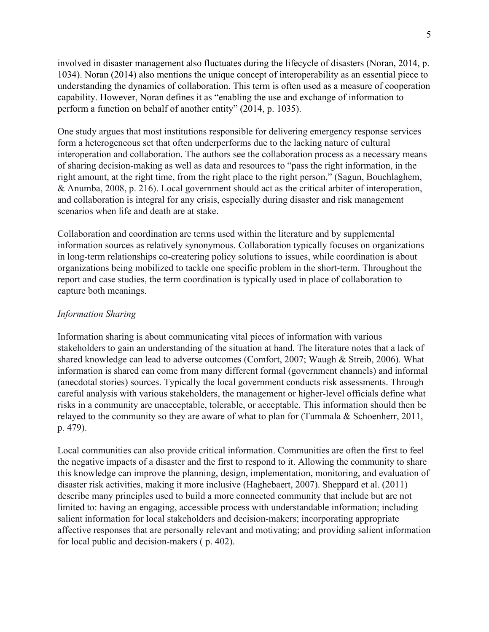involved in disaster management also fluctuates during the lifecycle of disasters (Noran, 2014, p. 1034). Noran (2014) also mentions the unique concept of interoperability as an essential piece to understanding the dynamics of collaboration. This term is often used as a measure of cooperation capability. However, Noran defines it as "enabling the use and exchange of information to perform a function on behalf of another entity" (2014, p. 1035).

One study argues that most institutions responsible for delivering emergency response services form a heterogeneous set that often underperforms due to the lacking nature of cultural interoperation and collaboration. The authors see the collaboration process as a necessary means of sharing decision-making as well as data and resources to "pass the right information, in the right amount, at the right time, from the right place to the right person," (Sagun, Bouchlaghem, & Anumba, 2008, p. 216). Local government should act as the critical arbiter of interoperation, and collaboration is integral for any crisis, especially during disaster and risk management scenarios when life and death are at stake.

Collaboration and coordination are terms used within the literature and by supplemental information sources as relatively synonymous. Collaboration typically focuses on organizations in long-term relationships co-createring policy solutions to issues, while coordination is about organizations being mobilized to tackle one specific problem in the short-term. Throughout the report and case studies, the term coordination is typically used in place of collaboration to capture both meanings.

#### <span id="page-20-0"></span>*Information Sharing*

Information sharing is about communicating vital pieces of information with various stakeholders to gain an understanding of the situation at hand. The literature notes that a lack of shared knowledge can lead to adverse outcomes (Comfort, 2007; Waugh & Streib, 2006). What information is shared can come from many different formal (government channels) and informal (anecdotal stories) sources. Typically the local government conducts risk assessments. Through careful analysis with various stakeholders, the management or higher-level officials define what risks in a community are unacceptable, tolerable, or acceptable. This information should then be relayed to the community so they are aware of what to plan for (Tummala & Schoenherr, 2011, p. 479).

Local communities can also provide critical information. Communities are often the first to feel the negative impacts of a disaster and the first to respond to it. Allowing the community to share this knowledge can improve the planning, design, implementation, monitoring, and evaluation of disaster risk activities, making it more inclusive (Haghebaert, 2007). Sheppard et al. (2011) describe many principles used to build a more connected community that include but are not limited to: having an engaging, accessible process with understandable information; including salient information for local stakeholders and decision-makers; incorporating appropriate affective responses that are personally relevant and motivating; and providing salient information for local public and decision-makers ( p. 402).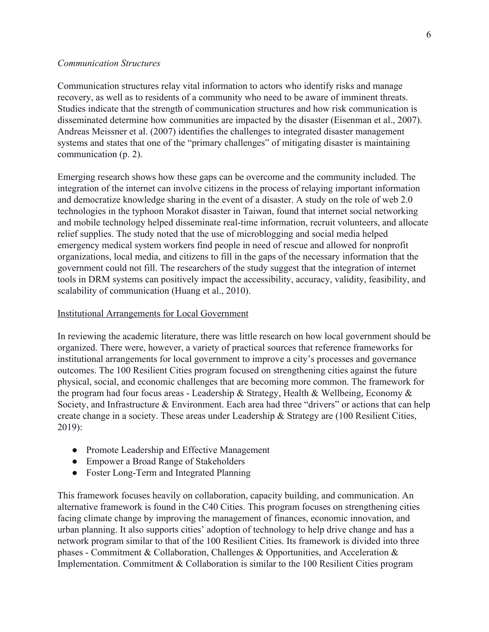#### *Communication Structures*

Communication structures relay vital information to actors who identify risks and manage recovery, as well as to residents of a community who need to be aware of imminent threats. Studies indicate that the strength of communication structures and how risk communication is disseminated determine how communities are impacted by the disaster (Eisenman et al., 2007). Andreas Meissner et al. (2007) identifies the challenges to integrated disaster management systems and states that one of the "primary challenges" of mitigating disaster is maintaining communication (p. 2).

Emerging research shows how these gaps can be overcome and the community included. The integration of the internet can involve citizens in the process of relaying important information and democratize knowledge sharing in the event of a disaster. A study on the role of web 2.0 technologies in the typhoon Morakot disaster in Taiwan, found that internet social networking and mobile technology helped disseminate real-time information, recruit volunteers, and allocate relief supplies. The study noted that the use of microblogging and social media helped emergency medical system workers find people in need of rescue and allowed for nonprofit organizations, local media, and citizens to fill in the gaps of the necessary information that the government could not fill. The researchers of the study suggest that the integration of internet tools in DRM systems can positively impact the accessibility, accuracy, validity, feasibility, and scalability of communication (Huang et al., 2010).

#### Institutional Arrangements for Local Government

In reviewing the academic literature, there was little research on how local government should be organized. There were, however, a variety of practical sources that reference frameworks for institutional arrangements for local government to improve a city's processes and governance outcomes. The 100 Resilient Cities program focused on strengthening cities against the future physical, social, and economic challenges that are becoming more common. The framework for the program had four focus areas - Leadership & Strategy, Health & Wellbeing, Economy & Society, and Infrastructure & Environment. Each area had three "drivers" or actions that can help create change in a society. These areas under Leadership & Strategy are (100 Resilient Cities, 2019):

- Promote Leadership and Effective Management
- Empower a Broad Range of Stakeholders
- Foster Long-Term and Integrated Planning

This framework focuses heavily on collaboration, capacity building, and communication. An alternative framework is found in the C40 Cities. This program focuses on strengthening cities facing climate change by improving the management of finances, economic innovation, and urban planning. It also supports cities' adoption of technology to help drive change and has a network program similar to that of the 100 Resilient Cities. Its framework is divided into three phases - Commitment & Collaboration, Challenges & Opportunities, and Acceleration & Implementation. Commitment & Collaboration is similar to the 100 Resilient Cities program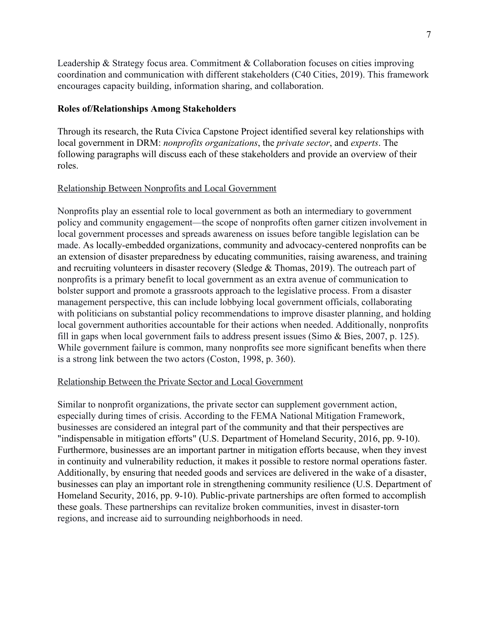Leadership & Strategy focus area. Commitment & Collaboration focuses on cities improving coordination and communication with different stakeholders (C40 Cities, 2019). This framework encourages capacity building, information sharing, and collaboration.

#### <span id="page-22-0"></span>**Roles of/Relationships Among Stakeholders**

Through its research, the Ruta Cívica Capstone Project identified several key relationships with local government in DRM: *nonprofits organizations*, the *private sector*, and *experts*. The following paragraphs will discuss each of these stakeholders and provide an overview of their roles.

#### Relationship Between Nonprofits and Local Government

Nonprofits play an essential role to local government as both an intermediary to government policy and community engagement—the scope of nonprofits often garner citizen involvement in local government processes and spreads awareness on issues before tangible legislation can be made. As locally-embedded organizations, community and advocacy-centered nonprofits can be an extension of disaster preparedness by educating communities, raising awareness, and training and recruiting volunteers in disaster recovery (Sledge & Thomas, 2019). The outreach part of nonprofits is a primary benefit to local government as an extra avenue of communication to bolster support and promote a grassroots approach to the legislative process. From a disaster management perspective, this can include lobbying local government officials, collaborating with politicians on substantial policy recommendations to improve disaster planning, and holding local government authorities accountable for their actions when needed. Additionally, nonprofits fill in gaps when local government fails to address present issues (Simo & Bies, 2007, p. 125). While government failure is common, many nonprofits see more significant benefits when there is a strong link between the two actors (Coston, 1998, p. 360).

#### Relationship Between the Private Sector and Local Government

Similar to nonprofit organizations, the private sector can supplement government action, especially during times of crisis. According to the FEMA National Mitigation Framework, businesses are considered an integral part of the community and that their perspectives are "indispensable in mitigation efforts" (U.S. Department of Homeland Security, 2016, pp. 9-10). Furthermore, businesses are an important partner in mitigation efforts because, when they invest in continuity and vulnerability reduction, it makes it possible to restore normal operations faster. Additionally, by ensuring that needed goods and services are delivered in the wake of a disaster, businesses can play an important role in strengthening community resilience (U.S. Department of Homeland Security, 2016, pp. 9-10). Public-private partnerships are often formed to accomplish these goals. These partnerships can revitalize broken communities, invest in disaster-torn regions, and increase aid to surrounding neighborhoods in need.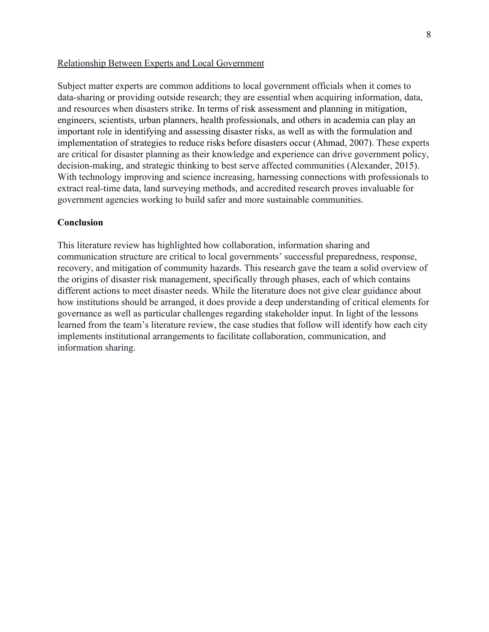#### Relationship Between Experts and Local Government

Subject matter experts are common additions to local government officials when it comes to data-sharing or providing outside research; they are essential when acquiring information, data, and resources when disasters strike. In terms of risk assessment and planning in mitigation, engineers, scientists, urban planners, health professionals, and others in academia can play an important role in identifying and assessing disaster risks, as well as with the formulation and implementation of strategies to reduce risks before disasters occur (Ahmad, 2007). These experts are critical for disaster planning as their knowledge and experience can drive government policy, decision-making, and strategic thinking to best serve affected communities (Alexander, 2015). With technology improving and science increasing, harnessing connections with professionals to extract real-time data, land surveying methods, and accredited research proves invaluable for government agencies working to build safer and more sustainable communities.

#### <span id="page-23-0"></span>**Conclusion**

This literature review has highlighted how collaboration, information sharing and communication structure are critical to local governments' successful preparedness, response, recovery, and mitigation of community hazards. This research gave the team a solid overview of the origins of disaster risk management, specifically through phases, each of which contains different actions to meet disaster needs. While the literature does not give clear guidance about how institutions should be arranged, it does provide a deep understanding of critical elements for governance as well as particular challenges regarding stakeholder input. In light of the lessons learned from the team's literature review, the case studies that follow will identify how each city implements institutional arrangements to facilitate collaboration, communication, and information sharing.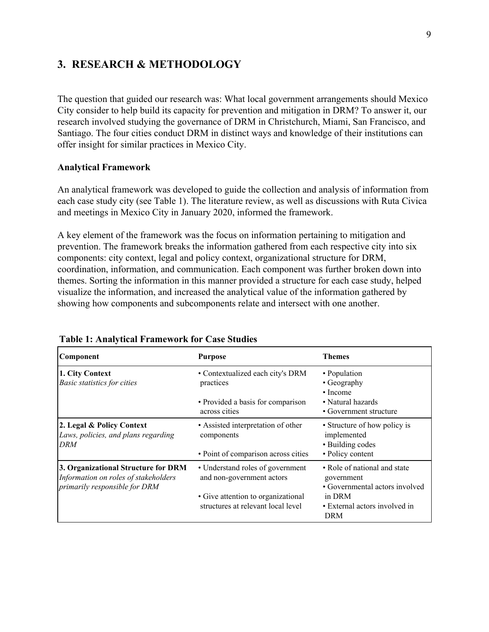## <span id="page-24-0"></span>**3. RESEARCH & METHODOLOGY**

The question that guided our research was: What local government arrangements should Mexico City consider to help build its capacity for prevention and mitigation in DRM? To answer it, our research involved studying the governance of DRM in Christchurch, Miami, San Francisco, and Santiago. The four cities conduct DRM in distinct ways and knowledge of their institutions can offer insight for similar practices in Mexico City.

#### <span id="page-24-1"></span>**Analytical Framework**

An analytical framework was developed to guide the collection and analysis of information from each case study city (see Table 1). The literature review, as well as discussions with Ruta Civica and meetings in Mexico City in January 2020, informed the framework.

A key element of the framework was the focus on information pertaining to mitigation and prevention. The framework breaks the information gathered from each respective city into six components: city context, legal and policy context, organizational structure for DRM, coordination, information, and communication. Each component was further broken down into themes. Sorting the information in this manner provided a structure for each case study, helped visualize the information, and increased the analytical value of the information gathered by showing how components and subcomponents relate and intersect with one another.

| Component                                                                                                    | <b>Purpose</b>                                                           | Themes                                                                       |
|--------------------------------------------------------------------------------------------------------------|--------------------------------------------------------------------------|------------------------------------------------------------------------------|
| 1. City Context                                                                                              | • Contextualized each city's DRM                                         | • Population                                                                 |
| <b>Basic statistics for cities</b>                                                                           | practices                                                                | • Geography                                                                  |
|                                                                                                              | • Provided a basis for comparison<br>across cities                       | $\cdot$ Income<br>• Natural hazards<br>• Government structure                |
| 2. Legal & Policy Context<br>Laws, policies, and plans regarding<br>DRM                                      | • Assisted interpretation of other<br>components                         | • Structure of how policy is<br>implemented<br>• Building codes              |
|                                                                                                              | • Point of comparison across cities                                      | • Policy content                                                             |
| 3. Organizational Structure for DRM<br>Information on roles of stakeholders<br>primarily responsible for DRM | • Understand roles of government<br>and non-government actors            | • Role of national and state<br>government<br>• Governmental actors involved |
|                                                                                                              | • Give attention to organizational<br>structures at relevant local level | in DRM<br>• External actors involved in<br><b>DRM</b>                        |

#### **Table 1: Analytical Framework for Case Studies**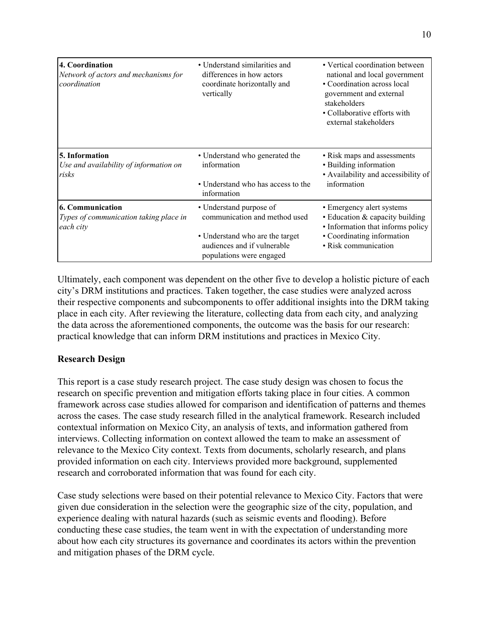| 4. Coordination<br>Network of actors and mechanisms for<br>coordination        | • Understand similarities and<br>differences in how actors<br>coordinate horizontally and<br>vertically | • Vertical coordination between<br>national and local government<br>• Coordination across local<br>government and external<br>stakeholders<br>• Collaborative efforts with<br>external stakeholders |
|--------------------------------------------------------------------------------|---------------------------------------------------------------------------------------------------------|-----------------------------------------------------------------------------------------------------------------------------------------------------------------------------------------------------|
| 5. Information<br>Use and availability of information on<br>risks              | • Understand who generated the<br>information<br>• Understand who has access to the                     | • Risk maps and assessments<br>• Building information<br>• Availability and accessibility of<br>information                                                                                         |
|                                                                                | information                                                                                             |                                                                                                                                                                                                     |
| <b>6. Communication</b><br>Types of communication taking place in<br>each city | • Understand purpose of<br>communication and method used                                                | • Emergency alert systems<br>• Education & capacity building<br>• Information that informs policy                                                                                                   |
|                                                                                | • Understand who are the target<br>audiences and if vulnerable<br>populations were engaged              | • Coordinating information<br>• Risk communication                                                                                                                                                  |

Ultimately, each component was dependent on the other five to develop a holistic picture of each city's DRM institutions and practices. Taken together, the case studies were analyzed across their respective components and subcomponents to offer additional insights into the DRM taking place in each city. After reviewing the literature, collecting data from each city, and analyzing the data across the aforementioned components, the outcome was the basis for our research: practical knowledge that can inform DRM institutions and practices in Mexico City.

## <span id="page-25-0"></span>**Research Design**

This report is a case study research project. The case study design was chosen to focus the research on specific prevention and mitigation efforts taking place in four cities. A common framework across case studies allowed for comparison and identification of patterns and themes across the cases. The case study research filled in the analytical framework. Research included contextual information on Mexico City, an analysis of texts, and information gathered from interviews. Collecting information on context allowed the team to make an assessment of relevance to the Mexico City context. Texts from documents, scholarly research, and plans provided information on each city. Interviews provided more background, supplemented research and corroborated information that was found for each city.

Case study selections were based on their potential relevance to Mexico City. Factors that were given due consideration in the selection were the geographic size of the city, population, and experience dealing with natural hazards (such as seismic events and flooding). Before conducting these case studies, the team went in with the expectation of understanding more about how each city structures its governance and coordinates its actors within the prevention and mitigation phases of the DRM cycle.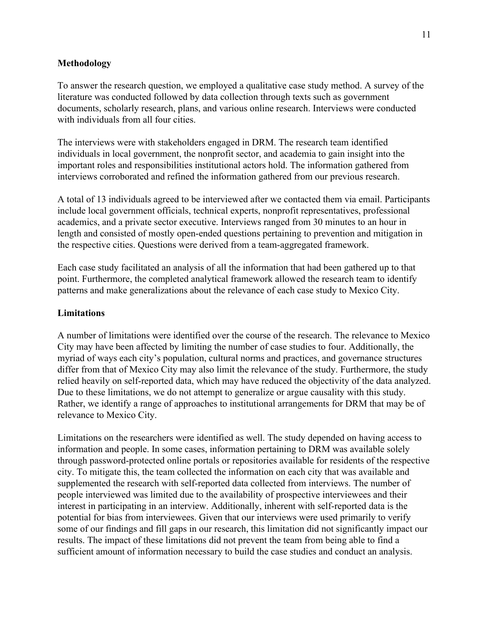#### <span id="page-26-0"></span>**Methodology**

To answer the research question, we employed a qualitative case study method. A survey of the literature was conducted followed by data collection through texts such as government documents, scholarly research, plans, and various online research. Interviews were conducted with individuals from all four cities.

The interviews were with stakeholders engaged in DRM. The research team identified individuals in local government, the nonprofit sector, and academia to gain insight into the important roles and responsibilities institutional actors hold. The information gathered from interviews corroborated and refined the information gathered from our previous research.

A total of 13 individuals agreed to be interviewed after we contacted them via email. Participants include local government officials, technical experts, nonprofit representatives, professional academics, and a private sector executive. Interviews ranged from 30 minutes to an hour in length and consisted of mostly open-ended questions pertaining to prevention and mitigation in the respective cities. Questions were derived from a team-aggregated framework.

Each case study facilitated an analysis of all the information that had been gathered up to that point. Furthermore, the completed analytical framework allowed the research team to identify patterns and make generalizations about the relevance of each case study to Mexico City.

#### <span id="page-26-1"></span>**Limitations**

A number of limitations were identified over the course of the research. The relevance to Mexico City may have been affected by limiting the number of case studies to four. Additionally, the myriad of ways each city's population, cultural norms and practices, and governance structures differ from that of Mexico City may also limit the relevance of the study. Furthermore, the study relied heavily on self-reported data, which may have reduced the objectivity of the data analyzed. Due to these limitations, we do not attempt to generalize or argue causality with this study. Rather, we identify a range of approaches to institutional arrangements for DRM that may be of relevance to Mexico City.

Limitations on the researchers were identified as well. The study depended on having access to information and people. In some cases, information pertaining to DRM was available solely through password-protected online portals or repositories available for residents of the respective city. To mitigate this, the team collected the information on each city that was available and supplemented the research with self-reported data collected from interviews. The number of people interviewed was limited due to the availability of prospective interviewees and their interest in participating in an interview. Additionally, inherent with self-reported data is the potential for bias from interviewees. Given that our interviews were used primarily to verify some of our findings and fill gaps in our research, this limitation did not significantly impact our results. The impact of these limitations did not prevent the team from being able to find a sufficient amount of information necessary to build the case studies and conduct an analysis.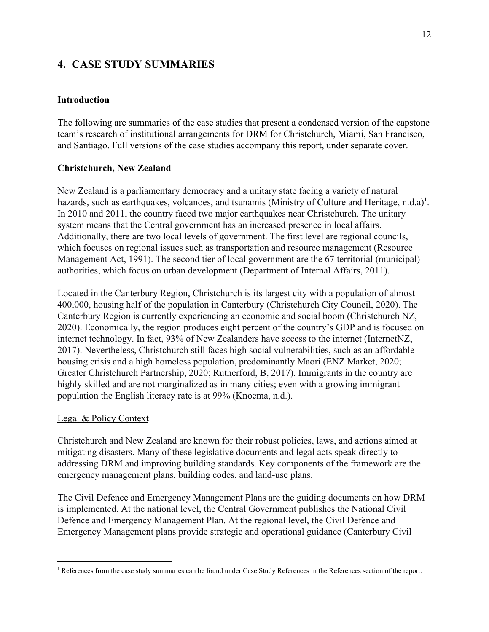## <span id="page-27-0"></span>**4. CASE STUDY SUMMARIES**

#### <span id="page-27-1"></span>**Introduction**

The following are summaries of the case studies that present a condensed version of the capstone team's research of institutional arrangements for DRM for Christchurch, Miami, San Francisco, and Santiago. Full versions of the case studies accompany this report, under separate cover.

#### <span id="page-27-2"></span>**Christchurch, New Zealand**

New Zealand is a parliamentary democracy and a unitary state facing a variety of natural hazards, such as earthquakes, volcanoes, and tsunamis (Ministry of Culture and Heritage, n.d.a)<sup>1</sup>. In 2010 and 2011, the country faced two major earthquakes near Christchurch. The unitary system means that the Central government has an increased presence in local affairs. Additionally, there are two local levels of government. The first level are regional councils, which focuses on regional issues such as transportation and resource management (Resource Management Act, 1991). The second tier of local government are the 67 territorial (municipal) authorities, which focus on urban development (Department of Internal Affairs, 2011).

Located in the Canterbury Region, Christchurch is its largest city with a population of almost 400,000, housing half of the population in Canterbury (Christchurch City Council, 2020). The Canterbury Region is currently experiencing an economic and social boom (Christchurch NZ, 2020). Economically, the region produces eight percent of the country's GDP and is focused on internet technology. In fact, 93% of New Zealanders have access to the internet (InternetNZ, 2017). Nevertheless, Christchurch still faces high social vulnerabilities, such as an affordable housing crisis and a high homeless population, predominantly Maori (ENZ Market, 2020; Greater Christchurch Partnership, 2020; Rutherford, B, 2017). Immigrants in the country are highly skilled and are not marginalized as in many cities; even with a growing immigrant population the English literacy rate is at 99% (Knoema, n.d.).

## Legal & Policy Context

Christchurch and New Zealand are known for their robust policies, laws, and actions aimed at mitigating disasters. Many of these legislative documents and legal acts speak directly to addressing DRM and improving building standards. Key components of the framework are the emergency management plans, building codes, and land-use plans.

The Civil Defence and Emergency Management Plans are the guiding documents on how DRM is implemented. At the national level, the Central Government publishes the National Civil Defence and Emergency Management Plan. At the regional level, the Civil Defence and Emergency Management plans provide strategic and operational guidance (Canterbury Civil

<sup>&</sup>lt;sup>1</sup> References from the case study summaries can be found under Case Study References in the References section of the report.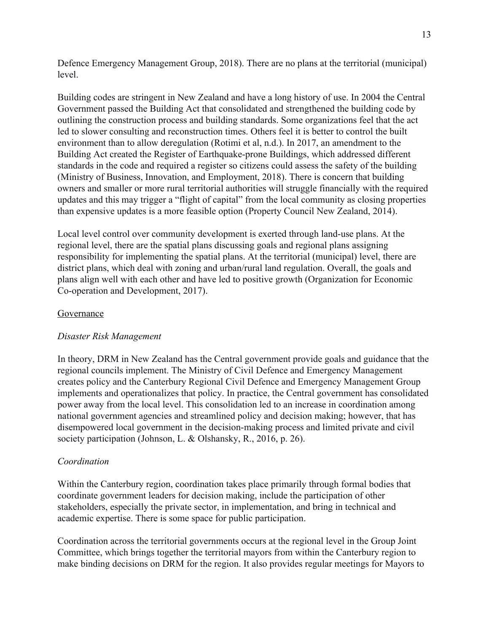Defence Emergency Management Group, 2018). There are no plans at the territorial (municipal) level.

Building codes are stringent in New Zealand and have a long history of use. In 2004 the Central Government passed the Building Act that consolidated and strengthened the building code by outlining the construction process and building standards. Some organizations feel that the act led to slower consulting and reconstruction times. Others feel it is better to control the built environment than to allow deregulation (Rotimi et al, n.d.). In 2017, an amendment to the Building Act created the Register of Earthquake-prone Buildings, which addressed different standards in the code and required a register so citizens could assess the safety of the building (Ministry of Business, Innovation, and Employment, 2018). There is concern that building owners and smaller or more rural territorial authorities will struggle financially with the required updates and this may trigger a "flight of capital" from the local community as closing properties than expensive updates is a more feasible option (Property Council New Zealand, 2014).

Local level control over community development is exerted through land-use plans. At the regional level, there are the spatial plans discussing goals and regional plans assigning responsibility for implementing the spatial plans. At the territorial (municipal) level, there are district plans, which deal with zoning and urban/rural land regulation. Overall, the goals and plans align well with each other and have led to positive growth (Organization for Economic Co-operation and Development, 2017).

#### Governance

## *Disaster Risk Management*

In theory, DRM in New Zealand has the Central government provide goals and guidance that the regional councils implement. The Ministry of Civil Defence and Emergency Management creates policy and the Canterbury Regional Civil Defence and Emergency Management Group implements and operationalizes that policy. In practice, the Central government has consolidated power away from the local level. This consolidation led to an increase in coordination among national government agencies and streamlined policy and decision making; however, that has disempowered local government in the decision-making process and limited private and civil society participation (Johnson, L. & Olshansky, R., 2016, p. 26).

#### *Coordination*

Within the Canterbury region, coordination takes place primarily through formal bodies that coordinate government leaders for decision making, include the participation of other stakeholders, especially the private sector, in implementation, and bring in technical and academic expertise. There is some space for public participation.

Coordination across the territorial governments occurs at the regional level in the Group Joint Committee, which brings together the territorial mayors from within the Canterbury region to make binding decisions on DRM for the region. It also provides regular meetings for Mayors to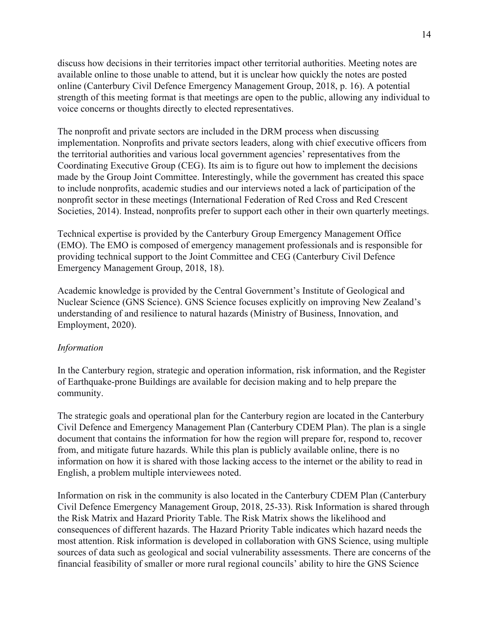discuss how decisions in their territories impact other territorial authorities. Meeting notes are available online to those unable to attend, but it is unclear how quickly the notes are posted online (Canterbury Civil Defence Emergency Management Group, 2018, p. 16). A potential strength of this meeting format is that meetings are open to the public, allowing any individual to voice concerns or thoughts directly to elected representatives.

The nonprofit and private sectors are included in the DRM process when discussing implementation. Nonprofits and private sectors leaders, along with chief executive officers from the territorial authorities and various local government agencies' representatives from the Coordinating Executive Group (CEG). Its aim is to figure out how to implement the decisions made by the Group Joint Committee. Interestingly, while the government has created this space to include nonprofits, academic studies and our interviews noted a lack of participation of the nonprofit sector in these meetings (International Federation of Red Cross and Red Crescent Societies, 2014). Instead, nonprofits prefer to support each other in their own quarterly meetings.

Technical expertise is provided by the Canterbury Group Emergency Management Office (EMO). The EMO is composed of emergency management professionals and is responsible for providing technical support to the Joint Committee and CEG (Canterbury Civil Defence Emergency Management Group, 2018, 18).

Academic knowledge is provided by the Central Government's Institute of Geological and Nuclear Science (GNS Science). GNS Science focuses explicitly on improving New Zealand's understanding of and resilience to natural hazards (Ministry of Business, Innovation, and Employment, 2020).

#### *Information*

In the Canterbury region, strategic and operation information, risk information, and the Register of Earthquake-prone Buildings are available for decision making and to help prepare the community.

The strategic goals and operational plan for the Canterbury region are located in the Canterbury Civil Defence and Emergency Management Plan (Canterbury CDEM Plan). The plan is a single document that contains the information for how the region will prepare for, respond to, recover from, and mitigate future hazards. While this plan is publicly available online, there is no information on how it is shared with those lacking access to the internet or the ability to read in English, a problem multiple interviewees noted.

Information on risk in the community is also located in the Canterbury CDEM Plan (Canterbury Civil Defence Emergency Management Group, 2018, 25-33). Risk Information is shared through the Risk Matrix and Hazard Priority Table. The Risk Matrix shows the likelihood and consequences of different hazards. The Hazard Priority Table indicates which hazard needs the most attention. Risk information is developed in collaboration with GNS Science, using multiple sources of data such as geological and social vulnerability assessments. There are concerns of the financial feasibility of smaller or more rural regional councils' ability to hire the GNS Science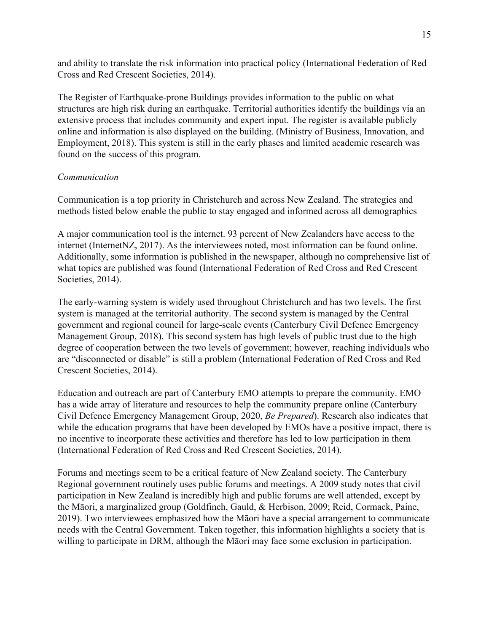and ability to translate the risk information into practical policy (International Federation of Red Cross and Red Crescent Societies, 2014).

The Register of Earthquake-prone Buildings provides information to the public on what structures are high risk during an earthquake. Territorial authorities identify the buildings via an extensive process that includes community and expert input. The register is available publicly online and information is also displayed on the building. (Ministry of Business, Innovation, and Employment, 2018). This system is still in the early phases and limited academic research was found on the success of this program.

#### *Communication*

Communication is a top priority in Christchurch and across New Zealand. The strategies and methods listed below enable the public to stay engaged and informed across all demographics

A major communication tool is the internet. 93 percent of New Zealanders have access to the internet (InternetNZ, 2017). As the interviewees noted, most information can be found online. Additionally, some information is published in the newspaper, although no comprehensive list of what topics are published was found (International Federation of Red Cross and Red Crescent Societies, 2014).

The early-warning system is widely used throughout Christchurch and has two levels. The first system is managed at the territorial authority. The second system is managed by the Central government and regional council for large-scale events (Canterbury Civil Defence Emergency Management Group, 2018). This second system has high levels of public trust due to the high degree of cooperation between the two levels of government; however, reaching individuals who are "disconnected or disable" is still a problem (International Federation of Red Cross and Red Crescent Societies, 2014).

Education and outreach are part of Canterbury EMO attempts to prepare the community. EMO has a wide array of literature and resources to help the community prepare online (Canterbury Civil Defence Emergency Management Group, 2020, *Be Prepared*). Research also indicates that while the education programs that have been developed by EMOs have a positive impact, there is no incentive to incorporate these activities and therefore has led to low participation in them (International Federation of Red Cross and Red Crescent Societies, 2014).

Forums and meetings seem to be a critical feature of New Zealand society. The Canterbury Regional government routinely uses public forums and meetings. A 2009 study notes that civil participation in New Zealand is incredibly high and public forums are well attended, except by the Māori, a marginalized group (Goldfinch, Gauld, & Herbison, 2009; Reid, Cormack, Paine, 2019). Two interviewees emphasized how the Māori have a special arrangement to communicate needs with the Central Government. Taken together, this information highlights a society that is willing to participate in DRM, although the Māori may face some exclusion in participation.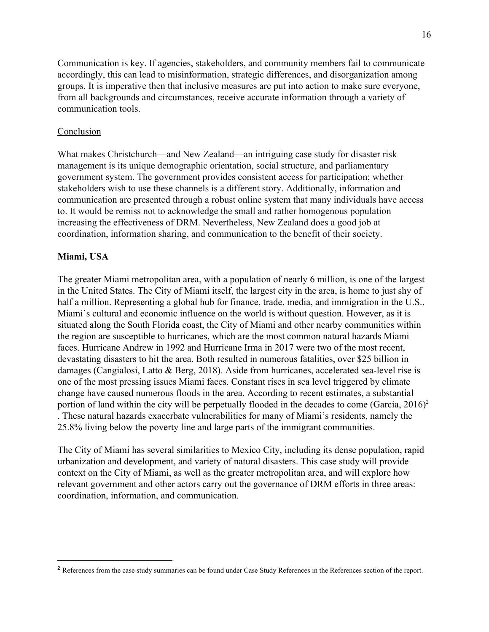Communication is key. If agencies, stakeholders, and community members fail to communicate accordingly, this can lead to misinformation, strategic differences, and disorganization among groups. It is imperative then that inclusive measures are put into action to make sure everyone, from all backgrounds and circumstances, receive accurate information through a variety of communication tools.

#### Conclusion

What makes Christchurch—and New Zealand—an intriguing case study for disaster risk management is its unique demographic orientation, social structure, and parliamentary government system. The government provides consistent access for participation; whether stakeholders wish to use these channels is a different story. Additionally, information and communication are presented through a robust online system that many individuals have access to. It would be remiss not to acknowledge the small and rather homogenous population increasing the effectiveness of DRM. Nevertheless, New Zealand does a good job at coordination, information sharing, and communication to the benefit of their society.

#### <span id="page-31-0"></span>**Miami, USA**

The greater Miami metropolitan area, with a population of nearly 6 million, is one of the largest in the United States. The City of Miami itself, the largest city in the area, is home to just shy of half a million. Representing a global hub for finance, trade, media, and immigration in the U.S., Miami's cultural and economic influence on the world is without question. However, as it is situated along the South Florida coast, the City of Miami and other nearby communities within the region are susceptible to hurricanes, which are the most common natural hazards Miami faces. Hurricane Andrew in 1992 and Hurricane Irma in 2017 were two of the most recent, devastating disasters to hit the area. Both resulted in numerous fatalities, over \$25 billion in damages (Cangialosi, Latto & Berg, 2018). Aside from hurricanes, accelerated sea-level rise is one of the most pressing issues Miami faces. Constant rises in sea level triggered by climate change have caused numerous floods in the area. According to recent estimates, a substantial portion of land within the city will be perpetually flooded in the decades to come (Garcia,  $2016$ )<sup>2</sup> . These natural hazards exacerbate vulnerabilities for many of Miami's residents, namely the 25.8% living below the poverty line and large parts of the immigrant communities.

The City of Miami has several similarities to Mexico City, including its dense population, rapid urbanization and development, and variety of natural disasters. This case study will provide context on the City of Miami, as well as the greater metropolitan area, and will explore how relevant government and other actors carry out the governance of DRM efforts in three areas: coordination, information, and communication.

<sup>&</sup>lt;sup>2</sup> References from the case study summaries can be found under Case Study References in the References section of the report.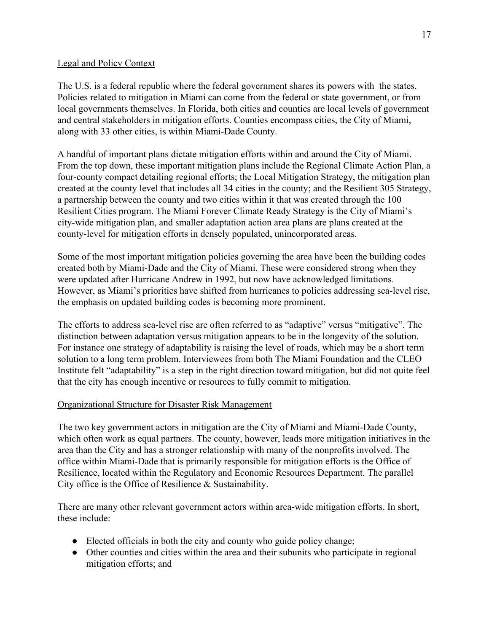#### Legal and Policy Context

The U.S. is a federal republic where the federal government shares its powers with the states. Policies related to mitigation in Miami can come from the federal or state government, or from local governments themselves. In Florida, both cities and counties are local levels of government and central stakeholders in mitigation efforts. Counties encompass cities, the City of Miami, along with 33 other cities, is within Miami-Dade County.

A handful of important plans dictate mitigation efforts within and around the City of Miami. From the top down, these important mitigation plans include the Regional Climate Action Plan, a four-county compact detailing regional efforts; the Local Mitigation Strategy, the mitigation plan created at the county level that includes all 34 cities in the county; and the Resilient 305 Strategy, a partnership between the county and two cities within it that was created through the 100 Resilient Cities program. The Miami Forever Climate Ready Strategy is the City of Miami's city-wide mitigation plan, and smaller adaptation action area plans are plans created at the county-level for mitigation efforts in densely populated, unincorporated areas.

Some of the most important mitigation policies governing the area have been the building codes created both by Miami-Dade and the City of Miami. These were considered strong when they were updated after Hurricane Andrew in 1992, but now have acknowledged limitations. However, as Miami's priorities have shifted from hurricanes to policies addressing sea-level rise, the emphasis on updated building codes is becoming more prominent.

The efforts to address sea-level rise are often referred to as "adaptive" versus "mitigative". The distinction between adaptation versus mitigation appears to be in the longevity of the solution. For instance one strategy of adaptability is raising the level of roads, which may be a short term solution to a long term problem. Interviewees from both The Miami Foundation and the CLEO Institute felt "adaptability" is a step in the right direction toward mitigation, but did not quite feel that the city has enough incentive or resources to fully commit to mitigation.

## Organizational Structure for Disaster Risk Management

The two key government actors in mitigation are the City of Miami and Miami-Dade County, which often work as equal partners. The county, however, leads more mitigation initiatives in the area than the City and has a stronger relationship with many of the nonprofits involved. The office within Miami-Dade that is primarily responsible for mitigation efforts is the Office of Resilience, located within the Regulatory and Economic Resources Department. The parallel City office is the Office of Resilience & Sustainability.

There are many other relevant government actors within area-wide mitigation efforts. In short, these include:

- Elected officials in both the city and county who guide policy change;
- Other counties and cities within the area and their subunits who participate in regional mitigation efforts; and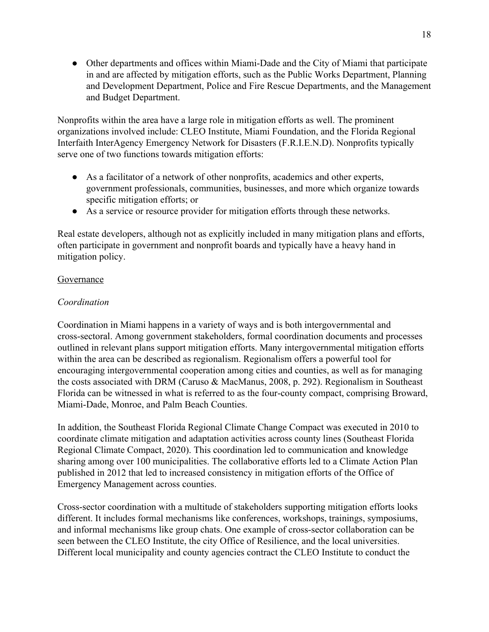• Other departments and offices within Miami-Dade and the City of Miami that participate in and are affected by mitigation efforts, such as the Public Works Department, Planning and Development Department, Police and Fire Rescue Departments, and the Management and Budget Department.

Nonprofits within the area have a large role in mitigation efforts as well. The prominent organizations involved include: CLEO Institute, Miami Foundation, and the Florida Regional Interfaith InterAgency Emergency Network for Disasters (F.R.I.E.N.D). Nonprofits typically serve one of two functions towards mitigation efforts:

- As a facilitator of a network of other nonprofits, academics and other experts, government professionals, communities, businesses, and more which organize towards specific mitigation efforts; or
- As a service or resource provider for mitigation efforts through these networks.

Real estate developers, although not as explicitly included in many mitigation plans and efforts, often participate in government and nonprofit boards and typically have a heavy hand in mitigation policy.

#### Governance

#### *Coordination*

Coordination in Miami happens in a variety of ways and is both intergovernmental and cross-sectoral. Among government stakeholders, formal coordination documents and processes outlined in relevant plans support mitigation efforts. Many intergovernmental mitigation efforts within the area can be described as regionalism. Regionalism offers a powerful tool for encouraging intergovernmental cooperation among cities and counties, as well as for managing the costs associated with DRM (Caruso & MacManus, 2008, p. 292). Regionalism in Southeast Florida can be witnessed in what is referred to as the four-county compact, comprising Broward, Miami-Dade, Monroe, and Palm Beach Counties.

In addition, the Southeast Florida Regional Climate Change Compact was executed in 2010 to coordinate climate mitigation and adaptation activities across county lines (Southeast Florida Regional Climate Compact, 2020). This coordination led to communication and knowledge sharing among over 100 municipalities. The collaborative efforts led to a Climate Action Plan published in 2012 that led to increased consistency in mitigation efforts of the Office of Emergency Management across counties.

Cross-sector coordination with a multitude of stakeholders supporting mitigation efforts looks different. It includes formal mechanisms like conferences, workshops, trainings, symposiums, and informal mechanisms like group chats. One example of cross-sector collaboration can be seen between the CLEO Institute, the city Office of Resilience, and the local universities. Different local municipality and county agencies contract the CLEO Institute to conduct the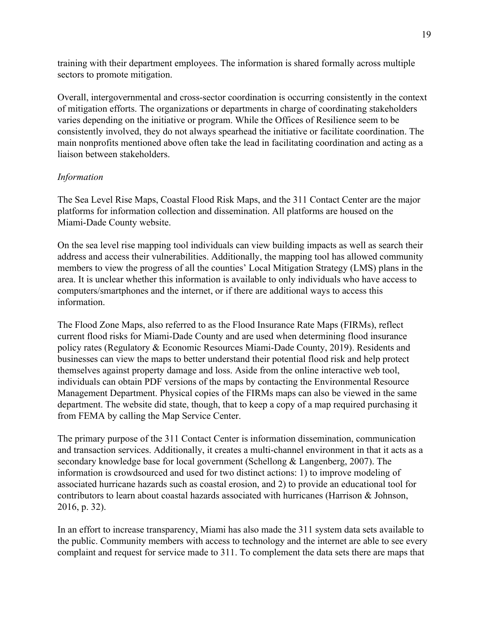training with their department employees. The information is shared formally across multiple sectors to promote mitigation.

Overall, intergovernmental and cross-sector coordination is occurring consistently in the context of mitigation efforts. The organizations or departments in charge of coordinating stakeholders varies depending on the initiative or program. While the Offices of Resilience seem to be consistently involved, they do not always spearhead the initiative or facilitate coordination. The main nonprofits mentioned above often take the lead in facilitating coordination and acting as a liaison between stakeholders.

#### *Information*

The Sea Level Rise Maps, Coastal Flood Risk Maps, and the 311 Contact Center are the major platforms for information collection and dissemination. All platforms are housed on the Miami-Dade County website.

On the sea level rise mapping tool individuals can view building impacts as well as search their address and access their vulnerabilities. Additionally, the mapping tool has allowed community members to view the progress of all the counties' Local Mitigation Strategy (LMS) plans in the area. It is unclear whether this information is available to only individuals who have access to computers/smartphones and the internet, or if there are additional ways to access this information.

The Flood Zone Maps, also referred to as the Flood Insurance Rate Maps (FIRMs), reflect current flood risks for Miami-Dade County and are used when determining flood insurance policy rates (Regulatory & Economic Resources Miami-Dade County, 2019). Residents and businesses can view the maps to better understand their potential flood risk and help protect themselves against property damage and loss. Aside from the online interactive web tool, individuals can obtain PDF versions of the maps by contacting the Environmental Resource Management Department. Physical copies of the FIRMs maps can also be viewed in the same department. The website did state, though, that to keep a copy of a map required purchasing it from FEMA by calling the Map Service Center.

The primary purpose of the 311 Contact Center is information dissemination, communication and transaction services. Additionally, it creates a multi-channel environment in that it acts as a secondary knowledge base for local government (Schellong & Langenberg, 2007). The information is crowdsourced and used for two distinct actions: 1) to improve modeling of associated hurricane hazards such as coastal erosion, and 2) to provide an educational tool for contributors to learn about coastal hazards associated with hurricanes (Harrison & Johnson, 2016, p. 32).

In an effort to increase transparency, Miami has also made the 311 system data sets available to the public. Community members with access to technology and the internet are able to see every complaint and request for service made to 311. To complement the data sets there are maps that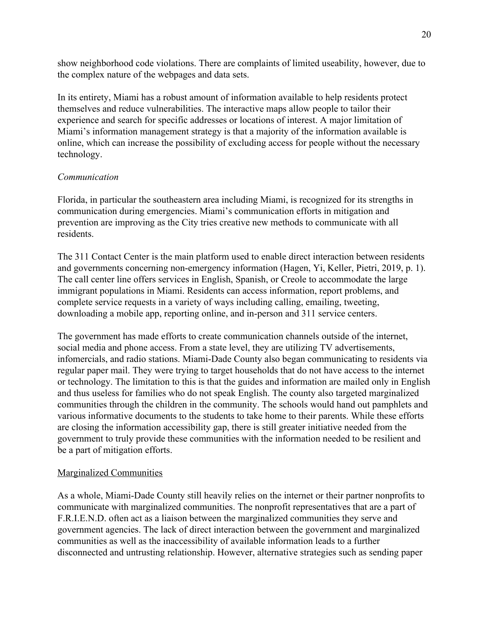show neighborhood code violations. There are complaints of limited useability, however, due to the complex nature of the webpages and data sets.

In its entirety, Miami has a robust amount of information available to help residents protect themselves and reduce vulnerabilities. The interactive maps allow people to tailor their experience and search for specific addresses or locations of interest. A major limitation of Miami's information management strategy is that a majority of the information available is online, which can increase the possibility of excluding access for people without the necessary technology.

#### *Communication*

Florida, in particular the southeastern area including Miami, is recognized for its strengths in communication during emergencies. Miami's communication efforts in mitigation and prevention are improving as the City tries creative new methods to communicate with all residents.

The 311 Contact Center is the main platform used to enable direct interaction between residents and governments concerning non-emergency information (Hagen, Yi, Keller, Pietri, 2019, p. 1). The call center line offers services in English, Spanish, or Creole to accommodate the large immigrant populations in Miami. Residents can access information, report problems, and complete service requests in a variety of ways including calling, emailing, tweeting, downloading a mobile app, reporting online, and in-person and 311 service centers.

The government has made efforts to create communication channels outside of the internet, social media and phone access. From a state level, they are utilizing TV advertisements, infomercials, and radio stations. Miami-Dade County also began communicating to residents via regular paper mail. They were trying to target households that do not have access to the internet or technology. The limitation to this is that the guides and information are mailed only in English and thus useless for families who do not speak English. The county also targeted marginalized communities through the children in the community. The schools would hand out pamphlets and various informative documents to the students to take home to their parents. While these efforts are closing the information accessibility gap, there is still greater initiative needed from the government to truly provide these communities with the information needed to be resilient and be a part of mitigation efforts.

## Marginalized Communities

As a whole, Miami-Dade County still heavily relies on the internet or their partner nonprofits to communicate with marginalized communities. The nonprofit representatives that are a part of F.R.I.E.N.D. often act as a liaison between the marginalized communities they serve and government agencies. The lack of direct interaction between the government and marginalized communities as well as the inaccessibility of available information leads to a further disconnected and untrusting relationship. However, alternative strategies such as sending paper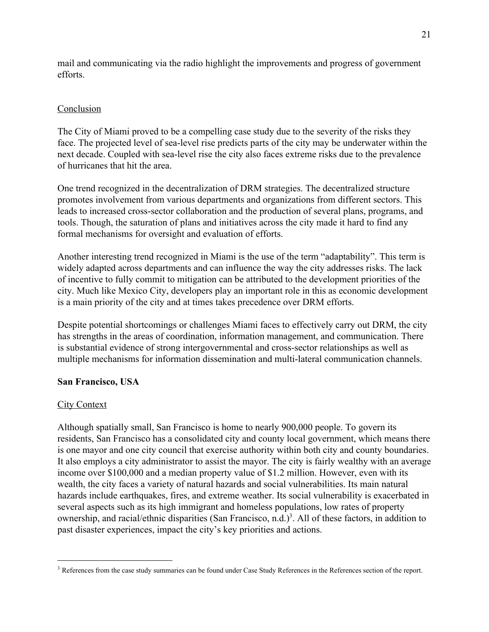mail and communicating via the radio highlight the improvements and progress of government efforts.

# Conclusion

The City of Miami proved to be a compelling case study due to the severity of the risks they face. The projected level of sea-level rise predicts parts of the city may be underwater within the next decade. Coupled with sea-level rise the city also faces extreme risks due to the prevalence of hurricanes that hit the area.

One trend recognized in the decentralization of DRM strategies. The decentralized structure promotes involvement from various departments and organizations from different sectors. This leads to increased cross-sector collaboration and the production of several plans, programs, and tools. Though, the saturation of plans and initiatives across the city made it hard to find any formal mechanisms for oversight and evaluation of efforts.

Another interesting trend recognized in Miami is the use of the term "adaptability". This term is widely adapted across departments and can influence the way the city addresses risks. The lack of incentive to fully commit to mitigation can be attributed to the development priorities of the city. Much like Mexico City, developers play an important role in this as economic development is a main priority of the city and at times takes precedence over DRM efforts.

Despite potential shortcomings or challenges Miami faces to effectively carry out DRM, the city has strengths in the areas of coordination, information management, and communication. There is substantial evidence of strong intergovernmental and cross-sector relationships as well as multiple mechanisms for information dissemination and multi-lateral communication channels.

# **San Francisco, USA**

# **City Context**

Although spatially small, San Francisco is home to nearly 900,000 people. To govern its residents, San Francisco has a consolidated city and county local government, which means there is one mayor and one city council that exercise authority within both city and county boundaries. It also employs a city administrator to assist the mayor. The city is fairly wealthy with an average income over \$100,000 and a median property value of \$1.2 million. However, even with its wealth, the city faces a variety of natural hazards and social vulnerabilities. Its main natural hazards include earthquakes, fires, and extreme weather. Its social vulnerability is exacerbated in several aspects such as its high immigrant and homeless populations, low rates of property ownership, and racial/ethnic disparities (San Francisco, n.d.)<sup>3</sup>. All of these factors, in addition to past disaster experiences, impact the city's key priorities and actions.

<sup>&</sup>lt;sup>3</sup> References from the case study summaries can be found under Case Study References in the References section of the report.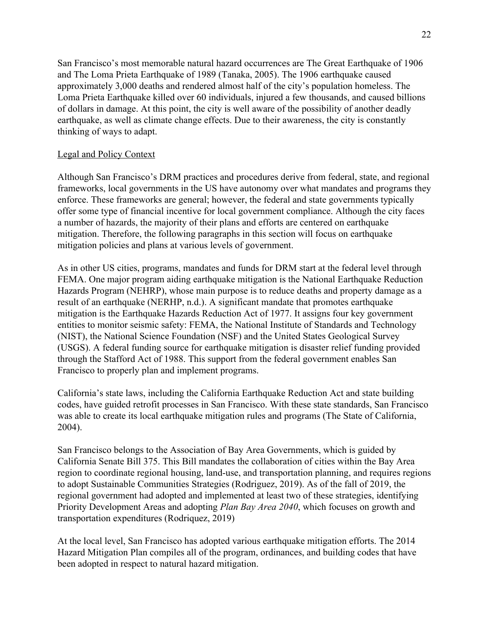San Francisco's most memorable natural hazard occurrences are The Great Earthquake of 1906 and The Loma Prieta Earthquake of 1989 (Tanaka, 2005). The 1906 earthquake caused approximately 3,000 deaths and rendered almost half of the city's population homeless. The Loma Prieta Earthquake killed over 60 individuals, injured a few thousands, and caused billions of dollars in damage. At this point, the city is well aware of the possibility of another deadly earthquake, as well as climate change effects. Due to their awareness, the city is constantly thinking of ways to adapt.

# Legal and Policy Context

Although San Francisco's DRM practices and procedures derive from federal, state, and regional frameworks, local governments in the US have autonomy over what mandates and programs they enforce. These frameworks are general; however, the federal and state governments typically offer some type of financial incentive for local government compliance. Although the city faces a number of hazards, the majority of their plans and efforts are centered on earthquake mitigation. Therefore, the following paragraphs in this section will focus on earthquake mitigation policies and plans at various levels of government.

As in other US cities, programs, mandates and funds for DRM start at the federal level through FEMA. One major program aiding earthquake mitigation is the National Earthquake Reduction Hazards Program (NEHRP), whose main purpose is to reduce deaths and property damage as a result of an earthquake (NERHP, n.d.). A significant mandate that promotes earthquake mitigation is the Earthquake Hazards Reduction Act of 1977. It assigns four key government entities to monitor seismic safety: FEMA, the National Institute of Standards and Technology (NIST), the National Science Foundation (NSF) and the United States Geological Survey (USGS). A federal funding source for earthquake mitigation is disaster relief funding provided through the Stafford Act of 1988. This support from the federal government enables San Francisco to properly plan and implement programs.

California's state laws, including the California Earthquake Reduction Act and state building codes, have guided retrofit processes in San Francisco. With these state standards, San Francisco was able to create its local earthquake mitigation rules and programs (The State of California, 2004).

San Francisco belongs to the Association of Bay Area Governments, which is guided by California Senate Bill 375. This Bill mandates the collaboration of cities within the Bay Area region to coordinate regional housing, land-use, and transportation planning, and requires regions to adopt Sustainable Communities Strategies (Rodriguez, 2019). As of the fall of 2019, the regional government had adopted and implemented at least two of these strategies, identifying Priority Development Areas and adopting *Plan Bay Area 2040*, which focuses on growth and transportation expenditures (Rodriquez, 2019)

At the local level, San Francisco has adopted various earthquake mitigation efforts. The 2014 Hazard Mitigation Plan compiles all of the program, ordinances, and building codes that have been adopted in respect to natural hazard mitigation.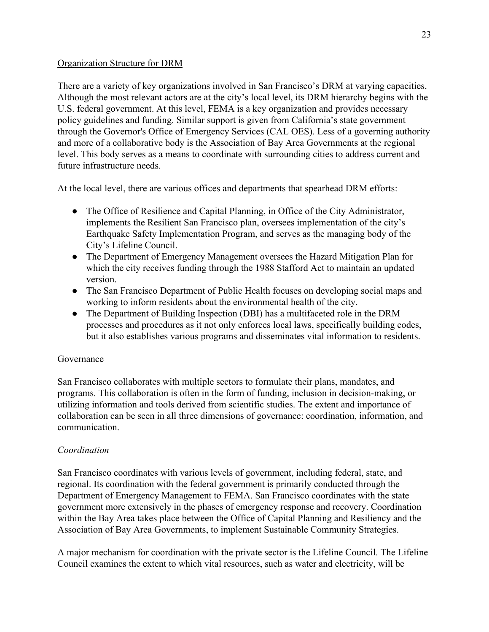# Organization Structure for DRM

There are a variety of key organizations involved in San Francisco's DRM at varying capacities. Although the most relevant actors are at the city's local level, its DRM hierarchy begins with the U.S. federal government. At this level, FEMA is a key organization and provides necessary policy guidelines and funding. Similar support is given from California's state government through the Governor's Office of Emergency Services (CAL OES). Less of a governing authority and more of a collaborative body is the Association of Bay Area Governments at the regional level. This body serves as a means to coordinate with surrounding cities to address current and future infrastructure needs.

At the local level, there are various offices and departments that spearhead DRM efforts:

- The Office of Resilience and Capital Planning, in Office of the City Administrator, implements the Resilient San Francisco plan, oversees implementation of the city's Earthquake Safety Implementation Program, and serves as the managing body of the City's Lifeline Council.
- The Department of Emergency Management oversees the Hazard Mitigation Plan for which the city receives funding through the 1988 Stafford Act to maintain an updated version.
- The San Francisco Department of Public Health focuses on developing social maps and working to inform residents about the environmental health of the city.
- The Department of Building Inspection (DBI) has a multifaceted role in the DRM processes and procedures as it not only enforces local laws, specifically building codes, but it also establishes various programs and disseminates vital information to residents.

# Governance

San Francisco collaborates with multiple sectors to formulate their plans, mandates, and programs. This collaboration is often in the form of funding, inclusion in decision-making, or utilizing information and tools derived from scientific studies. The extent and importance of collaboration can be seen in all three dimensions of governance: coordination, information, and communication.

# *Coordination*

San Francisco coordinates with various levels of government, including federal, state, and regional. Its coordination with the federal government is primarily conducted through the Department of Emergency Management to FEMA. San Francisco coordinates with the state government more extensively in the phases of emergency response and recovery. Coordination within the Bay Area takes place between the Office of Capital Planning and Resiliency and the Association of Bay Area Governments, to implement Sustainable Community Strategies.

A major mechanism for coordination with the private sector is the Lifeline Council. The Lifeline Council examines the extent to which vital resources, such as water and electricity, will be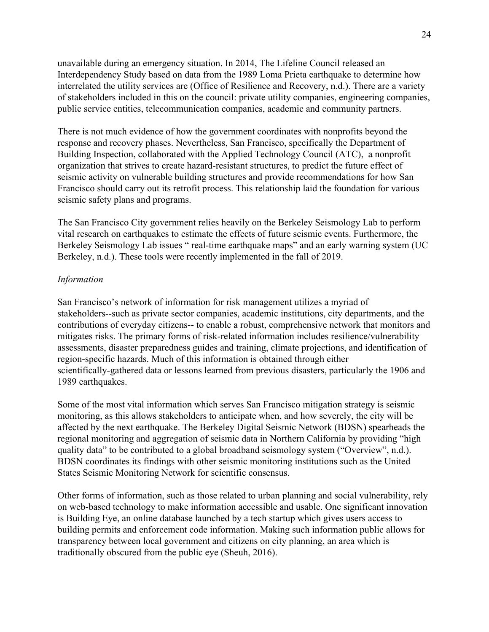unavailable during an emergency situation. In 2014, The Lifeline Council released an Interdependency Study based on data from the 1989 Loma Prieta earthquake to determine how interrelated the utility services are (Office of Resilience and Recovery, n.d.). There are a variety of stakeholders included in this on the council: private utility companies, engineering companies, public service entities, telecommunication companies, academic and community partners.

There is not much evidence of how the government coordinates with nonprofits beyond the response and recovery phases. Nevertheless, San Francisco, specifically the Department of Building Inspection, collaborated with the Applied Technology Council (ATC), a nonprofit organization that strives to create hazard-resistant structures, to predict the future effect of seismic activity on vulnerable building structures and provide recommendations for how San Francisco should carry out its retrofit process. This relationship laid the foundation for various seismic safety plans and programs.

The San Francisco City government relies heavily on the Berkeley Seismology Lab to perform vital research on earthquakes to estimate the effects of future seismic events. Furthermore, the Berkeley Seismology Lab issues " real-time earthquake maps" and an early warning system (UC Berkeley, n.d.). These tools were recently implemented in the fall of 2019.

#### *Information*

San Francisco's network of information for risk management utilizes a myriad of stakeholders--such as private sector companies, academic institutions, city departments, and the contributions of everyday citizens-- to enable a robust, comprehensive network that monitors and mitigates risks. The primary forms of risk-related information includes resilience/vulnerability assessments, disaster preparedness guides and training, climate projections, and identification of region-specific hazards. Much of this information is obtained through either scientifically-gathered data or lessons learned from previous disasters, particularly the 1906 and 1989 earthquakes.

Some of the most vital information which serves San Francisco mitigation strategy is seismic monitoring, as this allows stakeholders to anticipate when, and how severely, the city will be affected by the next earthquake. The Berkeley Digital Seismic Network (BDSN) spearheads the regional monitoring and aggregation of seismic data in Northern California by providing "high quality data" to be contributed to a global broadband seismology system ("Overview", n.d.). BDSN coordinates its findings with other seismic monitoring institutions such as the United States Seismic Monitoring Network for scientific consensus.

Other forms of information, such as those related to urban planning and social vulnerability, rely on web-based technology to make information accessible and usable. One significant innovation is Building Eye, an online database launched by a tech startup which gives users access to building permits and enforcement code information. Making such information public allows for transparency between local government and citizens on city planning, an area which is traditionally obscured from the public eye (Sheuh, 2016).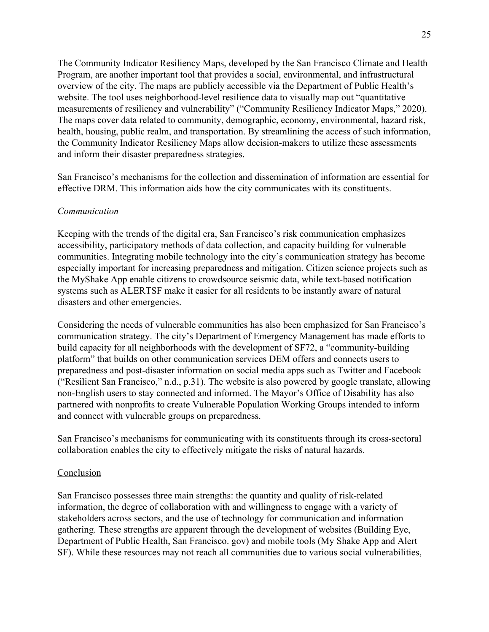The Community Indicator Resiliency Maps, developed by the San Francisco Climate and Health Program, are another important tool that provides a social, environmental, and infrastructural overview of the city. The maps are publicly accessible via the Department of Public Health's website. The tool uses neighborhood-level resilience data to visually map out "quantitative measurements of resiliency and vulnerability" ("Community Resiliency Indicator Maps," 2020). The maps cover data related to community, demographic, economy, environmental, hazard risk, health, housing, public realm, and transportation. By streamlining the access of such information, the Community Indicator Resiliency Maps allow decision-makers to utilize these assessments and inform their disaster preparedness strategies.

San Francisco's mechanisms for the collection and dissemination of information are essential for effective DRM. This information aids how the city communicates with its constituents.

#### *Communication*

Keeping with the trends of the digital era, San Francisco's risk communication emphasizes accessibility, participatory methods of data collection, and capacity building for vulnerable communities. Integrating mobile technology into the city's communication strategy has become especially important for increasing preparedness and mitigation. Citizen science projects such as the MyShake App enable citizens to crowdsource seismic data, while text-based notification systems such as ALERTSF make it easier for all residents to be instantly aware of natural disasters and other emergencies.

Considering the needs of vulnerable communities has also been emphasized for San Francisco's communication strategy. The city's Department of Emergency Management has made efforts to build capacity for all neighborhoods with the development of SF72, a "community-building platform" that builds on other communication services DEM offers and connects users to preparedness and post-disaster information on social media apps such as Twitter and Facebook ("Resilient San Francisco," n.d., p.31). The website is also powered by google translate, allowing non-English users to stay connected and informed. The Mayor's Office of Disability has also partnered with nonprofits to create Vulnerable Population Working Groups intended to inform and connect with vulnerable groups on preparedness.

San Francisco's mechanisms for communicating with its constituents through its cross-sectoral collaboration enables the city to effectively mitigate the risks of natural hazards.

#### **Conclusion**

San Francisco possesses three main strengths: the quantity and quality of risk-related information, the degree of collaboration with and willingness to engage with a variety of stakeholders across sectors, and the use of technology for communication and information gathering. These strengths are apparent through the development of websites (Building Eye, Department of Public Health, San Francisco. gov) and mobile tools (My Shake App and Alert SF). While these resources may not reach all communities due to various social vulnerabilities,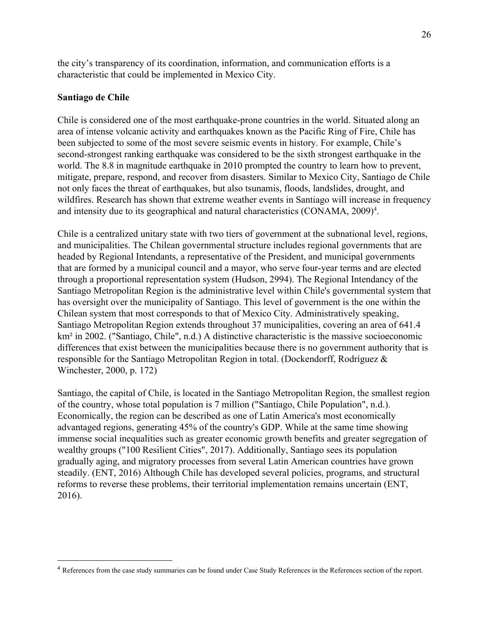the city's transparency of its coordination, information, and communication efforts is a characteristic that could be implemented in Mexico City.

#### **Santiago de Chile**

Chile is considered one of the most earthquake-prone countries in the world. Situated along an area of intense volcanic activity and earthquakes known as the Pacific Ring of Fire, Chile has been subjected to some of the most severe seismic events in history. For example, Chile's second-strongest ranking earthquake was considered to be the sixth strongest earthquake in the world. The 8.8 in magnitude earthquake in 2010 prompted the country to learn how to prevent, mitigate, prepare, respond, and recover from disasters. Similar to Mexico City, Santiago de Chile not only faces the threat of earthquakes, but also tsunamis, floods, landslides, drought, and wildfires. Research has shown that extreme weather events in Santiago will increase in frequency and intensity due to its geographical and natural characteristics (CONAMA, 2009)<sup>4</sup>.

Chile is a centralized unitary state with two tiers of government at the subnational level, regions, and municipalities. The Chilean governmental structure includes regional governments that are headed by Regional Intendants, a representative of the President, and municipal governments that are formed by a municipal council and a mayor, who serve four-year terms and are elected through a proportional representation system (Hudson, 2994). The Regional Intendancy of the Santiago Metropolitan Region is the administrative level within Chile's governmental system that has oversight over the municipality of Santiago. This level of government is the one within the Chilean system that most corresponds to that of Mexico City. Administratively speaking, Santiago Metropolitan Region extends throughout 37 municipalities, covering an area of 641.4 km² in 2002. ("Santiago, Chile", n.d.) A distinctive characteristic is the massive socioeconomic differences that exist between the municipalities because there is no government authority that is responsible for the Santiago Metropolitan Region in total. (Dockendorff, Rodríguez & Winchester, 2000, p. 172)

Santiago, the capital of Chile, is located in the Santiago Metropolitan Region, the smallest region of the country, whose total population is 7 million ("Santiago, Chile Population", n.d.). Economically, the region can be described as one of Latin America's most economically advantaged regions, generating 45% of the country's GDP. While at the same time showing immense social inequalities such as greater economic growth benefits and greater segregation of wealthy groups ("100 Resilient Cities", 2017). Additionally, Santiago sees its population gradually aging, and migratory processes from several Latin American countries have grown steadily. (ENT, 2016) Although Chile has developed several policies, programs, and structural reforms to reverse these problems, their territorial implementation remains uncertain (ENT, 2016).

<sup>&</sup>lt;sup>4</sup> References from the case study summaries can be found under Case Study References in the References section of the report.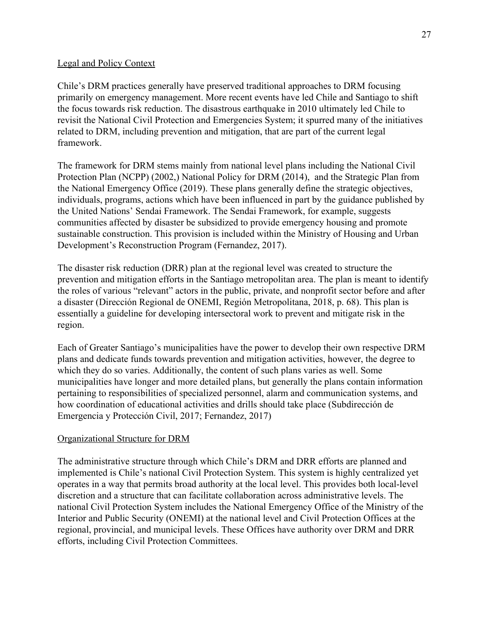# Legal and Policy Context

Chile's DRM practices generally have preserved traditional approaches to DRM focusing primarily on emergency management. More recent events have led Chile and Santiago to shift the focus towards risk reduction. The disastrous earthquake in 2010 ultimately led Chile to revisit the National Civil Protection and Emergencies System; it spurred many of the initiatives related to DRM, including prevention and mitigation, that are part of the current legal framework.

The framework for DRM stems mainly from national level plans including the National Civil Protection Plan (NCPP) (2002,) National Policy for DRM (2014), and the Strategic Plan from the National Emergency Office (2019). These plans generally define the strategic objectives, individuals, programs, actions which have been influenced in part by the guidance published by the United Nations' Sendai Framework. The Sendai Framework, for example, suggests communities affected by disaster be subsidized to provide emergency housing and promote sustainable construction. This provision is included within the Ministry of Housing and Urban Development's Reconstruction Program (Fernandez, 2017).

The disaster risk reduction (DRR) plan at the regional level was created to structure the prevention and mitigation efforts in the Santiago metropolitan area. The plan is meant to identify the roles of various "relevant" actors in the public, private, and nonprofit sector before and after a disaster (Dirección Regional de ONEMI, Región Metropolitana, 2018, p. 68). This plan is essentially a guideline for developing intersectoral work to prevent and mitigate risk in the region.

Each of Greater Santiago's municipalities have the power to develop their own respective DRM plans and dedicate funds towards prevention and mitigation activities, however, the degree to which they do so varies. Additionally, the content of such plans varies as well. Some municipalities have longer and more detailed plans, but generally the plans contain information pertaining to responsibilities of specialized personnel, alarm and communication systems, and how coordination of educational activities and drills should take place (Subdirección de Emergencia y Protección Civil, 2017; Fernandez, 2017)

# Organizational Structure for DRM

The administrative structure through which Chile's DRM and DRR efforts are planned and implemented is Chile's national Civil Protection System. This system is highly centralized yet operates in a way that permits broad authority at the local level. This provides both local-level discretion and a structure that can facilitate collaboration across administrative levels. The national Civil Protection System includes the National Emergency Office of the Ministry of the Interior and Public Security (ONEMI) at the national level and Civil Protection Offices at the regional, provincial, and municipal levels. These Offices have authority over DRM and DRR efforts, including Civil Protection Committees.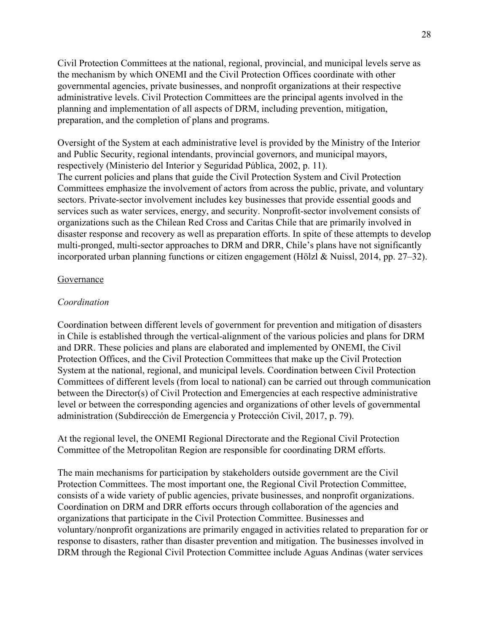Civil Protection Committees at the national, regional, provincial, and municipal levels serve as the mechanism by which ONEMI and the Civil Protection Offices coordinate with other governmental agencies, private businesses, and nonprofit organizations at their respective administrative levels. Civil Protection Committees are the principal agents involved in the planning and implementation of all aspects of DRM, including prevention, mitigation, preparation, and the completion of plans and programs.

Oversight of the System at each administrative level is provided by the Ministry of the Interior and Public Security, regional intendants, provincial governors, and municipal mayors, respectively (Ministerio del Interior y Seguridad Pública, 2002, p. 11). The current policies and plans that guide the Civil Protection System and Civil Protection Committees emphasize the involvement of actors from across the public, private, and voluntary sectors. Private-sector involvement includes key businesses that provide essential goods and services such as water services, energy, and security. Nonprofit-sector involvement consists of organizations such as the Chilean Red Cross and Caritas Chile that are primarily involved in disaster response and recovery as well as preparation efforts. In spite of these attempts to develop multi-pronged, multi-sector approaches to DRM and DRR, Chile's plans have not significantly incorporated urban planning functions or citizen engagement (Hölzl & Nuissl, 2014, pp. 27–32).

#### Governance

#### *Coordination*

Coordination between different levels of government for prevention and mitigation of disasters in Chile is established through the vertical-alignment of the various policies and plans for DRM and DRR. These policies and plans are elaborated and implemented by ONEMI, the Civil Protection Offices, and the Civil Protection Committees that make up the Civil Protection System at the national, regional, and municipal levels. Coordination between Civil Protection Committees of different levels (from local to national) can be carried out through communication between the Director(s) of Civil Protection and Emergencies at each respective administrative level or between the corresponding agencies and organizations of other levels of governmental administration (Subdirección de Emergencia y Protección Civil, 2017, p. 79).

At the regional level, the ONEMI Regional Directorate and the Regional Civil Protection Committee of the Metropolitan Region are responsible for coordinating DRM efforts.

The main mechanisms for participation by stakeholders outside government are the Civil Protection Committees. The most important one, the Regional Civil Protection Committee, consists of a wide variety of public agencies, private businesses, and nonprofit organizations. Coordination on DRM and DRR efforts occurs through collaboration of the agencies and organizations that participate in the Civil Protection Committee. Businesses and voluntary/nonprofit organizations are primarily engaged in activities related to preparation for or response to disasters, rather than disaster prevention and mitigation. The businesses involved in DRM through the Regional Civil Protection Committee include Aguas Andinas (water services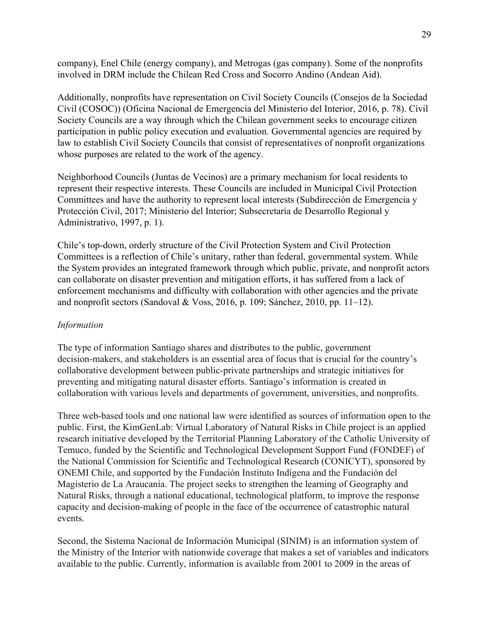company), Enel Chile (energy company), and Metrogas (gas company). Some of the nonprofits involved in DRM include the Chilean Red Cross and Socorro Andino (Andean Aid).

Additionally, nonprofits have representation on Civil Society Councils (Consejos de la Sociedad Civil (COSOC)) (Oficina Nacional de Emergencia del Ministerio del Interior, 2016, p. 78). Civil Society Councils are a way through which the Chilean government seeks to encourage citizen participation in public policy execution and evaluation. Governmental agencies are required by law to establish Civil Society Councils that consist of representatives of nonprofit organizations whose purposes are related to the work of the agency.

Neighborhood Councils (Juntas de Vecinos) are a primary mechanism for local residents to represent their respective interests. These Councils are included in Municipal Civil Protection Committees and have the authority to represent local interests (Subdirección de Emergencia y Protección Civil, 2017; [Ministerio del Interior; Subsecretaría de Desarrollo Regional y](https://www.zotero.org/google-docs/?53Mjyx) [Administrativo, 1997, p. 1\)](https://www.zotero.org/google-docs/?53Mjyx).

Chile's top-down, orderly structure of the Civil Protection System and Civil Protection Committees is a reflection of Chile's unitary, rather than federal, governmental system. While the System provides an integrated framework through which public, private, and nonprofit actors can collaborate on disaster prevention and mitigation efforts, it has suffered from a lack of enforcement mechanisms and difficulty with collaboration with other agencies and the private and nonprofit sectors (Sandoval & Voss, 2016, p. 109; Sánchez, 2010, pp. 11–12).

# *Information*

The type of information Santiago shares and distributes to the public, government decision-makers, and stakeholders is an essential area of focus that is crucial for the country's collaborative development between public-private partnerships and strategic initiatives for preventing and mitigating natural disaster efforts. Santiago's information is created in collaboration with various levels and departments of government, universities, and nonprofits.

Three web-based tools and one national law were identified as sources of information open to the public. First, the KimGenLab: Virtual Laboratory of Natural Risks in Chile project is an applied research initiative developed by the Territorial Planning Laboratory of the Catholic University of Temuco, funded by the Scientific and Technological Development Support Fund (FONDEF) of the National Commission for Scientific and Technological Research (CONICYT), sponsored by ONEMI Chile, and supported by the Fundación Instituto Indígena and the Fundación del Magisterio de La Araucanía. The project seeks to strengthen the learning of Geography and Natural Risks, through a national educational, technological platform, to improve the response capacity and decision-making of people in the face of the occurrence of catastrophic natural events.

Second, the Sistema Nacional de Información Municipal (SINIM) is an information system of the Ministry of the Interior with nationwide coverage that makes a set of variables and indicators available to the public. Currently, information is available from 2001 to 2009 in the areas of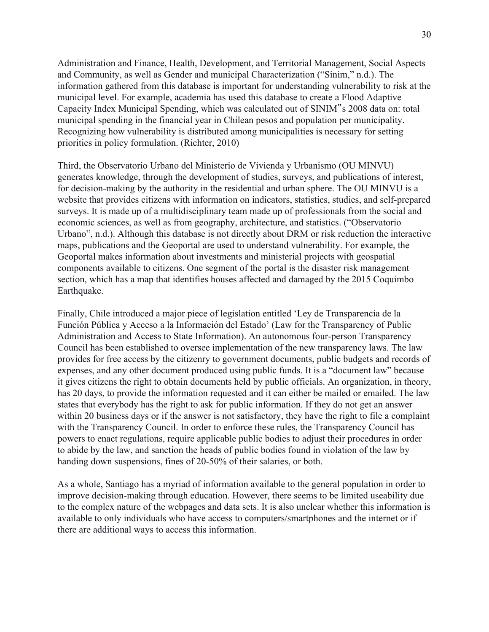Administration and Finance, Health, Development, and Territorial Management, Social Aspects and Community, as well as Gender and municipal Characterization ("Sinim," n.d.). The information gathered from this database is important for understanding vulnerability to risk at the municipal level. For example, academia has used this database to create a Flood Adaptive Capacity Index Municipal Spending, which was calculated out of SINIM"s 2008 data on: total municipal spending in the financial year in Chilean pesos and population per municipality. Recognizing how vulnerability is distributed among municipalities is necessary for setting priorities in policy formulation. (Richter, 2010)

Third, the Observatorio Urbano del Ministerio de Vivienda y Urbanismo (OU MINVU) generates knowledge, through the development of studies, surveys, and publications of interest, for decision-making by the authority in the residential and urban sphere. The OU MINVU is a website that provides citizens with information on indicators, statistics, studies, and self-prepared surveys. It is made up of a multidisciplinary team made up of professionals from the social and economic sciences, as well as from geography, architecture, and statistics. ("Observatorio Urbano", n.d.). Although this database is not directly about DRM or risk reduction the interactive maps, publications and the Geoportal are used to understand vulnerability. For example, the Geoportal makes information about investments and ministerial projects with geospatial components available to citizens. One segment of the portal is the disaster risk management section, which has a map that identifies houses affected and damaged by the 2015 Coquimbo Earthquake.

Finally, Chile introduced a major piece of legislation entitled 'Ley de Transparencia de la Función Pública y Acceso a la Información del Estado' (Law for the Transparency of Public Administration and Access to State Information). An autonomous four-person Transparency Council has been established to oversee implementation of the new transparency laws. The law provides for free access by the citizenry to government documents, public budgets and records of expenses, and any other document produced using public funds. It is a "document law" because it gives citizens the right to obtain documents held by public officials. An organization, in theory, has 20 days, to provide the information requested and it can either be mailed or emailed. The law states that everybody has the right to ask for public information. If they do not get an answer within 20 business days or if the answer is not satisfactory, they have the right to file a complaint with the Transparency Council. In order to enforce these rules, the Transparency Council has powers to enact regulations, require applicable public bodies to adjust their procedures in order to abide by the law, and sanction the heads of public bodies found in violation of the law by handing down suspensions, fines of 20-50% of their salaries, or both.

As a whole, Santiago has a myriad of information available to the general population in order to improve decision-making through education. However, there seems to be limited useability due to the complex nature of the webpages and data sets. It is also unclear whether this information is available to only individuals who have access to computers/smartphones and the internet or if there are additional ways to access this information.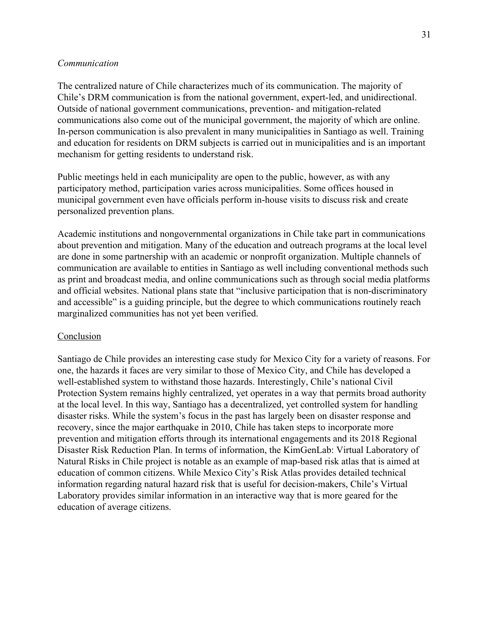#### *Communication*

The centralized nature of Chile characterizes much of its communication. The majority of Chile's DRM communication is from the national government, expert-led, and unidirectional. Outside of national government communications, prevention- and mitigation-related communications also come out of the municipal government, the majority of which are online. In-person communication is also prevalent in many municipalities in Santiago as well. Training and education for residents on DRM subjects is carried out in municipalities and is an important mechanism for getting residents to understand risk.

Public meetings held in each municipality are open to the public, however, as with any participatory method, participation varies across municipalities. Some offices housed in municipal government even have officials perform in-house visits to discuss risk and create personalized prevention plans.

Academic institutions and nongovernmental organizations in Chile take part in communications about prevention and mitigation. Many of the education and outreach programs at the local level are done in some partnership with an academic or nonprofit organization. Multiple channels of communication are available to entities in Santiago as well including conventional methods such as print and broadcast media, and online communications such as through social media platforms and official websites. National plans state that "inclusive participation that is non-discriminatory and accessible" is a guiding principle, but the degree to which communications routinely reach marginalized communities has not yet been verified.

#### Conclusion

Santiago de Chile provides an interesting case study for Mexico City for a variety of reasons. For one, the hazards it faces are very similar to those of Mexico City, and Chile has developed a well-established system to withstand those hazards. Interestingly, Chile's national Civil Protection System remains highly centralized, yet operates in a way that permits broad authority at the local level. In this way, Santiago has a decentralized, yet controlled system for handling disaster risks. While the system's focus in the past has largely been on disaster response and recovery, since the major earthquake in 2010, Chile has taken steps to incorporate more prevention and mitigation efforts through its international engagements and its 2018 Regional Disaster Risk Reduction Plan. In terms of information, the KimGenLab: Virtual Laboratory of Natural Risks in Chile project is notable as an example of map-based risk atlas that is aimed at education of common citizens. While Mexico City's Risk Atlas provides detailed technical information regarding natural hazard risk that is useful for decision-makers, Chile's Virtual Laboratory provides similar information in an interactive way that is more geared for the education of average citizens.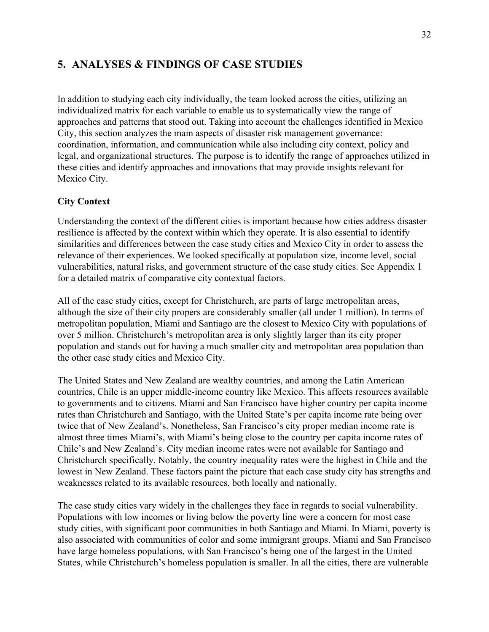# **5. ANALYSES & FINDINGS OF CASE STUDIES**

In addition to studying each city individually, the team looked across the cities, utilizing an individualized matrix for each variable to enable us to systematically view the range of approaches and patterns that stood out. Taking into account the challenges identified in Mexico City, this section analyzes the main aspects of disaster risk management governance: coordination, information, and communication while also including city context, policy and legal, and organizational structures. The purpose is to identify the range of approaches utilized in these cities and identify approaches and innovations that may provide insights relevant for Mexico City.

# **City Context**

Understanding the context of the different cities is important because how cities address disaster resilience is affected by the context within which they operate. It is also essential to identify similarities and differences between the case study cities and Mexico City in order to assess the relevance of their experiences. We looked specifically at population size, income level, social vulnerabilities, natural risks, and government structure of the case study cities. See Appendix 1 for a detailed matrix of comparative city contextual factors.

All of the case study cities, except for Christchurch, are parts of large metropolitan areas, although the size of their city propers are considerably smaller (all under 1 million). In terms of metropolitan population, Miami and Santiago are the closest to Mexico City with populations of over 5 million. Christchurch's metropolitan area is only slightly larger than its city proper population and stands out for having a much smaller city and metropolitan area population than the other case study cities and Mexico City.

The United States and New Zealand are wealthy countries, and among the Latin American countries, Chile is an upper middle-income country like Mexico. This affects resources available to governments and to citizens. Miami and San Francisco have higher country per capita income rates than Christchurch and Santiago, with the United State's per capita income rate being over twice that of New Zealand's. Nonetheless, San Francisco's city proper median income rate is almost three times Miami's, with Miami's being close to the country per capita income rates of Chile's and New Zealand's. City median income rates were not available for Santiago and Christchurch specifically. Notably, the country inequality rates were the highest in Chile and the lowest in New Zealand. These factors paint the picture that each case study city has strengths and weaknesses related to its available resources, both locally and nationally.

The case study cities vary widely in the challenges they face in regards to social vulnerability. Populations with low incomes or living below the poverty line were a concern for most case study cities, with significant poor communities in both Santiago and Miami. In Miami, poverty is also associated with communities of color and some immigrant groups. Miami and San Francisco have large homeless populations, with San Francisco's being one of the largest in the United States, while Christchurch's homeless population is smaller. In all the cities, there are vulnerable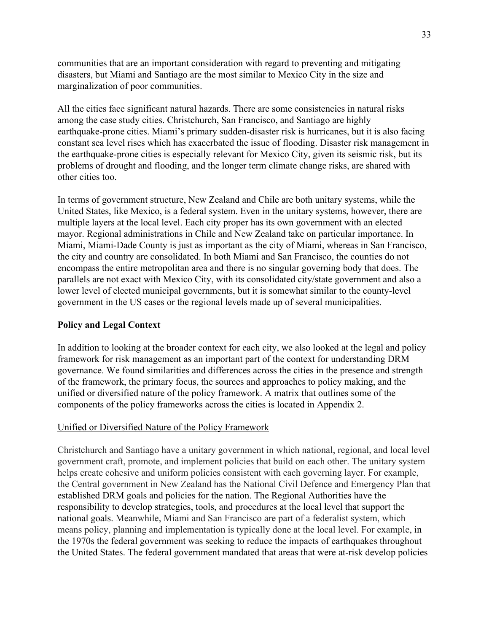communities that are an important consideration with regard to preventing and mitigating disasters, but Miami and Santiago are the most similar to Mexico City in the size and marginalization of poor communities.

All the cities face significant natural hazards. There are some consistencies in natural risks among the case study cities. Christchurch, San Francisco, and Santiago are highly earthquake-prone cities. Miami's primary sudden-disaster risk is hurricanes, but it is also facing constant sea level rises which has exacerbated the issue of flooding. Disaster risk management in the earthquake-prone cities is especially relevant for Mexico City, given its seismic risk, but its problems of drought and flooding, and the longer term climate change risks, are shared with other cities too.

In terms of government structure, New Zealand and Chile are both unitary systems, while the United States, like Mexico, is a federal system. Even in the unitary systems, however, there are multiple layers at the local level. Each city proper has its own government with an elected mayor. Regional administrations in Chile and New Zealand take on particular importance. In Miami, Miami-Dade County is just as important as the city of Miami, whereas in San Francisco, the city and country are consolidated. In both Miami and San Francisco, the counties do not encompass the entire metropolitan area and there is no singular governing body that does. The parallels are not exact with Mexico City, with its consolidated city/state government and also a lower level of elected municipal governments, but it is somewhat similar to the county-level government in the US cases or the regional levels made up of several municipalities.

# **Policy and Legal Context**

In addition to looking at the broader context for each city, we also looked at the legal and policy framework for risk management as an important part of the context for understanding DRM governance. We found similarities and differences across the cities in the presence and strength of the framework, the primary focus, the sources and approaches to policy making, and the unified or diversified nature of the policy framework. A matrix that outlines some of the components of the policy frameworks across the cities is located in Appendix 2.

# Unified or Diversified Nature of the Policy Framework

Christchurch and Santiago have a unitary government in which national, regional, and local level government craft, promote, and implement policies that build on each other. The unitary system helps create cohesive and uniform policies consistent with each governing layer. For example, the Central government in New Zealand has the National Civil Defence and Emergency Plan that established DRM goals and policies for the nation. The Regional Authorities have the responsibility to develop strategies, tools, and procedures at the local level that support the national goals. Meanwhile, Miami and San Francisco are part of a federalist system, which means policy, planning and implementation is typically done at the local level. For example, in the 1970s the federal government was seeking to reduce the impacts of earthquakes throughout the United States. The federal government mandated that areas that were at-risk develop policies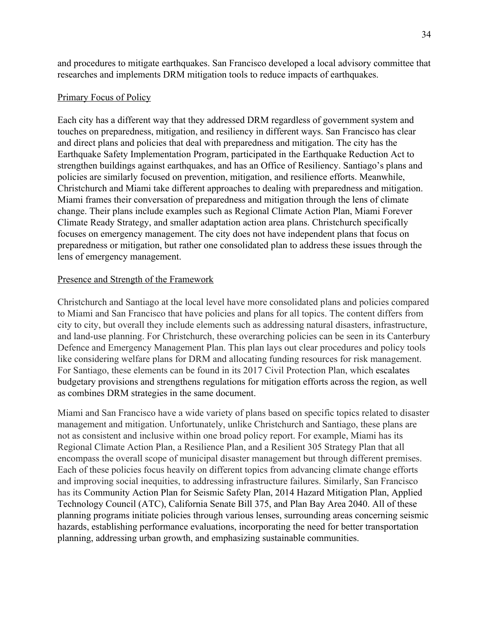and procedures to mitigate earthquakes. San Francisco developed a local advisory committee that researches and implements DRM mitigation tools to reduce impacts of earthquakes.

#### Primary Focus of Policy

Each city has a different way that they addressed DRM regardless of government system and touches on preparedness, mitigation, and resiliency in different ways. San Francisco has clear and direct plans and policies that deal with preparedness and mitigation. The city has the Earthquake Safety Implementation Program, participated in the Earthquake Reduction Act to strengthen buildings against earthquakes, and has an Office of Resiliency. Santiago's plans and policies are similarly focused on prevention, mitigation, and resilience efforts. Meanwhile, Christchurch and Miami take different approaches to dealing with preparedness and mitigation. Miami frames their conversation of preparedness and mitigation through the lens of climate change. Their plans include examples such as Regional Climate Action Plan, Miami Forever Climate Ready Strategy, and smaller adaptation action area plans. Christchurch specifically focuses on emergency management. The city does not have independent plans that focus on preparedness or mitigation, but rather one consolidated plan to address these issues through the lens of emergency management.

#### Presence and Strength of the Framework

Christchurch and Santiago at the local level have more consolidated plans and policies compared to Miami and San Francisco that have policies and plans for all topics. The content differs from city to city, but overall they include elements such as addressing natural disasters, infrastructure, and land-use planning. For Christchurch, these overarching policies can be seen in its Canterbury Defence and Emergency Management Plan. This plan lays out clear procedures and policy tools like considering welfare plans for DRM and allocating funding resources for risk management. For Santiago, these elements can be found in its 2017 Civil Protection Plan, which escalates budgetary provisions and strengthens regulations for mitigation efforts across the region, as well as combines DRM strategies in the same document.

Miami and San Francisco have a wide variety of plans based on specific topics related to disaster management and mitigation. Unfortunately, unlike Christchurch and Santiago, these plans are not as consistent and inclusive within one broad policy report. For example, Miami has its Regional Climate Action Plan, a Resilience Plan, and a Resilient 305 Strategy Plan that all encompass the overall scope of municipal disaster management but through different premises. Each of these policies focus heavily on different topics from advancing climate change efforts and improving social inequities, to addressing infrastructure failures. Similarly, San Francisco has its Community Action Plan for Seismic Safety Plan, 2014 Hazard Mitigation Plan, Applied Technology Council (ATC), California Senate Bill 375, and Plan Bay Area 2040. All of these planning programs initiate policies through various lenses, surrounding areas concerning seismic hazards, establishing performance evaluations, incorporating the need for better transportation planning, addressing urban growth, and emphasizing sustainable communities.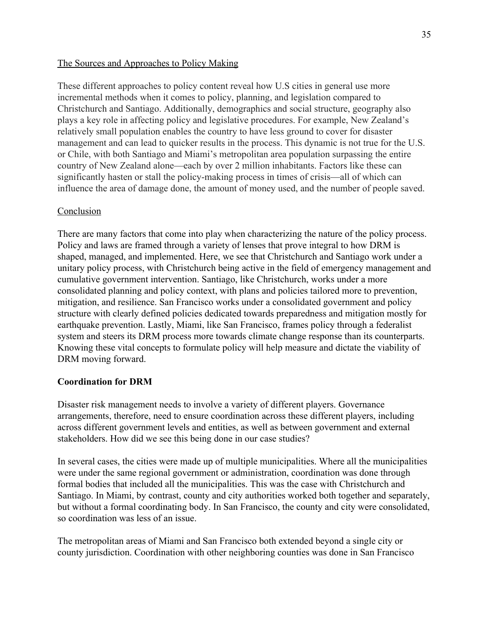# The Sources and Approaches to Policy Making

These different approaches to policy content reveal how U.S cities in general use more incremental methods when it comes to policy, planning, and legislation compared to Christchurch and Santiago. Additionally, demographics and social structure, geography also plays a key role in affecting policy and legislative procedures. For example, New Zealand's relatively small population enables the country to have less ground to cover for disaster management and can lead to quicker results in the process. This dynamic is not true for the U.S. or Chile, with both Santiago and Miami's metropolitan area population surpassing the entire country of New Zealand alone—each by over 2 million inhabitants. Factors like these can significantly hasten or stall the policy-making process in times of crisis—all of which can influence the area of damage done, the amount of money used, and the number of people saved.

# Conclusion

There are many factors that come into play when characterizing the nature of the policy process. Policy and laws are framed through a variety of lenses that prove integral to how DRM is shaped, managed, and implemented. Here, we see that Christchurch and Santiago work under a unitary policy process, with Christchurch being active in the field of emergency management and cumulative government intervention. Santiago, like Christchurch, works under a more consolidated planning and policy context, with plans and policies tailored more to prevention, mitigation, and resilience. San Francisco works under a consolidated government and policy structure with clearly defined policies dedicated towards preparedness and mitigation mostly for earthquake prevention. Lastly, Miami, like San Francisco, frames policy through a federalist system and steers its DRM process more towards climate change response than its counterparts. Knowing these vital concepts to formulate policy will help measure and dictate the viability of DRM moving forward.

# **Coordination for DRM**

Disaster risk management needs to involve a variety of different players. Governance arrangements, therefore, need to ensure coordination across these different players, including across different government levels and entities, as well as between government and external stakeholders. How did we see this being done in our case studies?

In several cases, the cities were made up of multiple municipalities. Where all the municipalities were under the same regional government or administration, coordination was done through formal bodies that included all the municipalities. This was the case with Christchurch and Santiago. In Miami, by contrast, county and city authorities worked both together and separately, but without a formal coordinating body. In San Francisco, the county and city were consolidated, so coordination was less of an issue.

The metropolitan areas of Miami and San Francisco both extended beyond a single city or county jurisdiction. Coordination with other neighboring counties was done in San Francisco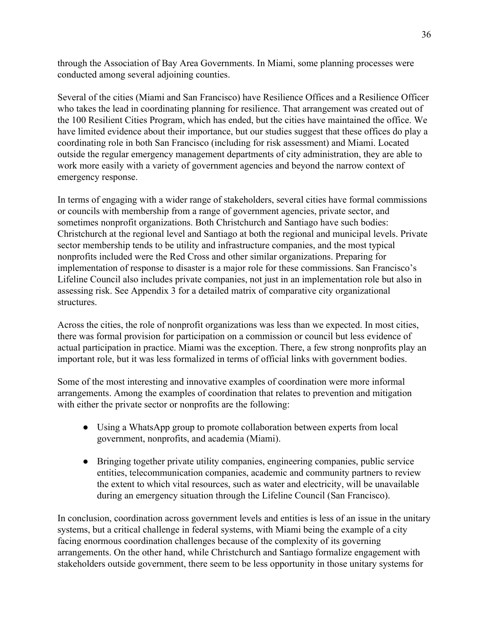through the Association of Bay Area Governments. In Miami, some planning processes were conducted among several adjoining counties.

Several of the cities (Miami and San Francisco) have Resilience Offices and a Resilience Officer who takes the lead in coordinating planning for resilience. That arrangement was created out of the 100 Resilient Cities Program, which has ended, but the cities have maintained the office. We have limited evidence about their importance, but our studies suggest that these offices do play a coordinating role in both San Francisco (including for risk assessment) and Miami. Located outside the regular emergency management departments of city administration, they are able to work more easily with a variety of government agencies and beyond the narrow context of emergency response.

In terms of engaging with a wider range of stakeholders, several cities have formal commissions or councils with membership from a range of government agencies, private sector, and sometimes nonprofit organizations. Both Christchurch and Santiago have such bodies: Christchurch at the regional level and Santiago at both the regional and municipal levels. Private sector membership tends to be utility and infrastructure companies, and the most typical nonprofits included were the Red Cross and other similar organizations. Preparing for implementation of response to disaster is a major role for these commissions. San Francisco's Lifeline Council also includes private companies, not just in an implementation role but also in assessing risk. See Appendix 3 for a detailed matrix of comparative city organizational structures.

Across the cities, the role of nonprofit organizations was less than we expected. In most cities, there was formal provision for participation on a commission or council but less evidence of actual participation in practice. Miami was the exception. There, a few strong nonprofits play an important role, but it was less formalized in terms of official links with government bodies.

Some of the most interesting and innovative examples of coordination were more informal arrangements. Among the examples of coordination that relates to prevention and mitigation with either the private sector or nonprofits are the following:

- Using a WhatsApp group to promote collaboration between experts from local government, nonprofits, and academia (Miami).
- Bringing together private utility companies, engineering companies, public service entities, telecommunication companies, academic and community partners to review the extent to which vital resources, such as water and electricity, will be unavailable during an emergency situation through the Lifeline Council (San Francisco).

In conclusion, coordination across government levels and entities is less of an issue in the unitary systems, but a critical challenge in federal systems, with Miami being the example of a city facing enormous coordination challenges because of the complexity of its governing arrangements. On the other hand, while Christchurch and Santiago formalize engagement with stakeholders outside government, there seem to be less opportunity in those unitary systems for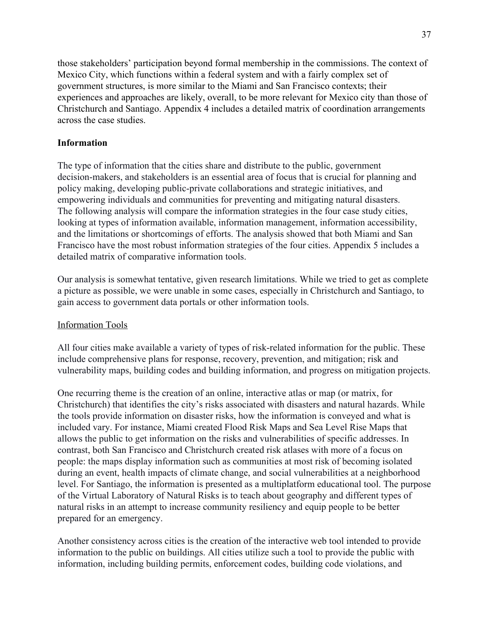those stakeholders' participation beyond formal membership in the commissions. The context of Mexico City, which functions within a federal system and with a fairly complex set of government structures, is more similar to the Miami and San Francisco contexts; their experiences and approaches are likely, overall, to be more relevant for Mexico city than those of Christchurch and Santiago. Appendix 4 includes a detailed matrix of coordination arrangements across the case studies.

# **Information**

The type of information that the cities share and distribute to the public, government decision-makers, and stakeholders is an essential area of focus that is crucial for planning and policy making, developing public-private collaborations and strategic initiatives, and empowering individuals and communities for preventing and mitigating natural disasters. The following analysis will compare the information strategies in the four case study cities, looking at types of information available, information management, information accessibility, and the limitations or shortcomings of efforts. The analysis showed that both Miami and San Francisco have the most robust information strategies of the four cities. Appendix 5 includes a detailed matrix of comparative information tools.

Our analysis is somewhat tentative, given research limitations. While we tried to get as complete a picture as possible, we were unable in some cases, especially in Christchurch and Santiago, to gain access to government data portals or other information tools.

# Information Tools

All four cities make available a variety of types of risk-related information for the public. These include comprehensive plans for response, recovery, prevention, and mitigation; risk and vulnerability maps, building codes and building information, and progress on mitigation projects.

One recurring theme is the creation of an online, interactive atlas or map (or matrix, for Christchurch) that identifies the city's risks associated with disasters and natural hazards. While the tools provide information on disaster risks, how the information is conveyed and what is included vary. For instance, Miami created Flood Risk Maps and Sea Level Rise Maps that allows the public to get information on the risks and vulnerabilities of specific addresses. In contrast, both San Francisco and Christchurch created risk atlases with more of a focus on people: the maps display information such as communities at most risk of becoming isolated during an event, health impacts of climate change, and social vulnerabilities at a neighborhood level. For Santiago, the information is presented as a multiplatform educational tool. The purpose of the Virtual Laboratory of Natural Risks is to teach about geography and different types of natural risks in an attempt to increase community resiliency and equip people to be better prepared for an emergency.

Another consistency across cities is the creation of the interactive web tool intended to provide information to the public on buildings. All cities utilize such a tool to provide the public with information, including building permits, enforcement codes, building code violations, and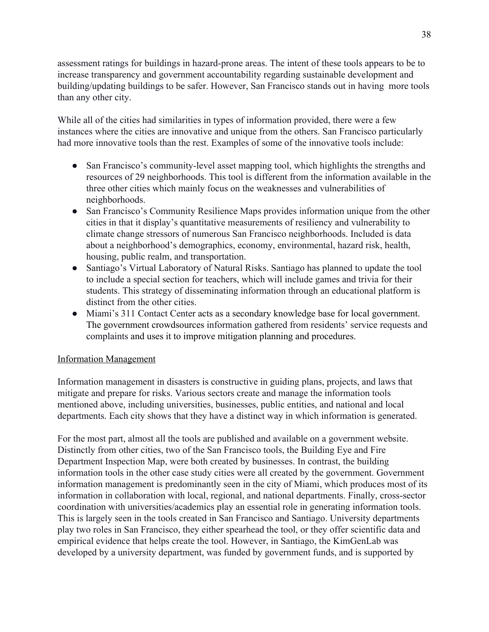assessment ratings for buildings in hazard-prone areas. The intent of these tools appears to be to increase transparency and government accountability regarding sustainable development and building/updating buildings to be safer. However, San Francisco stands out in having more tools than any other city.

While all of the cities had similarities in types of information provided, there were a few instances where the cities are innovative and unique from the others. San Francisco particularly had more innovative tools than the rest. Examples of some of the innovative tools include:

- San Francisco's community-level asset mapping tool, which highlights the strengths and resources of 29 neighborhoods. This tool is different from the information available in the three other cities which mainly focus on the weaknesses and vulnerabilities of neighborhoods.
- San Francisco's Community Resilience Maps provides information unique from the other cities in that it display's quantitative measurements of resiliency and vulnerability to climate change stressors of numerous San Francisco neighborhoods. Included is data about a neighborhood's demographics, economy, environmental, hazard risk, health, housing, public realm, and transportation.
- Santiago's Virtual Laboratory of Natural Risks. Santiago has planned to update the tool to include a special section for teachers, which will include games and trivia for their students. This strategy of disseminating information through an educational platform is distinct from the other cities.
- Miami's 311 Contact Center acts as a secondary knowledge base for local government. The government crowdsources information gathered from residents' service requests and complaints and uses it to improve mitigation planning and procedures.

# Information Management

Information management in disasters is constructive in guiding plans, projects, and laws that mitigate and prepare for risks. Various sectors create and manage the information tools mentioned above, including universities, businesses, public entities, and national and local departments. Each city shows that they have a distinct way in which information is generated.

For the most part, almost all the tools are published and available on a government website. Distinctly from other cities, two of the San Francisco tools, the Building Eye and Fire Department Inspection Map, were both created by businesses. In contrast, the building information tools in the other case study cities were all created by the government. Government information management is predominantly seen in the city of Miami, which produces most of its information in collaboration with local, regional, and national departments. Finally, cross-sector coordination with universities/academics play an essential role in generating information tools. This is largely seen in the tools created in San Francisco and Santiago. University departments play two roles in San Francisco, they either spearhead the tool, or they offer scientific data and empirical evidence that helps create the tool. However, in Santiago, the KimGenLab was developed by a university department, was funded by government funds, and is supported by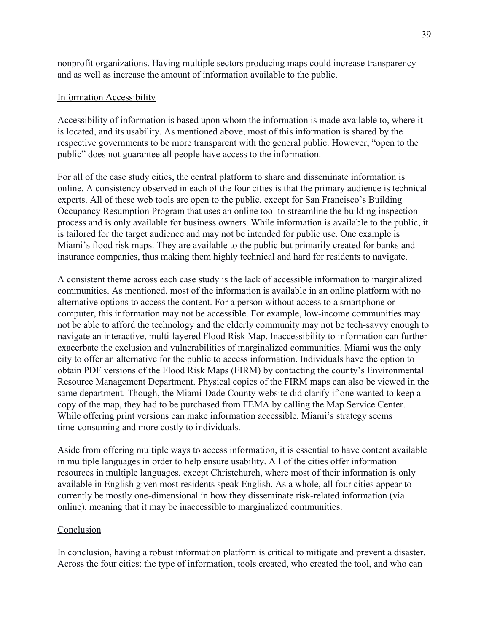nonprofit organizations. Having multiple sectors producing maps could increase transparency and as well as increase the amount of information available to the public.

#### Information Accessibility

Accessibility of information is based upon whom the information is made available to, where it is located, and its usability. As mentioned above, most of this information is shared by the respective governments to be more transparent with the general public. However, "open to the public" does not guarantee all people have access to the information.

For all of the case study cities, the central platform to share and disseminate information is online. A consistency observed in each of the four cities is that the primary audience is technical experts. All of these web tools are open to the public, except for San Francisco's Building Occupancy Resumption Program that uses an online tool to streamline the building inspection process and is only available for business owners. While information is available to the public, it is tailored for the target audience and may not be intended for public use. One example is Miami's flood risk maps. They are available to the public but primarily created for banks and insurance companies, thus making them highly technical and hard for residents to navigate.

A consistent theme across each case study is the lack of accessible information to marginalized communities. As mentioned, most of the information is available in an online platform with no alternative options to access the content. For a person without access to a smartphone or computer, this information may not be accessible. For example, low-income communities may not be able to afford the technology and the elderly community may not be tech-savvy enough to navigate an interactive, multi-layered Flood Risk Map. Inaccessibility to information can further exacerbate the exclusion and vulnerabilities of marginalized communities. Miami was the only city to offer an alternative for the public to access information. Individuals have the option to obtain PDF versions of the Flood Risk Maps (FIRM) by contacting the county's Environmental Resource Management Department. Physical copies of the FIRM maps can also be viewed in the same department. Though, the Miami-Dade County website did clarify if one wanted to keep a copy of the map, they had to be purchased from FEMA by calling the Map Service Center. While offering print versions can make information accessible, Miami's strategy seems time-consuming and more costly to individuals.

Aside from offering multiple ways to access information, it is essential to have content available in multiple languages in order to help ensure usability. All of the cities offer information resources in multiple languages, except Christchurch, where most of their information is only available in English given most residents speak English. As a whole, all four cities appear to currently be mostly one-dimensional in how they disseminate risk-related information (via online), meaning that it may be inaccessible to marginalized communities.

#### Conclusion

In conclusion, having a robust information platform is critical to mitigate and prevent a disaster. Across the four cities: the type of information, tools created, who created the tool, and who can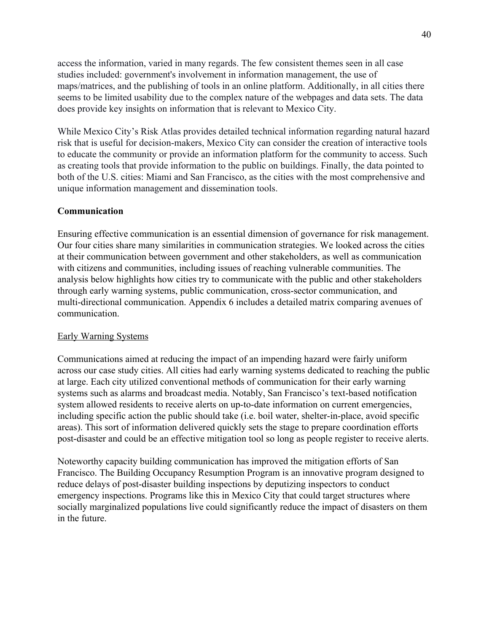access the information, varied in many regards. The few consistent themes seen in all case studies included: government's involvement in information management, the use of maps/matrices, and the publishing of tools in an online platform. Additionally, in all cities there seems to be limited usability due to the complex nature of the webpages and data sets. The data does provide key insights on information that is relevant to Mexico City.

While Mexico City's Risk Atlas provides detailed technical information regarding natural hazard risk that is useful for decision-makers, Mexico City can consider the creation of interactive tools to educate the community or provide an information platform for the community to access. Such as creating tools that provide information to the public on buildings. Finally, the data pointed to both of the U.S. cities: Miami and San Francisco, as the cities with the most comprehensive and unique information management and dissemination tools.

# **Communication**

Ensuring effective communication is an essential dimension of governance for risk management. Our four cities share many similarities in communication strategies. We looked across the cities at their communication between government and other stakeholders, as well as communication with citizens and communities, including issues of reaching vulnerable communities. The analysis below highlights how cities try to communicate with the public and other stakeholders through early warning systems, public communication, cross-sector communication, and multi-directional communication. Appendix 6 includes a detailed matrix comparing avenues of communication.

# Early Warning Systems

Communications aimed at reducing the impact of an impending hazard were fairly uniform across our case study cities. All cities had early warning systems dedicated to reaching the public at large. Each city utilized conventional methods of communication for their early warning systems such as alarms and broadcast media. Notably, San Francisco's text-based notification system allowed residents to receive alerts on up-to-date information on current emergencies, including specific action the public should take (i.e. boil water, shelter-in-place, avoid specific areas). This sort of information delivered quickly sets the stage to prepare coordination efforts post-disaster and could be an effective mitigation tool so long as people register to receive alerts.

Noteworthy capacity building communication has improved the mitigation efforts of San Francisco. The Building Occupancy Resumption Program is an innovative program designed to reduce delays of post-disaster building inspections by deputizing inspectors to conduct emergency inspections. Programs like this in Mexico City that could target structures where socially marginalized populations live could significantly reduce the impact of disasters on them in the future.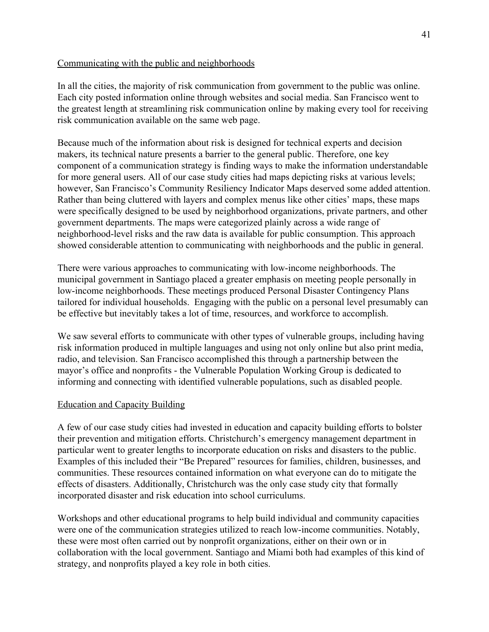# Communicating with the public and neighborhoods

In all the cities, the majority of risk communication from government to the public was online. Each city posted information online through websites and social media. San Francisco went to the greatest length at streamlining risk communication online by making every tool for receiving risk communication available on the same web page.

Because much of the information about risk is designed for technical experts and decision makers, its technical nature presents a barrier to the general public. Therefore, one key component of a communication strategy is finding ways to make the information understandable for more general users. All of our case study cities had maps depicting risks at various levels; however, San Francisco's Community Resiliency Indicator Maps deserved some added attention. Rather than being cluttered with layers and complex menus like other cities' maps, these maps were specifically designed to be used by neighborhood organizations, private partners, and other government departments. The maps were categorized plainly across a wide range of neighborhood-level risks and the raw data is available for public consumption. This approach showed considerable attention to communicating with neighborhoods and the public in general.

There were various approaches to communicating with low-income neighborhoods. The municipal government in Santiago placed a greater emphasis on meeting people personally in low-income neighborhoods. These meetings produced Personal Disaster Contingency Plans tailored for individual households. Engaging with the public on a personal level presumably can be effective but inevitably takes a lot of time, resources, and workforce to accomplish.

We saw several efforts to communicate with other types of vulnerable groups, including having risk information produced in multiple languages and using not only online but also print media, radio, and television. San Francisco accomplished this through a partnership between the mayor's office and nonprofits - the Vulnerable Population Working Group is dedicated to informing and connecting with identified vulnerable populations, such as disabled people.

# Education and Capacity Building

A few of our case study cities had invested in education and capacity building efforts to bolster their prevention and mitigation efforts. Christchurch's emergency management department in particular went to greater lengths to incorporate education on risks and disasters to the public. Examples of this included their "Be Prepared" resources for families, children, businesses, and communities. These resources contained information on what everyone can do to mitigate the effects of disasters. Additionally, Christchurch was the only case study city that formally incorporated disaster and risk education into school curriculums.

Workshops and other educational programs to help build individual and community capacities were one of the communication strategies utilized to reach low-income communities. Notably, these were most often carried out by nonprofit organizations, either on their own or in collaboration with the local government. Santiago and Miami both had examples of this kind of strategy, and nonprofits played a key role in both cities.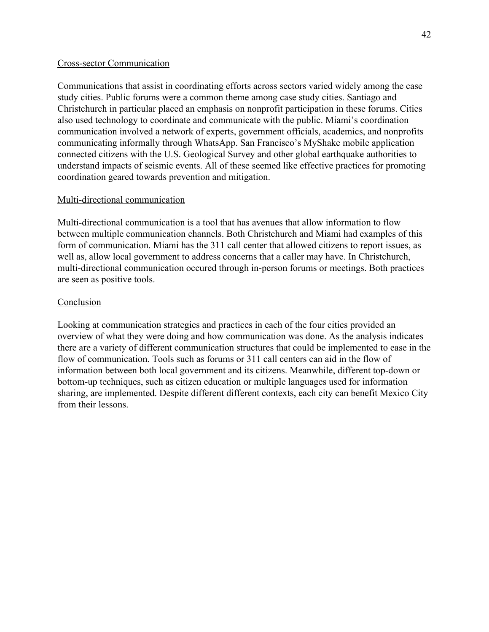#### Cross-sector Communication

Communications that assist in coordinating efforts across sectors varied widely among the case study cities. Public forums were a common theme among case study cities. Santiago and Christchurch in particular placed an emphasis on nonprofit participation in these forums. Cities also used technology to coordinate and communicate with the public. Miami's coordination communication involved a network of experts, government officials, academics, and nonprofits communicating informally through WhatsApp. San Francisco's MyShake mobile application connected citizens with the U.S. Geological Survey and other global earthquake authorities to understand impacts of seismic events. All of these seemed like effective practices for promoting coordination geared towards prevention and mitigation.

# Multi-directional communication

Multi-directional communication is a tool that has avenues that allow information to flow between multiple communication channels. Both Christchurch and Miami had examples of this form of communication. Miami has the 311 call center that allowed citizens to report issues, as well as, allow local government to address concerns that a caller may have. In Christchurch, multi-directional communication occured through in-person forums or meetings. Both practices are seen as positive tools.

# **Conclusion**

Looking at communication strategies and practices in each of the four cities provided an overview of what they were doing and how communication was done. As the analysis indicates there are a variety of different communication structures that could be implemented to ease in the flow of communication. Tools such as forums or 311 call centers can aid in the flow of information between both local government and its citizens. Meanwhile, different top-down or bottom-up techniques, such as citizen education or multiple languages used for information sharing, are implemented. Despite different different contexts, each city can benefit Mexico City from their lessons.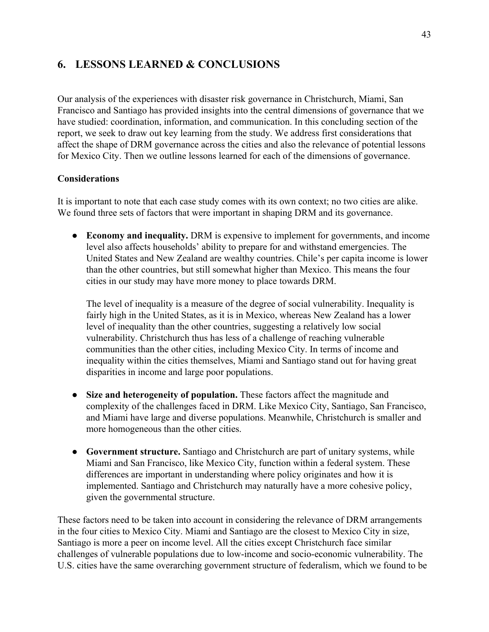# **6. LESSONS LEARNED & CONCLUSIONS**

Our analysis of the experiences with disaster risk governance in Christchurch, Miami, San Francisco and Santiago has provided insights into the central dimensions of governance that we have studied: coordination, information, and communication. In this concluding section of the report, we seek to draw out key learning from the study. We address first considerations that affect the shape of DRM governance across the cities and also the relevance of potential lessons for Mexico City. Then we outline lessons learned for each of the dimensions of governance.

# **Considerations**

It is important to note that each case study comes with its own context; no two cities are alike. We found three sets of factors that were important in shaping DRM and its governance.

● **Economy and inequality.** DRM is expensive to implement for governments, and income level also affects households' ability to prepare for and withstand emergencies. The United States and New Zealand are wealthy countries. Chile's per capita income is lower than the other countries, but still somewhat higher than Mexico. This means the four cities in our study may have more money to place towards DRM.

The level of inequality is a measure of the degree of social vulnerability. Inequality is fairly high in the United States, as it is in Mexico, whereas New Zealand has a lower level of inequality than the other countries, suggesting a relatively low social vulnerability. Christchurch thus has less of a challenge of reaching vulnerable communities than the other cities, including Mexico City. In terms of income and inequality within the cities themselves, Miami and Santiago stand out for having great disparities in income and large poor populations.

- **Size and heterogeneity of population.** These factors affect the magnitude and complexity of the challenges faced in DRM. Like Mexico City, Santiago, San Francisco, and Miami have large and diverse populations. Meanwhile, Christchurch is smaller and more homogeneous than the other cities.
- **Government structure.** Santiago and Christchurch are part of unitary systems, while Miami and San Francisco, like Mexico City, function within a federal system. These differences are important in understanding where policy originates and how it is implemented. Santiago and Christchurch may naturally have a more cohesive policy, given the governmental structure.

These factors need to be taken into account in considering the relevance of DRM arrangements in the four cities to Mexico City. Miami and Santiago are the closest to Mexico City in size, Santiago is more a peer on income level. All the cities except Christchurch face similar challenges of vulnerable populations due to low-income and socio-economic vulnerability. The U.S. cities have the same overarching government structure of federalism, which we found to be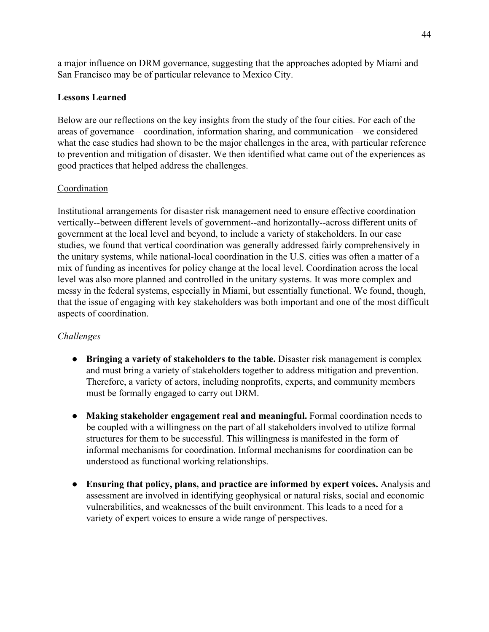a major influence on DRM governance, suggesting that the approaches adopted by Miami and San Francisco may be of particular relevance to Mexico City.

# **Lessons Learned**

Below are our reflections on the key insights from the study of the four cities. For each of the areas of governance—coordination, information sharing, and communication—we considered what the case studies had shown to be the major challenges in the area, with particular reference to prevention and mitigation of disaster. We then identified what came out of the experiences as good practices that helped address the challenges.

# Coordination

Institutional arrangements for disaster risk management need to ensure effective coordination vertically--between different levels of government--and horizontally--across different units of government at the local level and beyond, to include a variety of stakeholders. In our case studies, we found that vertical coordination was generally addressed fairly comprehensively in the unitary systems, while national-local coordination in the U.S. cities was often a matter of a mix of funding as incentives for policy change at the local level. Coordination across the local level was also more planned and controlled in the unitary systems. It was more complex and messy in the federal systems, especially in Miami, but essentially functional. We found, though, that the issue of engaging with key stakeholders was both important and one of the most difficult aspects of coordination.

# *Challenges*

- **Bringing a variety of stakeholders to the table.** Disaster risk management is complex and must bring a variety of stakeholders together to address mitigation and prevention. Therefore, a variety of actors, including nonprofits, experts, and community members must be formally engaged to carry out DRM.
- **Making stakeholder engagement real and meaningful.** Formal coordination needs to be coupled with a willingness on the part of all stakeholders involved to utilize formal structures for them to be successful. This willingness is manifested in the form of informal mechanisms for coordination. Informal mechanisms for coordination can be understood as functional working relationships.
- **Ensuring that policy, plans, and practice are informed by expert voices.** Analysis and assessment are involved in identifying geophysical or natural risks, social and economic vulnerabilities, and weaknesses of the built environment. This leads to a need for a variety of expert voices to ensure a wide range of perspectives.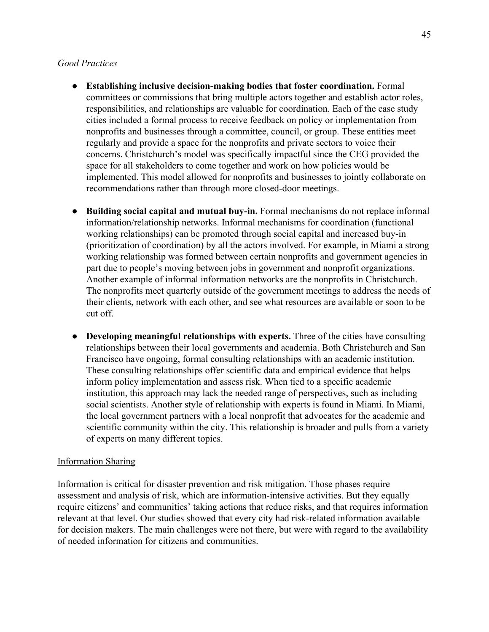#### *Good Practices*

- **Establishing inclusive decision-making bodies that foster coordination.** Formal committees or commissions that bring multiple actors together and establish actor roles, responsibilities, and relationships are valuable for coordination. Each of the case study cities included a formal process to receive feedback on policy or implementation from nonprofits and businesses through a committee, council, or group. These entities meet regularly and provide a space for the nonprofits and private sectors to voice their concerns. Christchurch's model was specifically impactful since the CEG provided the space for all stakeholders to come together and work on how policies would be implemented. This model allowed for nonprofits and businesses to jointly collaborate on recommendations rather than through more closed-door meetings.
- **Building social capital and mutual buy-in.** Formal mechanisms do not replace informal information/relationship networks. Informal mechanisms for coordination (functional working relationships) can be promoted through social capital and increased buy-in (prioritization of coordination) by all the actors involved. For example, in Miami a strong working relationship was formed between certain nonprofits and government agencies in part due to people's moving between jobs in government and nonprofit organizations. Another example of informal information networks are the nonprofits in Christchurch. The nonprofits meet quarterly outside of the government meetings to address the needs of their clients, network with each other, and see what resources are available or soon to be cut off.
- **Developing meaningful relationships with experts.** Three of the cities have consulting relationships between their local governments and academia. Both Christchurch and San Francisco have ongoing, formal consulting relationships with an academic institution. These consulting relationships offer scientific data and empirical evidence that helps inform policy implementation and assess risk. When tied to a specific academic institution, this approach may lack the needed range of perspectives, such as including social scientists. Another style of relationship with experts is found in Miami. In Miami, the local government partners with a local nonprofit that advocates for the academic and scientific community within the city. This relationship is broader and pulls from a variety of experts on many different topics.

#### Information Sharing

Information is critical for disaster prevention and risk mitigation. Those phases require assessment and analysis of risk, which are information-intensive activities. But they equally require citizens' and communities' taking actions that reduce risks, and that requires information relevant at that level. Our studies showed that every city had risk-related information available for decision makers. The main challenges were not there, but were with regard to the availability of needed information for citizens and communities.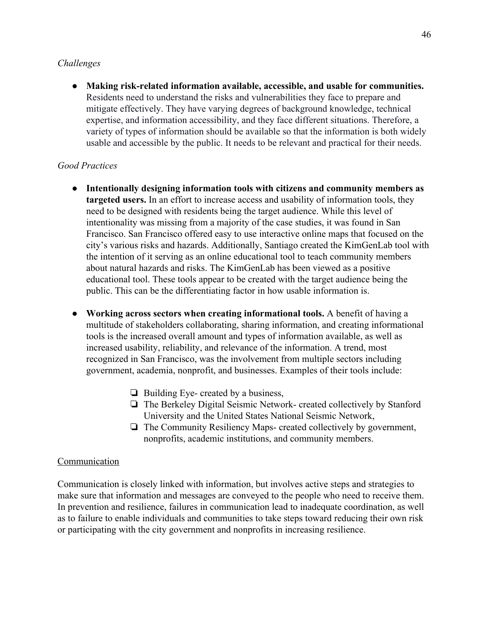# *Challenges*

● **Making risk-related information available, accessible, and usable for communities.** Residents need to understand the risks and vulnerabilities they face to prepare and mitigate effectively. They have varying degrees of background knowledge, technical expertise, and information accessibility, and they face different situations. Therefore, a variety of types of information should be available so that the information is both widely usable and accessible by the public. It needs to be relevant and practical for their needs.

# *Good Practices*

- **Intentionally designing information tools with citizens and community members as targeted users.** In an effort to increase access and usability of information tools, they need to be designed with residents being the target audience. While this level of intentionality was missing from a majority of the case studies, it was found in San Francisco. San Francisco offered easy to use interactive online maps that focused on the city's various risks and hazards. Additionally, Santiago created the KimGenLab tool with the intention of it serving as an online educational tool to teach community members about natural hazards and risks. The KimGenLab has been viewed as a positive educational tool. These tools appear to be created with the target audience being the public. This can be the differentiating factor in how usable information is.
- **Working across sectors when creating informational tools.** A benefit of having a multitude of stakeholders collaborating, sharing information, and creating informational tools is the increased overall amount and types of information available, as well as increased usability, reliability, and relevance of the information. A trend, most recognized in San Francisco, was the involvement from multiple sectors including government, academia, nonprofit, and businesses. Examples of their tools include:
	- ❏ Building Eye- created by a business,
	- ❏ The Berkeley Digital Seismic Network- created collectively by Stanford University and the United States National Seismic Network,
	- ❏ The Community Resiliency Maps- created collectively by government, nonprofits, academic institutions, and community members.

# Communication

Communication is closely linked with information, but involves active steps and strategies to make sure that information and messages are conveyed to the people who need to receive them. In prevention and resilience, failures in communication lead to inadequate coordination, as well as to failure to enable individuals and communities to take steps toward reducing their own risk or participating with the city government and nonprofits in increasing resilience.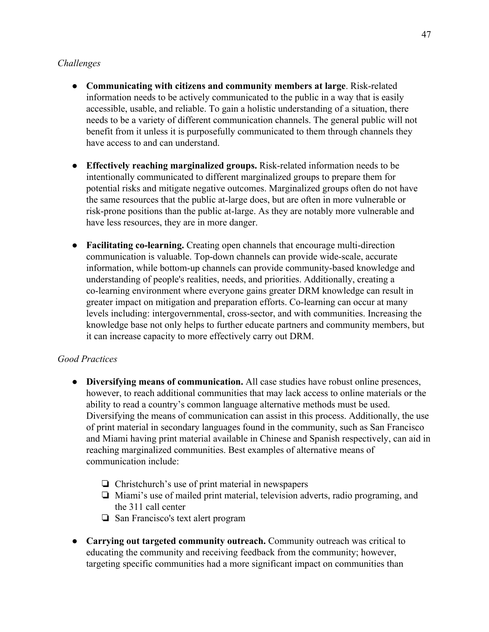# *Challenges*

- **Communicating with citizens and community members at large**. Risk-related information needs to be actively communicated to the public in a way that is easily accessible, usable, and reliable. To gain a holistic understanding of a situation, there needs to be a variety of different communication channels. The general public will not benefit from it unless it is purposefully communicated to them through channels they have access to and can understand.
- **Effectively reaching marginalized groups.** Risk-related information needs to be intentionally communicated to different marginalized groups to prepare them for potential risks and mitigate negative outcomes. Marginalized groups often do not have the same resources that the public at-large does, but are often in more vulnerable or risk-prone positions than the public at-large. As they are notably more vulnerable and have less resources, they are in more danger.
- **Facilitating co-learning.** Creating open channels that encourage multi-direction communication is valuable. Top-down channels can provide wide-scale, accurate information, while bottom-up channels can provide community-based knowledge and understanding of people's realities, needs, and priorities. Additionally, creating a co-learning environment where everyone gains greater DRM knowledge can result in greater impact on mitigation and preparation efforts. Co-learning can occur at many levels including: intergovernmental, cross-sector, and with communities. Increasing the knowledge base not only helps to further educate partners and community members, but it can increase capacity to more effectively carry out DRM.

# *Good Practices*

- **Diversifying means of communication.** All case studies have robust online presences, however, to reach additional communities that may lack access to online materials or the ability to read a country's common language alternative methods must be used. Diversifying the means of communication can assist in this process. Additionally, the use of print material in secondary languages found in the community, such as San Francisco and Miami having print material available in Chinese and Spanish respectively, can aid in reaching marginalized communities. Best examples of alternative means of communication include:
	- ❏ Christchurch's use of print material in newspapers
	- ❏ Miami's use of mailed print material, television adverts, radio programing, and the 311 call center
	- ❏ San Francisco's text alert program
- **Carrying out targeted community outreach.** Community outreach was critical to educating the community and receiving feedback from the community; however, targeting specific communities had a more significant impact on communities than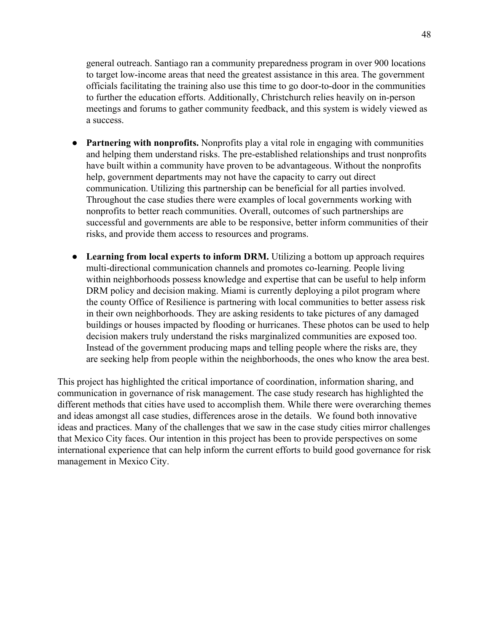general outreach. Santiago ran a community preparedness program in over 900 locations to target low-income areas that need the greatest assistance in this area. The government officials facilitating the training also use this time to go door-to-door in the communities to further the education efforts. Additionally, Christchurch relies heavily on in-person meetings and forums to gather community feedback, and this system is widely viewed as a success.

- **Partnering with nonprofits.** Nonprofits play a vital role in engaging with communities and helping them understand risks. The pre-established relationships and trust nonprofits have built within a community have proven to be advantageous. Without the nonprofits help, government departments may not have the capacity to carry out direct communication. Utilizing this partnership can be beneficial for all parties involved. Throughout the case studies there were examples of local governments working with nonprofits to better reach communities. Overall, outcomes of such partnerships are successful and governments are able to be responsive, better inform communities of their risks, and provide them access to resources and programs.
- Learning from local experts to inform DRM. Utilizing a bottom up approach requires multi-directional communication channels and promotes co-learning. People living within neighborhoods possess knowledge and expertise that can be useful to help inform DRM policy and decision making. Miami is currently deploying a pilot program where the county Office of Resilience is partnering with local communities to better assess risk in their own neighborhoods. They are asking residents to take pictures of any damaged buildings or houses impacted by flooding or hurricanes. These photos can be used to help decision makers truly understand the risks marginalized communities are exposed too. Instead of the government producing maps and telling people where the risks are, they are seeking help from people within the neighborhoods, the ones who know the area best.

This project has highlighted the critical importance of coordination, information sharing, and communication in governance of risk management. The case study research has highlighted the different methods that cities have used to accomplish them. While there were overarching themes and ideas amongst all case studies, differences arose in the details. We found both innovative ideas and practices. Many of the challenges that we saw in the case study cities mirror challenges that Mexico City faces. Our intention in this project has been to provide perspectives on some international experience that can help inform the current efforts to build good governance for risk management in Mexico City.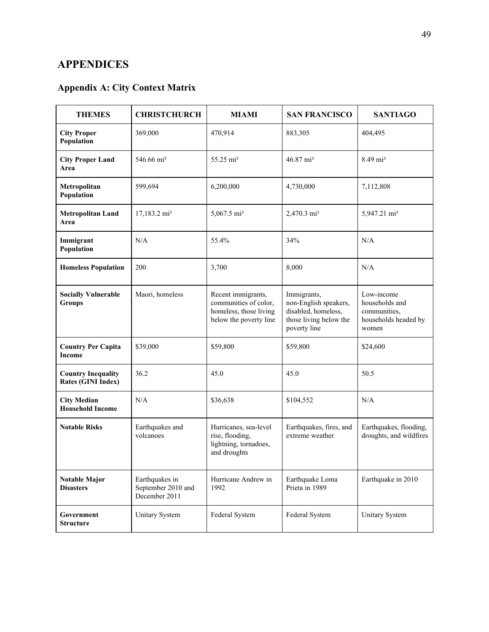# **APPENDICES**

# **Appendix A: City Context Matrix**

| <b>THEMES</b>                                          | <b>CHRISTCHURCH</b>                                   | <b>MIAMI</b>                                                                                    | <b>SAN FRANCISCO</b>                                                                                  | <b>SANTIAGO</b>                                                               |
|--------------------------------------------------------|-------------------------------------------------------|-------------------------------------------------------------------------------------------------|-------------------------------------------------------------------------------------------------------|-------------------------------------------------------------------------------|
| <b>City Proper</b><br>Population                       | 369,000                                               | 470,914                                                                                         | 883,305                                                                                               | 404,495                                                                       |
| <b>City Proper Land</b><br>Area                        | 546.66 mi <sup>2</sup>                                | 55.25 mi <sup>2</sup>                                                                           | 46.87 mi <sup>2</sup>                                                                                 | 8.49 mi <sup>2</sup>                                                          |
| Metropolitan<br>Population                             | 599,694                                               | 6,200,000                                                                                       | 4,730,000                                                                                             | 7,112,808                                                                     |
| <b>Metropolitan Land</b><br>Area                       | 17,183.2 mi <sup>2</sup>                              | $5,067.5 \text{ mi}^2$                                                                          | 2,470.3 mi <sup>2</sup>                                                                               | 5,947.21 mi <sup>2</sup>                                                      |
| Immigrant<br>Population                                | N/A                                                   | 55.4%                                                                                           | 34%                                                                                                   | N/A                                                                           |
| <b>Homeless Population</b>                             | 200                                                   | 3,700                                                                                           | 8,000                                                                                                 | N/A                                                                           |
| <b>Socially Vulnerable</b><br><b>Groups</b>            | Maori, homeless                                       | Recent immigrants,<br>communities of color,<br>homeless, those living<br>below the poverty line | Immigrants,<br>non-English speakers,<br>disabled, homeless,<br>those living below the<br>poverty line | Low-income<br>households and<br>communities,<br>households headed by<br>women |
| <b>Country Per Capita</b><br><b>Income</b>             | \$39,000                                              | \$59,800                                                                                        | \$59,800                                                                                              | \$24,600                                                                      |
| <b>Country Inequality</b><br><b>Rates (GINI Index)</b> | 36.2                                                  | 45.0                                                                                            | 45.0                                                                                                  | 50.5                                                                          |
| <b>City Median</b><br><b>Household Income</b>          | N/A                                                   | \$36,638                                                                                        | \$104,552                                                                                             | N/A                                                                           |
| <b>Notable Risks</b>                                   | Earthquakes and<br>volcanoes                          | Hurricanes, sea-level<br>rise, flooding,<br>lightning, tornadoes,<br>and droughts               | Earthquakes, fires, and<br>extreme weather                                                            | Earthquakes, flooding,<br>droughts, and wildfires                             |
| <b>Notable Major</b><br><b>Disasters</b>               | Earthquakes in<br>September 2010 and<br>December 2011 | Hurricane Andrew in<br>1992                                                                     | Earthquake Loma<br>Prieta in 1989                                                                     | Earthquake in 2010                                                            |
| Government<br>Structure                                | <b>Unitary System</b>                                 | Federal System                                                                                  | Federal System                                                                                        | Unitary System                                                                |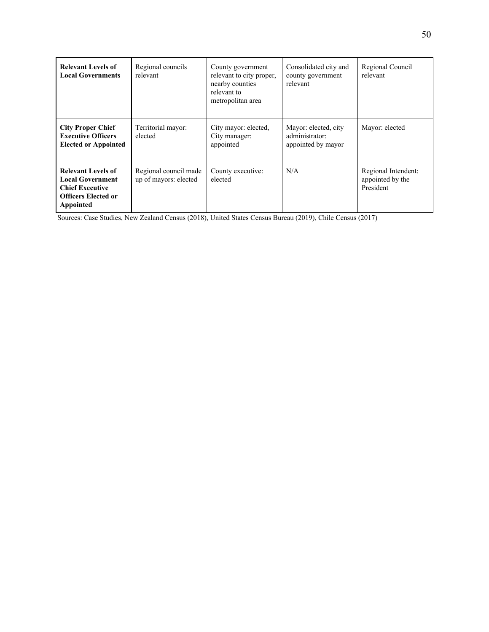| <b>Relevant Levels of</b><br><b>Local Governments</b>                                                                     | Regional councils<br>relevant                  | County government<br>relevant to city proper,<br>nearby counties<br>relevant to<br>metropolitan area | Consolidated city and<br>county government<br>relevant       | Regional Council<br>relevant                         |
|---------------------------------------------------------------------------------------------------------------------------|------------------------------------------------|------------------------------------------------------------------------------------------------------|--------------------------------------------------------------|------------------------------------------------------|
| <b>City Proper Chief</b><br><b>Executive Officers</b><br><b>Elected or Appointed</b>                                      | Territorial mayor:<br>elected                  | City mayor: elected,<br>City manager:<br>appointed                                                   | Mayor: elected, city<br>administrator:<br>appointed by mayor | Mayor: elected                                       |
| <b>Relevant Levels of</b><br><b>Local Government</b><br><b>Chief Executive</b><br><b>Officers Elected or</b><br>Appointed | Regional council made<br>up of mayors: elected | County executive:<br>elected                                                                         | N/A                                                          | Regional Intendent:<br>appointed by the<br>President |

Sources: Case Studies, New Zealand Census (2018), United States Census Bureau (2019), Chile Census (2017)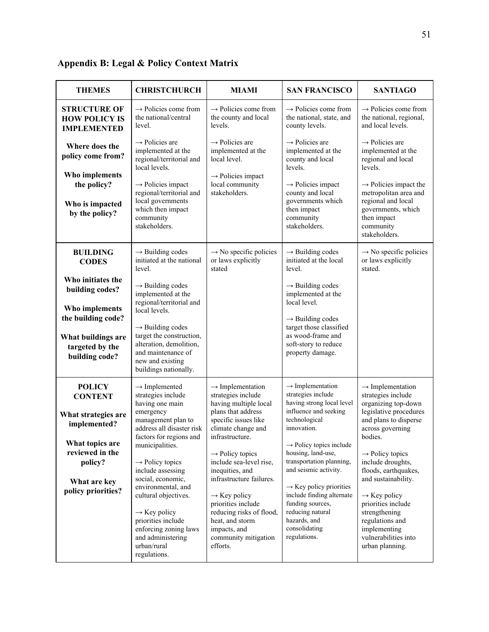| <b>THEMES</b>                                                                                                                                                 | <b>CHRISTCHURCH</b>                                                                                                                                                                                                                                                                                                                                                                                                    | <b>MIAMI</b>                                                                                                                                                                                                                                                                                                                                                                                                                     | <b>SAN FRANCISCO</b>                                                                                                                                                                                                                                                                                                                                                                                                    | <b>SANTIAGO</b>                                                                                                                                                                                                                                                                                                                                                                                                 |
|---------------------------------------------------------------------------------------------------------------------------------------------------------------|------------------------------------------------------------------------------------------------------------------------------------------------------------------------------------------------------------------------------------------------------------------------------------------------------------------------------------------------------------------------------------------------------------------------|----------------------------------------------------------------------------------------------------------------------------------------------------------------------------------------------------------------------------------------------------------------------------------------------------------------------------------------------------------------------------------------------------------------------------------|-------------------------------------------------------------------------------------------------------------------------------------------------------------------------------------------------------------------------------------------------------------------------------------------------------------------------------------------------------------------------------------------------------------------------|-----------------------------------------------------------------------------------------------------------------------------------------------------------------------------------------------------------------------------------------------------------------------------------------------------------------------------------------------------------------------------------------------------------------|
| <b>STRUCTURE OF</b><br><b>HOW POLICY IS</b><br><b>IMPLEMENTED</b>                                                                                             | $\rightarrow$ Policies come from<br>the national/central<br>level.                                                                                                                                                                                                                                                                                                                                                     | $\rightarrow$ Policies come from<br>the county and local<br>levels.                                                                                                                                                                                                                                                                                                                                                              | $\rightarrow$ Policies come from<br>the national, state, and<br>county levels.                                                                                                                                                                                                                                                                                                                                          | $\rightarrow$ Policies come from<br>the national, regional,<br>and local levels.                                                                                                                                                                                                                                                                                                                                |
| Where does the<br>policy come from?                                                                                                                           | $\rightarrow$ Policies are<br>implemented at the<br>regional/territorial and<br>local levels.                                                                                                                                                                                                                                                                                                                          | $\rightarrow$ Policies are<br>implemented at the<br>local level.                                                                                                                                                                                                                                                                                                                                                                 | $\rightarrow$ Policies are<br>implemented at the<br>county and local<br>levels.                                                                                                                                                                                                                                                                                                                                         | $\rightarrow$ Policies are<br>implemented at the<br>regional and local<br>levels.                                                                                                                                                                                                                                                                                                                               |
| Who implements<br>the policy?<br>Who is impacted<br>by the policy?                                                                                            | $\rightarrow$ Policies impact<br>regional/territorial and<br>local governments<br>which then impact<br>community<br>stakeholders.                                                                                                                                                                                                                                                                                      | $\rightarrow$ Policies impact<br>local community<br>stakeholders.                                                                                                                                                                                                                                                                                                                                                                | $\rightarrow$ Policies impact<br>county and local<br>governments which<br>then impact<br>community<br>stakeholders.                                                                                                                                                                                                                                                                                                     | $\rightarrow$ Policies impact the<br>metropolitan area and<br>regional and local<br>governments, which<br>then impact<br>community<br>stakeholders.                                                                                                                                                                                                                                                             |
| <b>BUILDING</b><br><b>CODES</b>                                                                                                                               | $\rightarrow$ Building codes<br>initiated at the national<br>level.                                                                                                                                                                                                                                                                                                                                                    | $\rightarrow$ No specific policies<br>or laws explicitly<br>stated                                                                                                                                                                                                                                                                                                                                                               | $\rightarrow$ Building codes<br>initiated at the local<br>level.                                                                                                                                                                                                                                                                                                                                                        | $\rightarrow$ No specific policies<br>or laws explicitly<br>stated.                                                                                                                                                                                                                                                                                                                                             |
| Who initiates the<br>building codes?<br>Who implements<br>the building code?<br>What buildings are<br>targeted by the<br>building code?                       | $\rightarrow$ Building codes<br>implemented at the<br>regional/territorial and<br>local levels.<br>$\rightarrow$ Building codes<br>target the construction,<br>alteration, demolition,<br>and maintenance of<br>new and existing<br>buildings nationally.                                                                                                                                                              |                                                                                                                                                                                                                                                                                                                                                                                                                                  | $\rightarrow$ Building codes<br>implemented at the<br>local level.<br>$\rightarrow$ Building codes<br>target those classified<br>as wood-frame and<br>soft-story to reduce<br>property damage.                                                                                                                                                                                                                          |                                                                                                                                                                                                                                                                                                                                                                                                                 |
| <b>POLICY</b><br><b>CONTENT</b><br>What strategies are<br>implemented?<br>What topics are<br>reviewed in the<br>policy?<br>What are key<br>policy priorities? | $\rightarrow$ Implemented<br>strategies include<br>having one main<br>emergency<br>management plan to<br>address all disaster risk<br>factors for regions and<br>municipalities.<br>$\rightarrow$ Policy topics<br>include assessing<br>social, economic,<br>environmental, and<br>cultural objectives.<br>$\rightarrow$ Key policy<br>priorities include<br>enforcing zoning laws<br>and administering<br>urban/rural | $\rightarrow$ Implementation<br>strategies include<br>having multiple local<br>plans that address<br>specific issues like<br>climate change and<br>infrastructure.<br>$\rightarrow$ Policy topics<br>include sea-level rise,<br>inequities, and<br>infrastructure failures.<br>$\rightarrow$ Key policy<br>priorities include<br>reducing risks of flood,<br>heat, and storm<br>impacts, and<br>community mitigation<br>efforts. | $\rightarrow$ Implementation<br>strategies include<br>having strong local level<br>influence and seeking<br>technological<br>innovation.<br>$\rightarrow$ Policy topics include<br>housing, land-use,<br>transportation planning,<br>and seismic activity.<br>$\rightarrow$ Key policy priorities<br>include finding alternate<br>funding sources,<br>reducing natural<br>hazards, and<br>consolidating<br>regulations. | $\rightarrow$ Implementation<br>strategies include<br>organizing top-down<br>legislative procedures<br>and plans to disperse<br>across governing<br>bodies.<br>$\rightarrow$ Policy topics<br>include droughts,<br>floods, earthquakes,<br>and sustainability.<br>$\rightarrow$ Key policy<br>priorities include<br>strengthening<br>regulations and<br>implementing<br>vulnerabilities into<br>urban planning. |

# **Appendix B: Legal & Policy Context Matrix**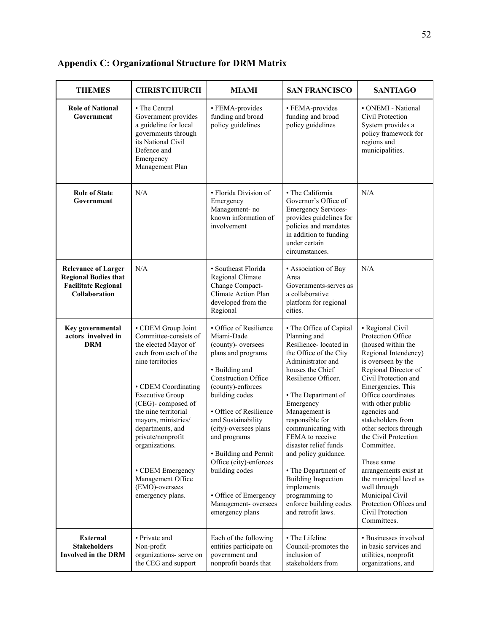| <b>THEMES</b>                                                                                            | <b>CHRISTCHURCH</b>                                                                                                                                                                                                                                                                                                                                                             | <b>MIAMI</b>                                                                                                                                                                                                                                                                                                                                                                                             | <b>SAN FRANCISCO</b>                                                                                                                                                                                                                                                                                                                                                                                                                                              | <b>SANTIAGO</b>                                                                                                                                                                                                                                                                                                                                                                                                                                                                                |
|----------------------------------------------------------------------------------------------------------|---------------------------------------------------------------------------------------------------------------------------------------------------------------------------------------------------------------------------------------------------------------------------------------------------------------------------------------------------------------------------------|----------------------------------------------------------------------------------------------------------------------------------------------------------------------------------------------------------------------------------------------------------------------------------------------------------------------------------------------------------------------------------------------------------|-------------------------------------------------------------------------------------------------------------------------------------------------------------------------------------------------------------------------------------------------------------------------------------------------------------------------------------------------------------------------------------------------------------------------------------------------------------------|------------------------------------------------------------------------------------------------------------------------------------------------------------------------------------------------------------------------------------------------------------------------------------------------------------------------------------------------------------------------------------------------------------------------------------------------------------------------------------------------|
| <b>Role of National</b><br>Government                                                                    | • The Central<br>Government provides<br>a guideline for local<br>governments through<br>its National Civil<br>Defence and<br>Emergency<br>Management Plan                                                                                                                                                                                                                       | • FEMA-provides<br>funding and broad<br>policy guidelines                                                                                                                                                                                                                                                                                                                                                | • FEMA-provides<br>funding and broad<br>policy guidelines                                                                                                                                                                                                                                                                                                                                                                                                         | • ONEMI - National<br>Civil Protection<br>System provides a<br>policy framework for<br>regions and<br>municipalities.                                                                                                                                                                                                                                                                                                                                                                          |
| <b>Role of State</b><br>Government                                                                       | N/A                                                                                                                                                                                                                                                                                                                                                                             | • Florida Division of<br>Emergency<br>Management-no<br>known information of<br>involvement                                                                                                                                                                                                                                                                                                               | • The California<br>Governor's Office of<br><b>Emergency Services-</b><br>provides guidelines for<br>policies and mandates<br>in addition to funding<br>under certain<br>circumstances.                                                                                                                                                                                                                                                                           | N/A                                                                                                                                                                                                                                                                                                                                                                                                                                                                                            |
| <b>Relevance of Larger</b><br><b>Regional Bodies that</b><br><b>Facilitate Regional</b><br>Collaboration | N/A                                                                                                                                                                                                                                                                                                                                                                             | · Southeast Florida<br>Regional Climate<br>Change Compact-<br>Climate Action Plan<br>developed from the<br>Regional                                                                                                                                                                                                                                                                                      | • Association of Bay<br>Area<br>Governments-serves as<br>a collaborative<br>platform for regional<br>cities.                                                                                                                                                                                                                                                                                                                                                      | N/A                                                                                                                                                                                                                                                                                                                                                                                                                                                                                            |
| Key governmental<br>actors involved in<br><b>DRM</b>                                                     | • CDEM Group Joint<br>Committee-consists of<br>the elected Mayor of<br>each from each of the<br>nine territories<br>• CDEM Coordinating<br><b>Executive Group</b><br>(CEG)-composed of<br>the nine territorial<br>mayors, ministries/<br>departments, and<br>private/nonprofit<br>organizations.<br>• CDEM Emergency<br>Management Office<br>(EMO)-oversees<br>emergency plans. | • Office of Resilience<br>Miami-Dade<br>(county)- oversees<br>plans and programs<br>• Building and<br><b>Construction Office</b><br>(county)-enforces<br>building codes<br>• Office of Resilience<br>and Sustainability<br>(city)-oversees plans<br>and programs<br>• Building and Permit<br>Office (city)-enforces<br>building codes<br>• Office of Emergency<br>Management-oversees<br>emergency plans | • The Office of Capital<br>Planning and<br>Resilience-located in<br>the Office of the City<br>Administrator and<br>houses the Chief<br>Resilience Officer.<br>• The Department of<br>Emergency<br>Management is<br>responsible for<br>communicating with<br>FEMA to receive<br>disaster relief funds<br>and policy guidance.<br>• The Department of<br><b>Building Inspection</b><br>implements<br>programming to<br>enforce building codes<br>and retrofit laws. | • Regional Civil<br>Protection Office<br>(housed within the<br>Regional Intendency)<br>is overseen by the<br>Regional Director of<br>Civil Protection and<br>Emergencies. This<br>Office coordinates<br>with other public<br>agencies and<br>stakeholders from<br>other sectors through<br>the Civil Protection<br>Committee.<br>These same<br>arrangements exist at<br>the municipal level as<br>well through<br>Municipal Civil<br>Protection Offices and<br>Civil Protection<br>Committees. |
| <b>External</b><br><b>Stakeholders</b><br><b>Involved in the DRM</b>                                     | • Private and<br>Non-profit<br>organizations- serve on<br>the CEG and support                                                                                                                                                                                                                                                                                                   | Each of the following<br>entities participate on<br>government and<br>nonprofit boards that                                                                                                                                                                                                                                                                                                              | • The Lifeline<br>Council-promotes the<br>inclusion of<br>stakeholders from                                                                                                                                                                                                                                                                                                                                                                                       | • Businesses involved<br>in basic services and<br>utilities, nonprofit<br>organizations, and                                                                                                                                                                                                                                                                                                                                                                                                   |

**Appendix C: Organizational Structure for DRM Matrix**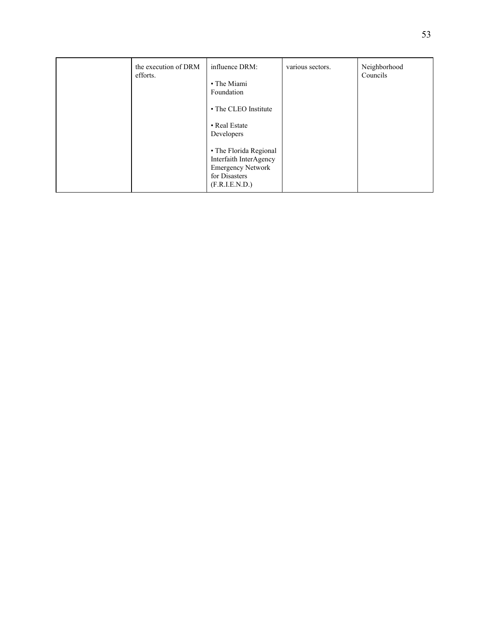| the execution of DRM<br>efforts. | influence DRM:<br>• The Miami<br>Foundation<br>• The CLEO Institute<br>• Real Estate<br>Developers              | various sectors. | Neighborhood<br>Councils |
|----------------------------------|-----------------------------------------------------------------------------------------------------------------|------------------|--------------------------|
|                                  | • The Florida Regional<br>Interfaith InterAgency<br><b>Emergency Network</b><br>for Disasters<br>(F.R.I.E.N.D.) |                  |                          |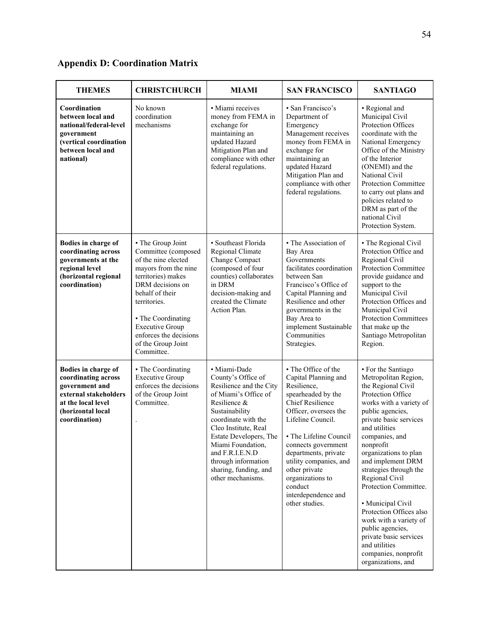# **Appendix D: Coordination Matrix**

| <b>THEMES</b>                                                                                                                                     | <b>CHRISTCHURCH</b>                                                                                                                                                                                                                                                                | <b>MIAMI</b>                                                                                                                                                                                                                                                                                                  | <b>SAN FRANCISCO</b>                                                                                                                                                                                                                                                                                                                                  | <b>SANTIAGO</b>                                                                                                                                                                                                                                                                                                                                                                                                                                                                                                          |
|---------------------------------------------------------------------------------------------------------------------------------------------------|------------------------------------------------------------------------------------------------------------------------------------------------------------------------------------------------------------------------------------------------------------------------------------|---------------------------------------------------------------------------------------------------------------------------------------------------------------------------------------------------------------------------------------------------------------------------------------------------------------|-------------------------------------------------------------------------------------------------------------------------------------------------------------------------------------------------------------------------------------------------------------------------------------------------------------------------------------------------------|--------------------------------------------------------------------------------------------------------------------------------------------------------------------------------------------------------------------------------------------------------------------------------------------------------------------------------------------------------------------------------------------------------------------------------------------------------------------------------------------------------------------------|
| Coordination<br>between local and<br>national/federal-level<br>government<br>(vertical coordination<br>between local and<br>national)             | No known<br>coordination<br>mechanisms                                                                                                                                                                                                                                             | · Miami receives<br>money from FEMA in<br>exchange for<br>maintaining an<br>updated Hazard<br>Mitigation Plan and<br>compliance with other<br>federal regulations.                                                                                                                                            | • San Francisco's<br>Department of<br>Emergency<br>Management receives<br>money from FEMA in<br>exchange for<br>maintaining an<br>updated Hazard<br>Mitigation Plan and<br>compliance with other<br>federal regulations.                                                                                                                              | • Regional and<br>Municipal Civil<br>Protection Offices<br>coordinate with the<br>National Emergency<br>Office of the Ministry<br>of the Interior<br>(ONEMI) and the<br>National Civil<br>Protection Committee<br>to carry out plans and<br>policies related to<br>DRM as part of the<br>national Civil<br>Protection System.                                                                                                                                                                                            |
| Bodies in charge of<br>coordinating across<br>governments at the<br>regional level<br>(horizontal regional<br>coordination)                       | • The Group Joint<br>Committee (composed<br>of the nine elected<br>mayors from the nine<br>territories) makes<br>DRM decisions on<br>behalf of their<br>territories.<br>• The Coordinating<br><b>Executive Group</b><br>enforces the decisions<br>of the Group Joint<br>Committee. | • Southeast Florida<br>Regional Climate<br>Change Compact<br>(composed of four<br>counties) collaborates<br>in DRM<br>decision-making and<br>created the Climate<br>Action Plan.                                                                                                                              | • The Association of<br>Bay Area<br>Governments<br>facilitates coordination<br>between San<br>Francisco's Office of<br>Capital Planning and<br>Resilience and other<br>governments in the<br>Bay Area to<br>implement Sustainable<br>Communities<br>Strategies.                                                                                       | • The Regional Civil<br>Protection Office and<br>Regional Civil<br>Protection Committee<br>provide guidance and<br>support to the<br>Municipal Civil<br>Protection Offices and<br>Municipal Civil<br><b>Protection Committees</b><br>that make up the<br>Santiago Metropolitan<br>Region.                                                                                                                                                                                                                                |
| Bodies in charge of<br>coordinating across<br>government and<br>external stakeholders<br>at the local level<br>(horizontal local<br>coordination) | • The Coordinating<br><b>Executive Group</b><br>enforces the decisions<br>of the Group Joint<br>Committee.                                                                                                                                                                         | · Miami-Dade<br>County's Office of<br>Resilience and the City<br>of Miami's Office of<br>Resilience &<br>Sustainability<br>coordinate with the<br>Cleo Institute, Real<br>Estate Developers, The<br>Miami Foundation,<br>and F.R.I.E.N.D<br>through information<br>sharing, funding, and<br>other mechanisms. | • The Office of the<br>Capital Planning and<br>Resilience,<br>spearheaded by the<br><b>Chief Resilience</b><br>Officer, oversees the<br>Lifeline Council.<br>• The Lifeline Council<br>connects government<br>departments, private<br>utility companies, and<br>other private<br>organizations to<br>conduct<br>interdependence and<br>other studies. | • For the Santiago<br>Metropolitan Region,<br>the Regional Civil<br>Protection Office<br>works with a variety of<br>public agencies,<br>private basic services<br>and utilities<br>companies, and<br>nonprofit<br>organizations to plan<br>and implement DRM<br>strategies through the<br>Regional Civil<br>Protection Committee.<br>• Municipal Civil<br>Protection Offices also<br>work with a variety of<br>public agencies,<br>private basic services<br>and utilities<br>companies, nonprofit<br>organizations, and |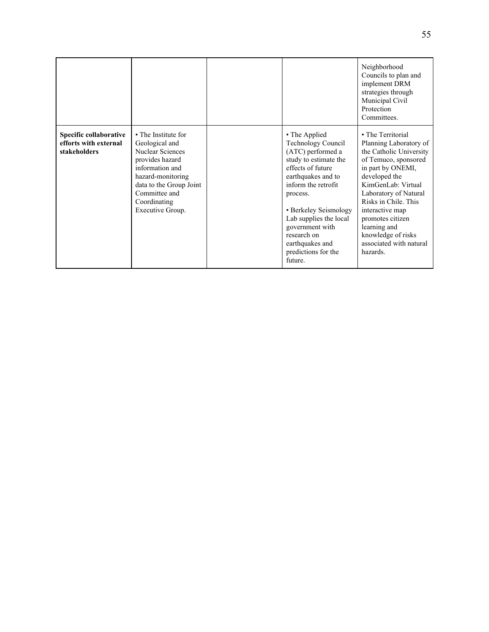|                                                                 |                                                                                                                                                                                                      |                                                                                                                                                                                                                                                                                                                  | Neighborhood<br>Councils to plan and<br>implement DRM<br>strategies through<br>Municipal Civil<br>Protection<br>Committees.                                                                                                                                                                                                     |
|-----------------------------------------------------------------|------------------------------------------------------------------------------------------------------------------------------------------------------------------------------------------------------|------------------------------------------------------------------------------------------------------------------------------------------------------------------------------------------------------------------------------------------------------------------------------------------------------------------|---------------------------------------------------------------------------------------------------------------------------------------------------------------------------------------------------------------------------------------------------------------------------------------------------------------------------------|
| Specific collaborative<br>efforts with external<br>stakeholders | • The Institute for<br>Geological and<br>Nuclear Sciences<br>provides hazard<br>information and<br>hazard-monitoring<br>data to the Group Joint<br>Committee and<br>Coordinating<br>Executive Group. | • The Applied<br><b>Technology Council</b><br>(ATC) performed a<br>study to estimate the<br>effects of future<br>earthquakes and to<br>inform the retrofit<br>process.<br>• Berkeley Seismology<br>Lab supplies the local<br>government with<br>research on<br>earthquakes and<br>predictions for the<br>future. | • The Territorial<br>Planning Laboratory of<br>the Catholic University<br>of Temuco, sponsored<br>in part by ONEMI,<br>developed the<br>KimGenLab: Virtual<br>Laboratory of Natural<br>Risks in Chile. This<br>interactive map<br>promotes citizen<br>learning and<br>knowledge of risks<br>associated with natural<br>hazards. |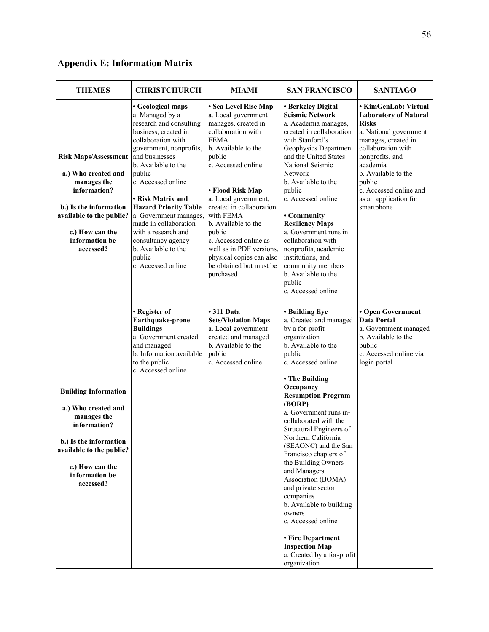# **Appendix E: Information Matrix**

| <b>THEMES</b>                                                                                                                                                                             | <b>CHRISTCHURCH</b>                                                                                                                                                                                                                                                                                                                                                                                                           | MIAMI                                                                                                                                                                                                                                                                                                                                                                                                         | <b>SAN FRANCISCO</b>                                                                                                                                                                                                                                                                                                                                                                                                                                                                                                                                                                                                   | <b>SANTIAGO</b>                                                                                                                                                                                                                                                              |
|-------------------------------------------------------------------------------------------------------------------------------------------------------------------------------------------|-------------------------------------------------------------------------------------------------------------------------------------------------------------------------------------------------------------------------------------------------------------------------------------------------------------------------------------------------------------------------------------------------------------------------------|---------------------------------------------------------------------------------------------------------------------------------------------------------------------------------------------------------------------------------------------------------------------------------------------------------------------------------------------------------------------------------------------------------------|------------------------------------------------------------------------------------------------------------------------------------------------------------------------------------------------------------------------------------------------------------------------------------------------------------------------------------------------------------------------------------------------------------------------------------------------------------------------------------------------------------------------------------------------------------------------------------------------------------------------|------------------------------------------------------------------------------------------------------------------------------------------------------------------------------------------------------------------------------------------------------------------------------|
| <b>Risk Maps/Assessment</b><br>a.) Who created and<br>manages the<br>information?<br>b.) Is the information<br>available to the public?<br>c.) How can the<br>information be<br>accessed? | • Geological maps<br>a. Managed by a<br>research and consulting<br>business, created in<br>collaboration with<br>government, nonprofits,<br>and businesses<br>b. Available to the<br>public<br>c. Accessed online<br>• Risk Matrix and<br><b>Hazard Priority Table</b><br>a. Government manages,<br>made in collaboration<br>with a research and<br>consultancy agency<br>b. Available to the<br>public<br>c. Accessed online | • Sea Level Rise Map<br>a. Local government<br>manages, created in<br>collaboration with<br><b>FEMA</b><br>b. Available to the<br>public<br>c. Accessed online<br>• Flood Risk Map<br>a. Local government,<br>created in collaboration<br>with FEMA<br>b. Available to the<br>public<br>c. Accessed online as<br>well as in PDF versions,<br>physical copies can also<br>be obtained but must be<br>purchased | • Berkeley Digital<br><b>Seismic Network</b><br>a. Academia manages,<br>created in collaboration<br>with Stanford's<br>Geophysics Department<br>and the United States<br>National Seismic<br>Network<br>b. Available to the<br>public<br>c. Accessed online<br>• Community<br><b>Resiliency Maps</b><br>a. Government runs in<br>collaboration with<br>nonprofits, academic<br>institutions, and<br>community members<br>b. Available to the<br>public<br>c. Accessed online                                                                                                                                           | • KimGenLab: Virtual<br><b>Laboratory of Natural</b><br><b>Risks</b><br>a. National government<br>manages, created in<br>collaboration with<br>nonprofits, and<br>academia<br>b. Available to the<br>public<br>c. Accessed online and<br>as an application for<br>smartphone |
| <b>Building Information</b><br>a.) Who created and<br>manages the<br>information?<br>b.) Is the information<br>available to the public?<br>c.) How can the<br>information be<br>accessed? | • Register of<br>Earthquake-prone<br><b>Buildings</b><br>a. Government created<br>and managed<br>b. Information available<br>to the public<br>c. Accessed online                                                                                                                                                                                                                                                              | • 311 Data<br><b>Sets/Violation Maps</b><br>a. Local government<br>created and managed<br>b. Available to the<br>public<br>c. Accessed online                                                                                                                                                                                                                                                                 | • Building Eye<br>a. Created and managed<br>by a for-profit<br>organization<br>b. Available to the<br>public<br>c. Accessed online<br>• The Building<br>Occupancy<br><b>Resumption Program</b><br>(BORP)<br>a. Government runs in-<br>collaborated with the<br>Structural Engineers of<br>Northern California<br>(SEAONC) and the San<br>Francisco chapters of<br>the Building Owners<br>and Managers<br>Association (BOMA)<br>and private sector<br>companies<br>b. Available to building<br>owners<br>c. Accessed online<br>• Fire Department<br><b>Inspection Map</b><br>a. Created by a for-profit<br>organization | • Open Government<br><b>Data Portal</b><br>a. Government managed<br>b. Available to the<br>public<br>c. Accessed online via<br>login portal                                                                                                                                  |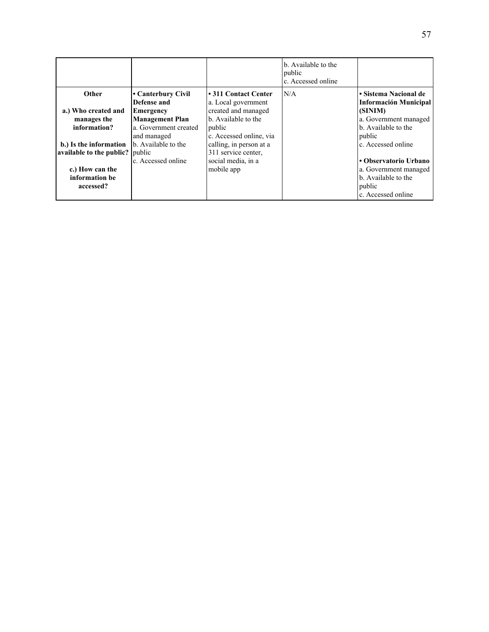|                                 |                        |                         | b. Available to the<br>public<br>c. Accessed online |                              |
|---------------------------------|------------------------|-------------------------|-----------------------------------------------------|------------------------------|
| Other                           | l• Canterbury Civil    | • 311 Contact Center    | N/A                                                 | • Sistema Nacional de        |
|                                 | Defense and            | a. Local government     |                                                     | <b>Información Municipal</b> |
| a.) Who created and             | Emergency              | created and managed     |                                                     | (SINIM)                      |
| manages the                     | <b>Management Plan</b> | b. Available to the     |                                                     | a. Government managed        |
| information?                    | a. Government created  | public                  |                                                     | b. Available to the          |
|                                 | and managed            | c. Accessed online, via |                                                     | public                       |
| b.) Is the information          | b. Available to the    | calling, in person at a |                                                     | c. Accessed online           |
| available to the public? public |                        | 311 service center,     |                                                     |                              |
|                                 | c. Accessed online     | social media, in a      |                                                     | • Observatorio Urbano        |
| c.) How can the                 |                        | mobile app              |                                                     | a. Government managed        |
| information be                  |                        |                         |                                                     | b. Available to the          |
| accessed?                       |                        |                         |                                                     | public                       |
|                                 |                        |                         |                                                     | c. Accessed online           |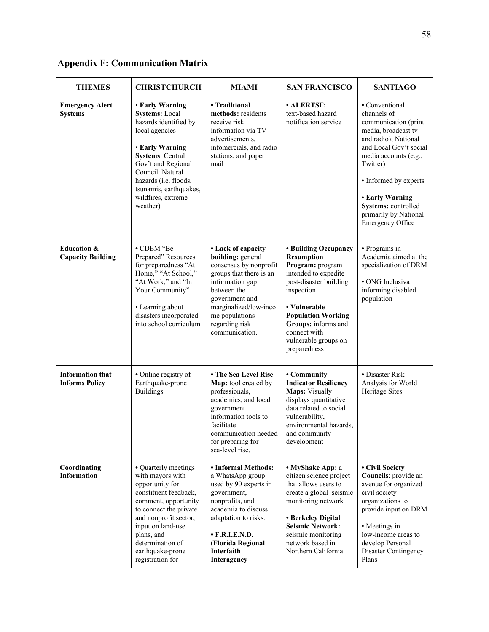| <b>THEMES</b>                                      | <b>CHRISTCHURCH</b>                                                                                                                                                                                                                                              | MIAMI                                                                                                                                                                                                                              | <b>SAN FRANCISCO</b>                                                                                                                                                                                                                                      | <b>SANTIAGO</b>                                                                                                                                                                                                                                                                                   |
|----------------------------------------------------|------------------------------------------------------------------------------------------------------------------------------------------------------------------------------------------------------------------------------------------------------------------|------------------------------------------------------------------------------------------------------------------------------------------------------------------------------------------------------------------------------------|-----------------------------------------------------------------------------------------------------------------------------------------------------------------------------------------------------------------------------------------------------------|---------------------------------------------------------------------------------------------------------------------------------------------------------------------------------------------------------------------------------------------------------------------------------------------------|
| <b>Emergency Alert</b><br><b>Systems</b>           | • Early Warning<br><b>Systems: Local</b><br>hazards identified by<br>local agencies<br>• Early Warning<br><b>Systems: Central</b><br>Gov't and Regional<br>Council: Natural<br>hazards (i.e. floods,<br>tsunamis, earthquakes,<br>wildfires, extreme<br>weather) | • Traditional<br>methods: residents<br>receive risk<br>information via TV<br>advertisements,<br>infomercials, and radio<br>stations, and paper<br>mail                                                                             | · ALERTSF:<br>text-based hazard<br>notification service                                                                                                                                                                                                   | • Conventional<br>channels of<br>communication (print<br>media, broadcast tv<br>and radio); National<br>and Local Gov't social<br>media accounts (e.g.,<br>Twitter)<br>• Informed by experts<br><b>• Early Warning</b><br>Systems: controlled<br>primarily by National<br><b>Emergency Office</b> |
| <b>Education &amp;</b><br><b>Capacity Building</b> | • CDEM "Be<br>Prepared" Resources<br>for preparedness "At<br>Home," "At School,"<br>"At Work," and "In<br>Your Community"<br>• Learning about<br>disasters incorporated<br>into school curriculum                                                                | • Lack of capacity<br>building: general<br>consensus by nonprofit<br>groups that there is an<br>information gap<br>between the<br>government and<br>marginalized/low-inco<br>me populations<br>regarding risk<br>communication.    | • Building Occupancy<br><b>Resumption</b><br>Program: program<br>intended to expedite<br>post-disaster building<br>inspection<br>• Vulnerable<br><b>Population Working</b><br>Groups: informs and<br>connect with<br>vulnerable groups on<br>preparedness | • Programs in<br>Academia aimed at the<br>specialization of DRM<br>• ONG Inclusiva<br>informing disabled<br>population                                                                                                                                                                            |
| <b>Information that</b><br><b>Informs Policy</b>   | • Online registry of<br>Earthquake-prone<br><b>Buildings</b>                                                                                                                                                                                                     | • The Sea Level Rise<br>Map: tool created by<br>professionals,<br>academics, and local<br>government<br>information tools to<br>facilitate<br>communication needed<br>for preparing for<br>sea-level rise.                         | • Community<br><b>Indicator Resiliency</b><br>Maps: Visually<br>displays quantitative<br>data related to social<br>vulnerability,<br>environmental hazards,<br>and community<br>development                                                               | • Disaster Risk<br>Analysis for World<br><b>Heritage Sites</b>                                                                                                                                                                                                                                    |
| Coordinating<br><b>Information</b>                 | • Quarterly meetings<br>with mayors with<br>opportunity for<br>constituent feedback,<br>comment, opportunity<br>to connect the private<br>and nonprofit sector,<br>input on land-use<br>plans, and<br>determination of<br>earthquake-prone<br>registration for   | • Informal Methods:<br>a WhatsApp group<br>used by 90 experts in<br>government,<br>nonprofits, and<br>academia to discuss<br>adaptation to risks.<br>$\cdot$ F.R.I.E.N.D.<br>(Florida Regional<br><b>Interfaith</b><br>Interagency | • MyShake App: a<br>citizen science project<br>that allows users to<br>create a global seismic<br>monitoring network<br>• Berkeley Digital<br><b>Seismic Network:</b><br>seismic monitoring<br>network based in<br>Northern California                    | • Civil Society<br>Councils: provide an<br>avenue for organized<br>civil society<br>organizations to<br>provide input on DRM<br>• Meetings in<br>low-income areas to<br>develop Personal<br>Disaster Contingency<br>Plans                                                                         |

# **Appendix F: Communication Matrix**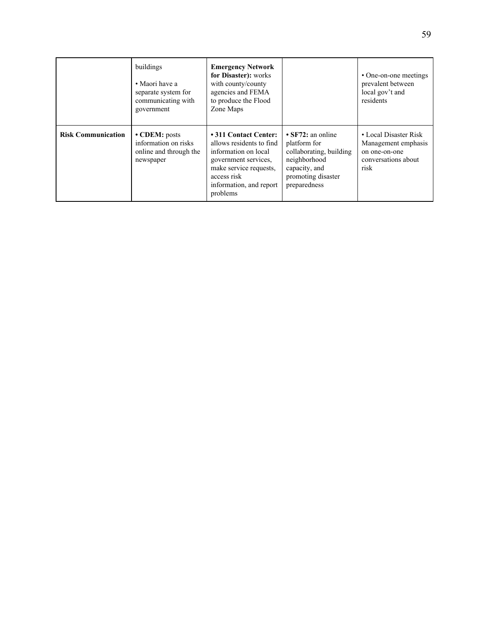|                           | buildings<br>• Maori have a<br>separate system for<br>communicating with<br>government | <b>Emergency Network</b><br>for Disaster): works<br>with county/county<br>agencies and FEMA<br>to produce the Flood<br>Zone Maps                                                  |                                                                                                                                           | • One-on-one meetings<br>prevalent between<br>local gov't and<br>residents                   |
|---------------------------|----------------------------------------------------------------------------------------|-----------------------------------------------------------------------------------------------------------------------------------------------------------------------------------|-------------------------------------------------------------------------------------------------------------------------------------------|----------------------------------------------------------------------------------------------|
| <b>Risk Communication</b> | $\cdot$ CDEM: posts<br>information on risks<br>online and through the<br>newspaper     | • 311 Contact Center:<br>allows residents to find<br>information on local<br>government services,<br>make service requests.<br>access risk<br>information, and report<br>problems | $\cdot$ SF72: an online<br>platform for<br>collaborating, building<br>neighborhood<br>capacity, and<br>promoting disaster<br>preparedness | • Local Disaster Risk<br>Management emphasis<br>on one-on-one<br>conversations about<br>risk |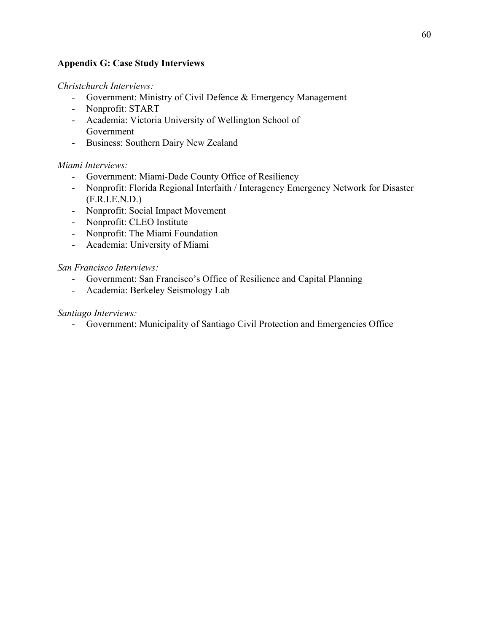#### **Appendix G: Case Study Interviews**

#### *Christchurch Interviews:*

- Government: Ministry of Civil Defence & Emergency Management
- Nonprofit: START
- Academia: Victoria University of Wellington School of Government
- Business: Southern Dairy New Zealand

#### *Miami Interviews:*

- Government: Miami-Dade County Office of Resiliency
- Nonprofit: Florida Regional Interfaith / Interagency Emergency Network for Disaster (F.R.I.E.N.D.)
- Nonprofit: Social Impact Movement
- Nonprofit: CLEO Institute
- Nonprofit: The Miami Foundation
- Academia: University of Miami

#### *San Francisco Interviews:*

- Government: San Francisco's Office of Resilience and Capital Planning
- Academia: Berkeley Seismology Lab

#### *Santiago Interviews:*

- Government: Municipality of Santiago Civil Protection and Emergencies Office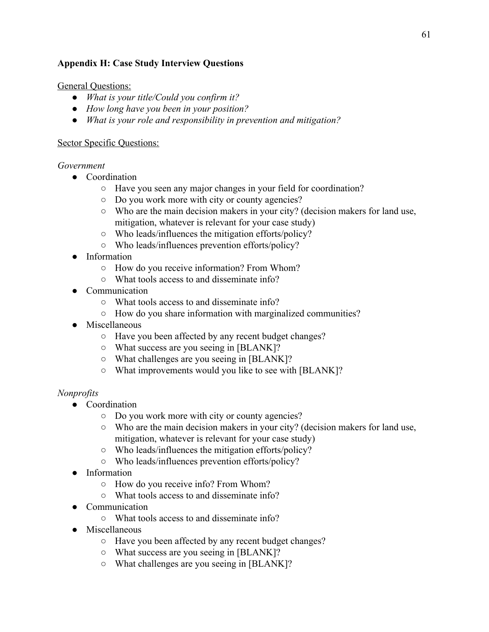#### **Appendix H: Case Study Interview Questions**

#### General Questions:

- *● What is your title/Could you confirm it?*
- *● How long have you been in your position?*
- *● What is your role and responsibility in prevention and mitigation?*

#### Sector Specific Questions:

#### *Government*

- Coordination
	- Have you seen any major changes in your field for coordination?
	- Do you work more with city or county agencies?
	- Who are the main decision makers in your city? (decision makers for land use, mitigation, whatever is relevant for your case study)
	- Who leads/influences the mitigation efforts/policy?
	- Who leads/influences prevention efforts/policy?
- *●* Information
	- *○* How do you receive information? From Whom?
	- What tools access to and disseminate info?
- Communication
	- What tools access to and disseminate info?
	- How do you share information with marginalized communities?
- Miscellaneous
	- Have you been affected by any recent budget changes?
	- What success are you seeing in [BLANK]?
	- What challenges are you seeing in [BLANK]?
	- What improvements would you like to see with [BLANK]?

#### *Nonprofits*

- Coordination
	- Do you work more with city or county agencies?
	- Who are the main decision makers in your city? (decision makers for land use, mitigation, whatever is relevant for your case study)
	- Who leads/influences the mitigation efforts/policy?
	- Who leads/influences prevention efforts/policy?
- Information
	- How do you receive info? From Whom?
	- What tools access to and disseminate info?
- Communication
	- What tools access to and disseminate info?
- Miscellaneous
	- Have you been affected by any recent budget changes?
	- What success are you seeing in [BLANK]?
	- What challenges are you seeing in [BLANK]?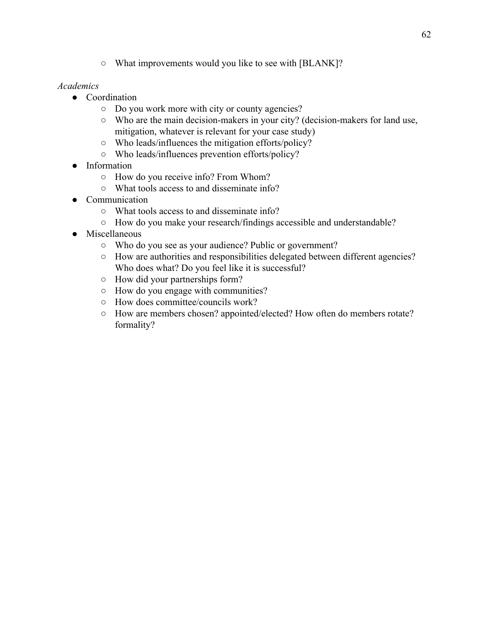○ What improvements would you like to see with [BLANK]?

#### *Academics*

- Coordination
	- Do you work more with city or county agencies?
	- Who are the main decision-makers in your city? (decision-makers for land use, mitigation, whatever is relevant for your case study)
	- Who leads/influences the mitigation efforts/policy?
	- Who leads/influences prevention efforts/policy?
- Information
	- How do you receive info? From Whom?
	- What tools access to and disseminate info?
- Communication
	- What tools access to and disseminate info?
	- How do you make your research/findings accessible and understandable?
- Miscellaneous
	- Who do you see as your audience? Public or government?
	- How are authorities and responsibilities delegated between different agencies? Who does what? Do you feel like it is successful?
	- How did your partnerships form?
	- How do you engage with communities?
	- How does committee/councils work?
	- How are members chosen? appointed/elected? How often do members rotate? formality?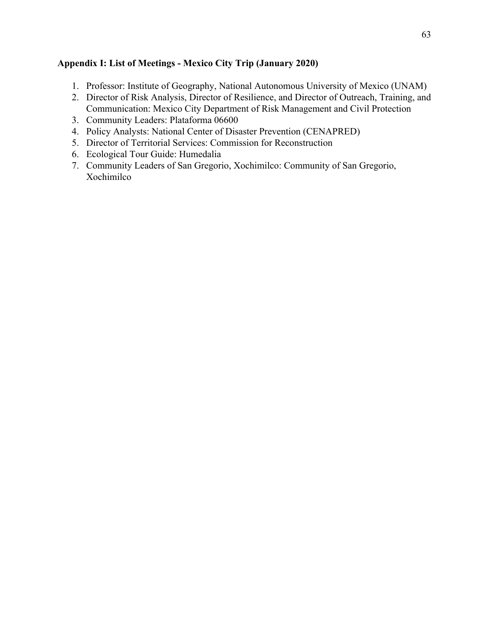#### **Appendix I: List of Meetings - Mexico City Trip (January 2020)**

- 1. Professor: Institute of Geography, National Autonomous University of Mexico (UNAM)
- 2. Director of Risk Analysis, Director of Resilience, and Director of Outreach, Training, and Communication: Mexico City Department of Risk Management and Civil Protection
- 3. Community Leaders: Plataforma 06600
- 4. Policy Analysts: National Center of Disaster Prevention (CENAPRED)
- 5. Director of Territorial Services: Commission for Reconstruction
- 6. Ecological Tour Guide: Humedalia
- 7. Community Leaders of San Gregorio, Xochimilco: Community of San Gregorio, Xochimilco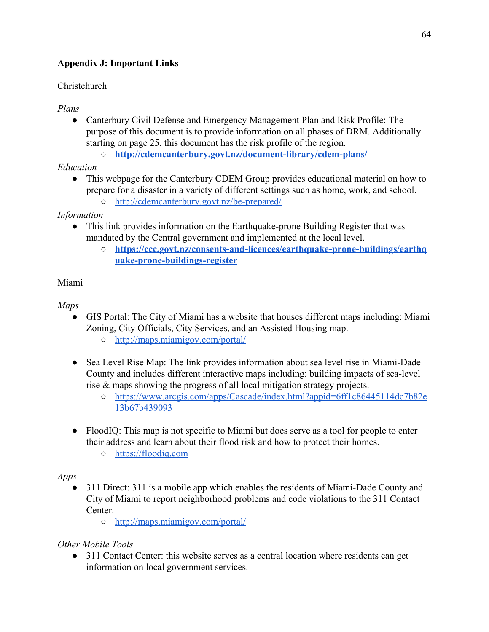## **Appendix J: Important Links**

### Christchurch

### *Plans*

● Canterbury Civil Defense and Emergency Management Plan and Risk Profile: The purpose of this document is to provide information on all phases of DRM. Additionally starting on page 25, this document has the risk profile of the region.

○ **<http://cdemcanterbury.govt.nz/document-library/cdem-plans/>**

## *Education*

- This webpage for the Canterbury CDEM Group provides educational material on how to prepare for a disaster in a variety of different settings such as home, work, and school.
	- <http://cdemcanterbury.govt.nz/be-prepared/>

## *Information*

- This link provides information on the Earthquake-prone Building Register that was mandated by the Central government and implemented at the local level.
	- **[https://ccc.govt.nz/consents-and-licences/earthquake-prone-buildings/earthq](https://ccc.govt.nz/consents-and-licences/earthquake-prone-buildings/earthquake-prone-buildings-register) [uake-prone-buildings-register](https://ccc.govt.nz/consents-and-licences/earthquake-prone-buildings/earthquake-prone-buildings-register)**

## Miami

## *Maps*

- GIS Portal: The City of Miami has a website that houses different maps including: Miami Zoning, City Officials, City Services, and an Assisted Housing map.
	- <http://maps.miamigov.com/portal/>
- Sea Level Rise Map: The link provides information about sea level rise in Miami-Dade County and includes different interactive maps including: building impacts of sea-level rise & maps showing the progress of all local mitigation strategy projects.
	- [https://www.arcgis.com/apps/Cascade/index.html?appid=6ff1c86445114dc7b82e](https://www.arcgis.com/apps/Cascade/index.html?appid=6ff1c86445114dc7b82e13b67b439093) [13b67b439093](https://www.arcgis.com/apps/Cascade/index.html?appid=6ff1c86445114dc7b82e13b67b439093)
- FloodIQ: This map is not specific to Miami but does serve as a tool for people to enter their address and learn about their flood risk and how to protect their homes.
	- [https://floodiq.com](https://floodiq.com/)

### *Apps*

- 311 Direct: 311 is a mobile app which enables the residents of Miami-Dade County and City of Miami to report neighborhood problems and code violations to the 311 Contact Center.
	- <http://maps.miamigov.com/portal/>

# *Other Mobile Tools*

• 311 Contact Center: this website serves as a central location where residents can get information on local government services.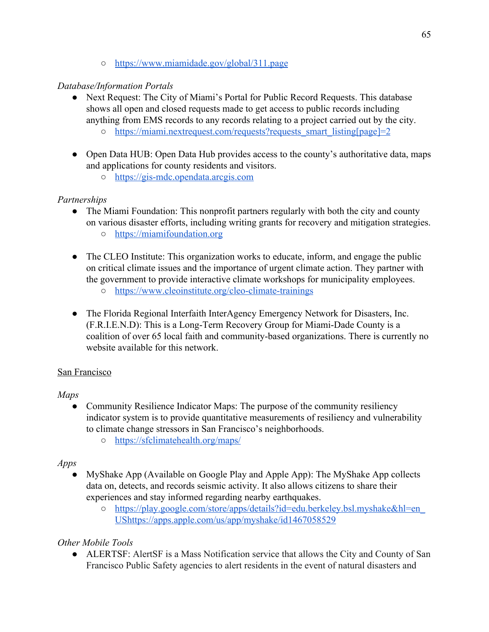○ <https://www.miamidade.gov/global/311.page>

## *Database/Information Portals*

- Next Request: The City of Miami's Portal for Public Record Requests. This database shows all open and closed requests made to get access to public records including anything from EMS records to any records relating to a project carried out by the city.
	- o [https://miami.nextrequest.com/requests?requests\\_smart\\_listing\[page\]=2](https://miami.nextrequest.com/requests?requests_smart_listing[page]=2)
- Open Data HUB: Open Data Hub provides access to the county's authoritative data, maps and applications for county residents and visitors.
	- [https://gis-mdc.opendata.arcgis.com](https://gis-mdc.opendata.arcgis.com/)

# *Partnerships*

- The Miami Foundation: This nonprofit partners regularly with both the city and county on various disaster efforts, including writing grants for recovery and mitigation strategies. ○ [https://miamifoundation.org](https://miamifoundation.org/)
- The CLEO Institute: This organization works to educate, inform, and engage the public on critical climate issues and the importance of urgent climate action. They partner with the government to provide interactive climate workshops for municipality employees. ○ <https://www.cleoinstitute.org/cleo-climate-trainings>
- The Florida Regional Interfaith InterAgency Emergency Network for Disasters, Inc. (F.R.I.E.N.D): This is a Long-Term Recovery Group for Miami-Dade County is a coalition of over 65 local faith and community-based organizations. There is currently no website available for this network.

### San Francisco

### *Maps*

- Community Resilience Indicator Maps: The purpose of the community resiliency indicator system is to provide quantitative measurements of resiliency and vulnerability to climate change stressors in San Francisco's neighborhoods.
	- <https://sfclimatehealth.org/maps/>

### *Apps*

- MyShake App (Available on Google Play and Apple App): The MyShake App collects data on, detects, and records seismic activity. It also allows citizens to share their experiences and stay informed regarding nearby earthquakes.
	- [https://play.google.com/store/apps/details?id=edu.berkeley.bsl.myshake&hl=en\\_](https://play.google.com/store/apps/details?id=edu.berkeley.bsl.myshake&hl=en_US) [US](https://play.google.com/store/apps/details?id=edu.berkeley.bsl.myshake&hl=en_US)<https://apps.apple.com/us/app/myshake/id1467058529>

# *Other Mobile Tools*

• ALERTSF: AlertSF is a Mass Notification service that allows the City and County of San Francisco Public Safety agencies to alert residents in the event of natural disasters and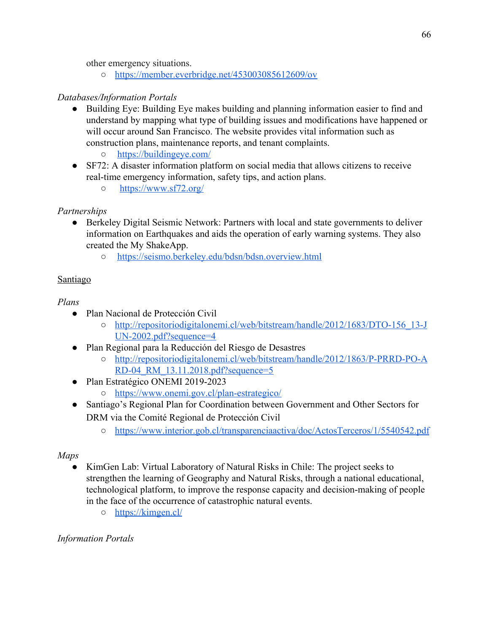other emergency situations.

○ <https://member.everbridge.net/453003085612609/ov>

## *Databases/Information Portals*

- Building Eye: Building Eye makes building and planning information easier to find and understand by mapping what type of building issues and modifications have happened or will occur around San Francisco. The website provides vital information such as construction plans, maintenance reports, and tenant complaints.
	- <https://buildingeye.com/>
- SF72: A disaster information platform on social media that allows citizens to receive real-time emergency information, safety tips, and action plans.
	- <https://www.sf72.org/>

## *Partnerships*

- Berkeley Digital Seismic Network: Partners with local and state governments to deliver information on Earthquakes and aids the operation of early warning systems. They also created the My ShakeApp.
	- <https://seismo.berkeley.edu/bdsn/bdsn.overview.html>

## Santiago

*Plans*

- Plan Nacional de Protección Civil
	- o [http://repositoriodigitalonemi.cl/web/bitstream/handle/2012/1683/DTO-156\\_13-J](http://repositoriodigitalonemi.cl/web/bitstream/handle/2012/1683/DTO-156_13-JUN-2002.pdf?sequence=4) [UN-2002.pdf?sequence=4](http://repositoriodigitalonemi.cl/web/bitstream/handle/2012/1683/DTO-156_13-JUN-2002.pdf?sequence=4)
- Plan Regional para la Reducción del Riesgo de Desastres
	- [http://repositoriodigitalonemi.cl/web/bitstream/handle/2012/1863/P-PRRD-PO-A](http://repositoriodigitalonemi.cl/web/bitstream/handle/2012/1863/P-PRRD-PO-ARD-04_RM_13.11.2018.pdf?sequence=5) [RD-04\\_RM\\_13.11.2018.pdf?sequence=5](http://repositoriodigitalonemi.cl/web/bitstream/handle/2012/1863/P-PRRD-PO-ARD-04_RM_13.11.2018.pdf?sequence=5)
- Plan Estratégico ONEMI 2019-2023 ○ <https://www.onemi.gov.cl/plan-estrategico/>
- Santiago's Regional Plan for Coordination between Government and Other Sectors for DRM via the Comité Regional de Protección Civil
	- <https://www.interior.gob.cl/transparenciaactiva/doc/ActosTerceros/1/5540542.pdf>

# *Maps*

- KimGen Lab: Virtual Laboratory of Natural Risks in Chile: The project seeks to strengthen the learning of Geography and Natural Risks, through a national educational, technological platform, to improve the response capacity and decision-making of people in the face of the occurrence of catastrophic natural events.
	- <https://kimgen.cl/>

# *Information Portals*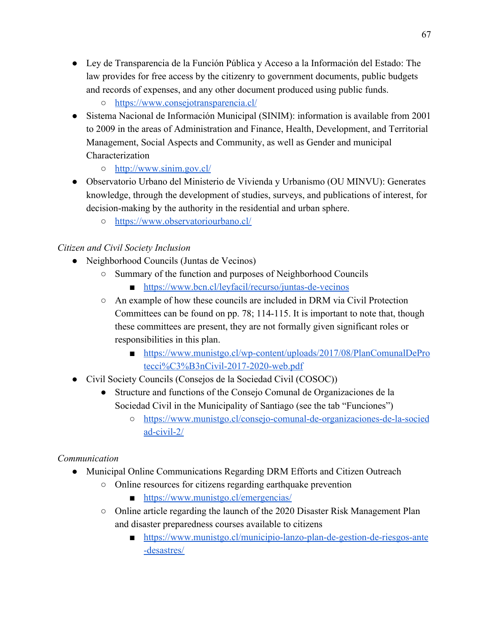- Ley de Transparencia de la Función Pública y Acceso a la Información del Estado: The law provides for free access by the citizenry to government documents, public budgets and records of expenses, and any other document produced using public funds.
	- <https://www.consejotransparencia.cl/>
- Sistema Nacional de Información Municipal (SINIM): information is available from 2001 to 2009 in the areas of Administration and Finance, Health, Development, and Territorial Management, Social Aspects and Community, as well as Gender and municipal Characterization
	- <http://www.sinim.gov.cl/>
- Observatorio Urbano del Ministerio de Vivienda y Urbanismo (OU MINVU): Generates knowledge, through the development of studies, surveys, and publications of interest, for decision-making by the authority in the residential and urban sphere.
	- <https://www.observatoriourbano.cl/>

# *Citizen and Civil Society Inclusion*

- Neighborhood Councils (Juntas de Vecinos)
	- Summary of the function and purposes of Neighborhood Councils
		- <https://www.bcn.cl/leyfacil/recurso/juntas-de-vecinos>
	- $\circ$  An example of how these councils are included in DRM via Civil Protection Committees can be found on pp. 78; 114-115. It is important to note that, though these committees are present, they are not formally given significant roles or responsibilities in this plan.
		- [https://www.munistgo.cl/wp-content/uploads/2017/08/PlanComunalDePro](https://www.munistgo.cl/wp-content/uploads/2017/08/PlanComunalDeProtecci%C3%B3nCivil-2017-2020-web.pdf) [tecci%C3%B3nCivil-2017-2020-web.pdf](https://www.munistgo.cl/wp-content/uploads/2017/08/PlanComunalDeProtecci%C3%B3nCivil-2017-2020-web.pdf)
- Civil Society Councils (Consejos de la Sociedad Civil (COSOC))
	- Structure and functions of the Consejo Comunal de Organizaciones de la Sociedad Civil in the Municipality of Santiago (see the tab "Funciones")
		- [https://www.munistgo.cl/consejo-comunal-de-organizaciones-de-la-socied](https://www.munistgo.cl/consejo-comunal-de-organizaciones-de-la-sociedad-civil-2/) [ad-civil-2/](https://www.munistgo.cl/consejo-comunal-de-organizaciones-de-la-sociedad-civil-2/)

# *Communication*

- Municipal Online Communications Regarding DRM Efforts and Citizen Outreach
	- Online resources for citizens regarding earthquake prevention
		- <https://www.munistgo.cl/emergencias/>
	- $\circ$  Online article regarding the launch of the 2020 Disaster Risk Management Plan and disaster preparedness courses available to citizens
		- [https://www.munistgo.cl/municipio-lanzo-plan-de-gestion-de-riesgos-ante](https://www.munistgo.cl/municipio-lanzo-plan-de-gestion-de-riesgos-ante-desastres/) [-desastres/](https://www.munistgo.cl/municipio-lanzo-plan-de-gestion-de-riesgos-ante-desastres/)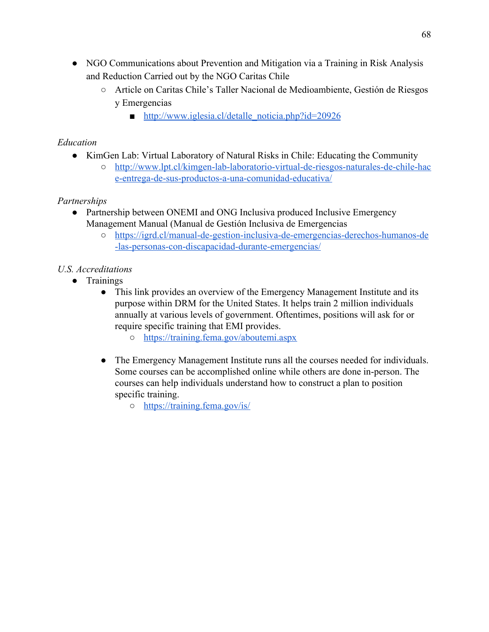- NGO Communications about Prevention and Mitigation via a Training in Risk Analysis and Reduction Carried out by the NGO Caritas Chile
	- Article on Caritas Chile's Taller Nacional de Medioambiente, Gestión de Riesgos y Emergencias
		- [http://www.iglesia.cl/detalle\\_noticia.php?id=20926](http://www.iglesia.cl/detalle_noticia.php?id=20926)

## *Education*

- KimGen Lab: Virtual Laboratory of Natural Risks in Chile: Educating the Community
	- [http://www.lpt.cl/kimgen-lab-laboratorio-virtual-de-riesgos-naturales-de-chile-hac](http://www.lpt.cl/kimgen-lab-laboratorio-virtual-de-riesgos-naturales-de-chile-hace-entrega-de-sus-productos-a-una-comunidad-educativa/) [e-entrega-de-sus-productos-a-una-comunidad-educativa/](http://www.lpt.cl/kimgen-lab-laboratorio-virtual-de-riesgos-naturales-de-chile-hace-entrega-de-sus-productos-a-una-comunidad-educativa/)

## *Partnerships*

- Partnership between ONEMI and ONG Inclusiva produced Inclusive Emergency Management Manual (Manual de Gestión Inclusiva de Emergencias
	- [https://igrd.cl/manual-de-gestion-inclusiva-de-emergencias-derechos-humanos-de](https://igrd.cl/manual-de-gestion-inclusiva-de-emergencias-derechos-humanos-de-las-personas-con-discapacidad-durante-emergencias/) [-las-personas-con-discapacidad-durante-emergencias/](https://igrd.cl/manual-de-gestion-inclusiva-de-emergencias-derechos-humanos-de-las-personas-con-discapacidad-durante-emergencias/)

# *U.S. Accreditations*

- Trainings
	- This link provides an overview of the Emergency Management Institute and its purpose within DRM for the United States. It helps train 2 million individuals annually at various levels of government. Oftentimes, positions will ask for or require specific training that EMI provides.
		- <https://training.fema.gov/aboutemi.aspx>
	- The Emergency Management Institute runs all the courses needed for individuals. Some courses can be accomplished online while others are done in-person. The courses can help individuals understand how to construct a plan to position specific training.
		- <https://training.fema.gov/is/>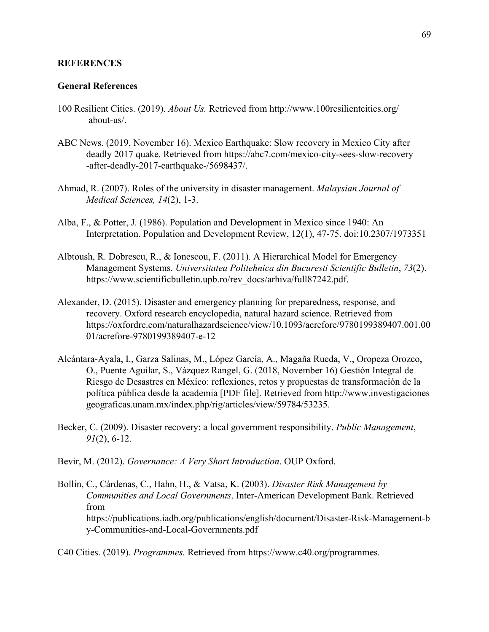#### **REFERENCES**

#### **General References**

- 100 Resilient Cities. (2019). *About Us.* Retrieved from <http://www.100resilientcities.org/> about-us/.
- ABC News. (2019, November 16). Mexico Earthquake: Slow recovery in Mexico City after deadly 2017 quake. Retrieved from<https://abc7.com/mexico-city-sees-slow-recovery> -after-deadly-2017-earthquake-/5698437/.
- Ahmad, R. (2007). Roles of the university in disaster management. *Malaysian Journal of Medical Sciences, 14*(2), 1-3.
- Alba, F., & Potter, J. (1986). Population and Development in Mexico since 1940: An Interpretation. Population and Development Review, 12(1), 47-75. doi:10.2307/1973351
- Albtoush, R. Dobrescu, R., & Ionescou, F. (2011). A Hierarchical Model for Emergency Management Systems. *Universitatea Politehnica din Bucuresti Scientific Bulletin*, *73*(2)[.](https://www.scientificbulletin.upb.ro/rev_docs/arhiva/full87242.pdf) [https://www.scientificbulletin.upb.ro/rev\\_docs/arhiva/full87242.pdf.](https://www.scientificbulletin.upb.ro/rev_docs/arhiva/full87242.pdf)
- Alexander, D. (2015). Disaster and emergency planning for preparedness, response, and recovery. Oxford research encyclopedia, natural hazard science. Retrieved from [https://oxfordre.com/naturalhazardscience/view/10.1093/acrefore/9780199389407.001.00](https://oxfordre.com/naturalhazardscience/view/10.1093/acrefore/9780199389407.001.0001/acrefore-9780199389407-e-12) [01/acrefore-9780199389407-e-12](https://oxfordre.com/naturalhazardscience/view/10.1093/acrefore/9780199389407.001.0001/acrefore-9780199389407-e-12)
- Alcántara-Ayala, I., Garza Salinas, M., López García, A., Magaña Rueda, V., Oropeza Orozco, O., Puente Aguilar, S., Vázquez Rangel, G. (2018, November 16) Gestión Integral de Riesgo de Desastres en México: reflexiones, retos y propuestas de transformación de la política pública desde la academia [PDF file]. Retrieved from [http://www.investigaciones](http://www.investigaciones/) geograficas.unam.mx/index.php/rig/articles/view/59784/53235.
- Becker, C. (2009). Disaster recovery: a local government responsibility. *Public Management*,  *91*(2), 6-12.
- Bevir, M. (2012). *Governance: A Very Short Introduction*. OUP Oxford.
- Bollin, C., Cárdenas, C., Hahn, H., & Vatsa, K. (2003). *Disaster Risk Management by Communities and Local Governments*. Inter-American Development Bank. Retrieved from https://publications.iadb.org/publications/english/document/Disaster-Risk-Management-b y-Communities-and-Local-Governments.pdf

C40 Cities. (2019). *Programmes.* Retrieved from [https://www.c40.org/programmes.](https://www.c40.org/programmes)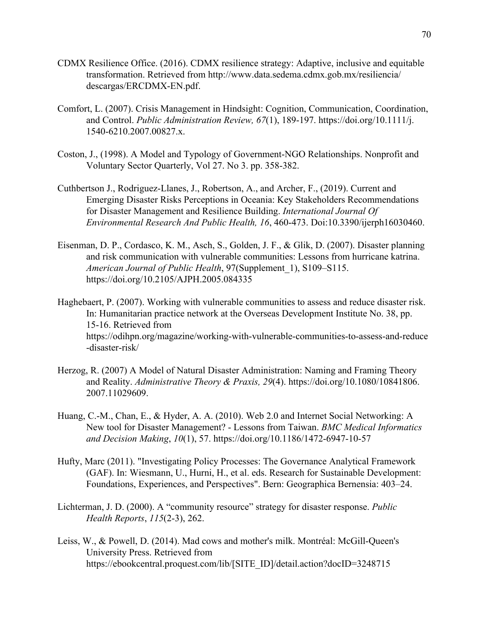- CDMX Resilience Office. (2016). CDMX resilience strategy: Adaptive, inclusive and equitable transformation. Retrieved from<http://www.data.sedema.cdmx.gob.mx/resiliencia/> descargas/ERCDMX-EN.pdf.
- Comfort, L. (2007). Crisis Management in Hindsight: Cognition, Communication, Coordination, and Control. *Public Administration Review, 67*(1), 189-197. [https://doi.org/10.1111/j.](https://doi.org/10.1111/j) 1540-6210.2007.00827.x.
- Coston, J., (1998). A Model and Typology of Government-NGO Relationships. Nonprofit and Voluntary Sector Quarterly, Vol 27. No 3. pp. 358-382.
- Cuthbertson J., Rodriguez-Llanes, J., Robertson, A., and Archer, F., (2019). Current and Emerging Disaster Risks Perceptions in Oceania: Key Stakeholders Recommendations for Disaster Management and Resilience Building. *International Journal Of Environmental Research And Public Health, 16*, 460-473. Doi:10.3390/ijerph16030460.
- Eisenman, D. P., Cordasco, K. M., Asch, S., Golden, J. F., & Glik, D. (2007). Disaster planning and risk communication with vulnerable communities: Lessons from hurricane katrina. *American Journal of Public Health*, 97(Supplement\_1), S109–S115. https://doi.org/10.2105/AJPH.2005.084335
- Haghebaert, P. (2007). Working with vulnerable communities to assess and reduce disaster risk. In: Humanitarian practice network at the Overseas Development Institute No. 38, pp. 15-16. Retrieved from https://odihpn.org/magazine/working-with-vulnerable-communities-to-assess-and-reduce -disaster-risk/
- Herzog, R. (2007) A Model of Natural Disaster Administration: Naming and Framing Theory and Reality. *Administrative Theory & Praxis, 29*(4). [https://doi.org/10.1080/10841806.](https://doi.org/10.1080/10841806) 2007.11029609.
- Huang, C.-M., Chan, E., & Hyder, A. A. (2010). Web 2.0 and Internet Social Networking: A New tool for Disaster Management? - Lessons from Taiwan. *BMC Medical Informatics and Decision Making*, *10*(1), 57. https://doi.org/10.1186/1472-6947-10-57
- Hufty, Marc (2011). "Investigating Policy Processes: The Governance Analytical Framework (GAF). In: Wiesmann, U., Hurni, H., et al. eds. Research for Sustainable Development: Foundations, Experiences, and Perspectives". Bern: Geographica Bernensia: 403–24.
- Lichterman, J. D. (2000). A "community resource" strategy for disaster response. *Public Health Reports*, *115*(2-3), 262.
- Leiss, W., & Powell, D. (2014). Mad cows and mother's milk. Montréal: McGill-Queen's University Press. Retrieved from h[ttps://ebookcentral.proquest.com/lib/\[SITE\\_ID](https://ebookcentral.proquest.com/lib/[SITE_ID)]/detail.action?docID=3248715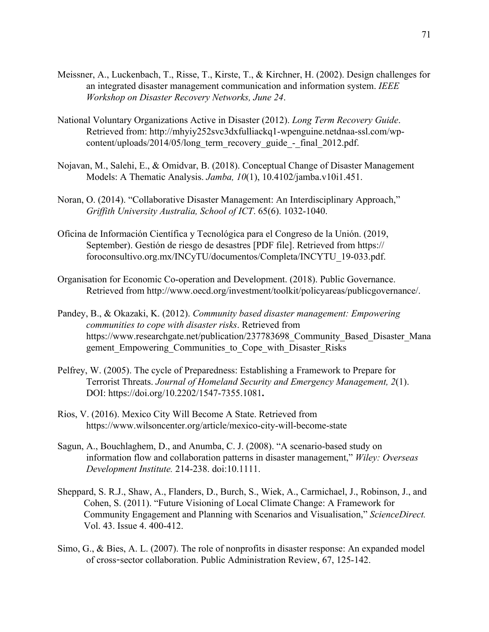- Meissner, A., Luckenbach, T., Risse, T., Kirste, T., & Kirchner, H. (2002). Design challenges for an integrated disaster management communication and information system. *IEEE Workshop on Disaster Recovery Networks, June 24*.
- National Voluntary Organizations Active in Disaster (2012). *Long Term Recovery Guide*. Retrieved from: [http://mhyiy252svc3dxfulliackq1-wpenguine.netdnaa-ssl.com/wp](http://mhyiy252svc3dxfulliackq1-wpenguine.netdnaa-ssl.com/wp-) content/uploads/2014/05/long\_term\_recovery\_guide\_-\_final\_2012.pdf.
- Nojavan, M., Salehi, E., & Omidvar, B. (2018). Conceptual Change of Disaster Management Models: A Thematic Analysis. *Jamba, 10*(1), [10.4102/jamba.v10i1.451.](https://dx.doi.org/10.4102%2Fjamba.v10i1.451)
- Noran, O. (2014). "Collaborative Disaster Management: An Interdisciplinary Approach," *Griffith University Australia, School of ICT*. 65(6). 1032-1040.
- Oficina de Información Científica y Tecnológica para el Congreso de la Unión. (2019, September). Gestión de riesgo de desastres [PDF file]. Retrieved from https:// foroconsultivo.org.mx/INCyTU/documentos/Completa/INCYTU\_19-033.pdf.
- Organisation for Economic Co-operation and Development. (2018). Public Governance. Retrieved from [http://www.oecd.org/investment/toolkit/policyareas/publicgovernance/.](http://www.oecd.org/investment/toolkit/policyareas/publicgovernance/)
- Pandey, B., & Okazaki, K. (2012). *Community based disaster management: Empowering communities to cope with disaster risks*. Retrieved from https://www.researchgate.net/publication/237783698 Community Based Disaster Mana gement Empowering Communities to Cope with Disaster Risks
- Pelfrey, W. (2005). The cycle of Preparedness: Establishing a Framework to Prepare for Terrorist Threats. *Journal of Homeland Security and Emergency Management, 2*(1). DOI: <https://doi.org/10.2202/1547-7355.1081>**.**
- Rios, V. (2016). Mexico City Will Become A State. Retrieved from https://www.wilsoncenter.org/article/mexico-city-will-become-state
- Sagun, A., Bouchlaghem, D., and Anumba, C. J. (2008). "A scenario-based study on information flow and collaboration patterns in disaster management," *Wiley: Overseas Development Institute.* 214-238. doi:10.1111.
- Sheppard, S. R.J., Shaw, A., Flanders, D., Burch, S., Wiek, A., Carmichael, J., Robinson, J., and Cohen, S. (2011). "Future Visioning of Local Climate Change: A Framework for Community Engagement and Planning with Scenarios and Visualisation," *ScienceDirect.* Vol. 43. Issue 4. 400-412.
- Simo, G., & Bies, A. L. (2007). The role of nonprofits in disaster response: An expanded model of cross-sector collaboration. Public Administration Review, 67, 125-142.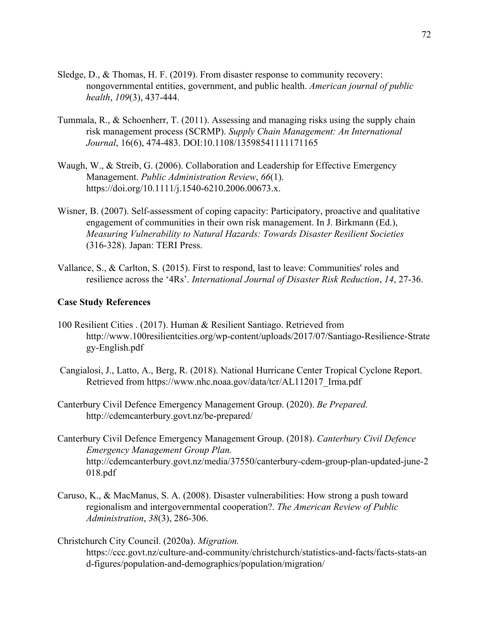- Sledge, D., & Thomas, H. F. (2019). From disaster response to community recovery: nongovernmental entities, government, and public health. *American journal of public health*, *109*(3), 437-444.
- Tummala, R., & Schoenherr, T. (2011). Assessing and managing risks using the supply chain risk management process (SCRMP). *Supply Chain Management: An International Journal*, 16(6), 474-483. DOI:10.1108/13598541111171165
- Waugh, W., & Streib, G. (2006). Collaboration and Leadership for Effective Emergency Management. *Public Administration Review*, *66*(1). [https://doi.org/10.1111/j.1540-6210.2006.00673.x.](https://doi.org/10.1111/j.1540-6210.2006.00673.x)
- Wisner, B. (2007). Self-assessment of coping capacity: Participatory, proactive and qualitative engagement of communities in their own risk management. In J. Birkmann (Ed.), *Measuring Vulnerability to Natural Hazards: Towards Disaster Resilient Societies* (316-328). Japan: TERI Press.
- Vallance, S., & Carlton, S. (2015). First to respond, last to leave: Communities' roles and resilience across the '4Rs'. *International Journal of Disaster Risk Reduction*, *14*, 27-36.

#### **Case Study References**

- 100 Resilient Cities . (2017). Human & Resilient Santiago. Retrieved from http://www.100resilientcities.org/wp-content/uploads/2017/07/Santiago-Resilience-Strate gy-English.pdf
- Cangialosi, J., Latto, A., Berg, R. (2018). National Hurricane Center Tropical Cyclone Report. Retrieved from [https://www.nhc.noaa.gov/data/tcr/AL112017\\_Irma.pdf](https://www.nhc.noaa.gov/data/tcr/AL112017_Irma.pdf)
- Canterbury Civil Defence Emergency Management Group. (2020). *Be Prepared.* <http://cdemcanterbury.govt.nz/be-prepared/>
- Canterbury Civil Defence Emergency Management Group. (2018). *Canterbury Civil Defence Emergency Management Group Plan.* [http://cdemcanterbury.govt.nz/media/37550/canterbury-cdem-group-plan-updated-june-2](http://cdemcanterbury.govt.nz/media/37550/canterbury-cdem-group-plan-updated-june-2018.pdf) [018.pdf](http://cdemcanterbury.govt.nz/media/37550/canterbury-cdem-group-plan-updated-june-2018.pdf)
- Caruso, K., & MacManus, S. A. (2008). Disaster vulnerabilities: How strong a push toward regionalism and intergovernmental cooperation?. *The American Review of Public Administration*, *38*(3), 286-306.

Christchurch City Council. (2020a). *Migration.* [https://ccc.govt.nz/culture-and-community/christchurch/statistics-and-facts/facts-stats-an](https://ccc.govt.nz/culture-and-community/christchurch/statistics-and-facts/facts-stats-and-figures/population-and-demographics/population/migration/) [d-figures/population-and-demographics/population/migration/](https://ccc.govt.nz/culture-and-community/christchurch/statistics-and-facts/facts-stats-and-figures/population-and-demographics/population/migration/)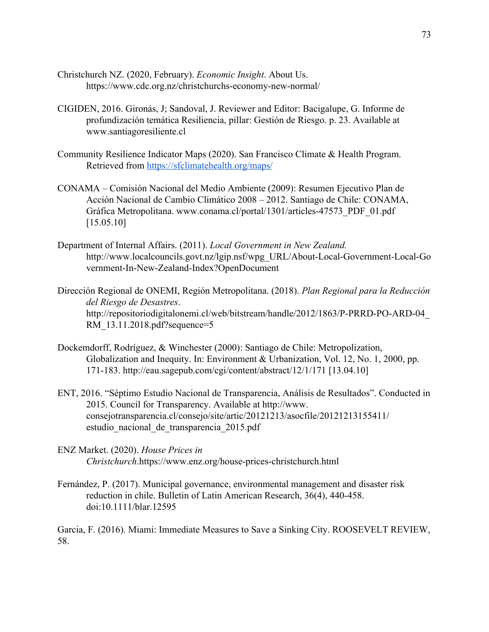- Christchurch NZ. (2020, February). *Economic Insight*. About Us. <https://www.cdc.org.nz/christchurchs-economy-new-normal/>
- CIGIDEN, 2016. Gironás, J; Sandoval, J. Reviewer and Editor: Bacigalupe, G. Informe de profundización temática Resiliencia, pillar: Gestión de Riesgo. p. 23. Available at www.santiagoresiliente.cl
- Community Resilience Indicator Maps (2020). San Francisco Climate & Health Program. Retrieved from <https://sfclimatehealth.org/maps/>
- CONAMA Comisión Nacional del Medio Ambiente (2009): Resumen Ejecutivo Plan de Acción Nacional de Cambio Climático 2008 – 2012. Santiago de Chile: CONAMA, Gráfica Metropolitana. www.conama.cl/portal/1301/articles-47573\_PDF\_01.pdf  $[15.05.10]$
- Department of Internal Affairs. (2011). *Local Government in New Zealand.* [http://www.localcouncils.govt.nz/lgip.nsf/wpg\\_URL/About-Local-Government-Local-Go](http://www.localcouncils.govt.nz/lgip.nsf/wpg_URL/About-Local-Government-Local-Government-In-New-Zealand-Index?OpenDocument) [vernment-In-New-Zealand-Index?OpenDocument](http://www.localcouncils.govt.nz/lgip.nsf/wpg_URL/About-Local-Government-Local-Government-In-New-Zealand-Index?OpenDocument)
- Dirección Regional de ONEMI, Región Metropolitana. (2018). *Plan Regional para la Reducción del Riesgo de Desastres*. [http://repositoriodigitalonemi.cl/web/bitstream/handle/2012/1863/P-PRRD-PO-ARD-04\\_](http://repositoriodigitalonemi.cl/web/bitstream/handle/2012/1863/P-PRRD-PO-ARD-04_RM_13.11.2018.pdf?sequence=5) [RM\\_13.11.2018.pdf?sequence=5](http://repositoriodigitalonemi.cl/web/bitstream/handle/2012/1863/P-PRRD-PO-ARD-04_RM_13.11.2018.pdf?sequence=5)
- Dockemdorff, Rodríguez, & Winchester (2000): Santiago de Chile: Metropolization, Globalization and Inequity. In: Environment & Urbanization, Vol. 12, No. 1, 2000, pp. 171-183. http://eau.sagepub.com/cgi/content/abstract/12/1/171 [13.04.10]
- ENT, 2016. "Séptimo Estudio Nacional de Transparencia, Análisis de Resultados". Conducted in 2015. Council for Transparency. Available at http://www. consejotransparencia.cl/consejo/site/artic/20121213/asocfile/20121213155411/ estudio\_nacional\_de\_transparencia\_2015.pdf
- ENZ Market. (2020). *House Prices in Christchurch*[.https://www.enz.org/house-prices-christchurch.html](https://www.enz.org/house-prices-christchurch.html)
- Fernández, P. (2017). Municipal governance, environmental management and disaster risk reduction in chile. Bulletin of Latin American Research, 36(4), 440-458. doi:10.1111/blar.12595

Garcia, F. (2016). Miami: Immediate Measures to Save a Sinking City. ROOSEVELT REVIEW, 58.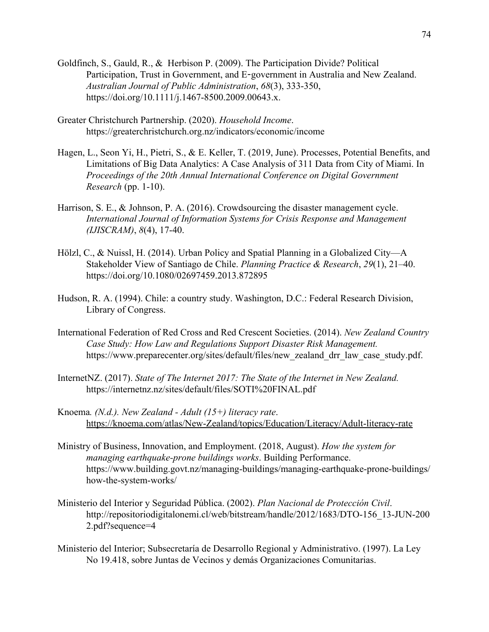- [Goldfinch,](https://onlinelibrary.wiley.com/action/doSearch?ContribAuthorStored=Goldfinch%2C+Shaun) S., [Gauld,](https://onlinelibrary.wiley.com/action/doSearch?ContribAuthorStored=Gauld%2C+Robin) R., & [Herbison](https://onlinelibrary.wiley.com/action/doSearch?ContribAuthorStored=Herbison%2C+Peter) P. (2009). The Participation Divide? Political Participation, Trust in Government, and E-government in Australia and New Zealand. *Australian Journal of Public Administration*, *68*(3), 333-350, [https://doi.org/10.1111/j.1467-8500.2009.00643.x.](https://doi.org/10.1111/j.1467-8500.2009.00643.x)
- Greater Christchurch Partnership. (2020). *Household Income*. <https://greaterchristchurch.org.nz/indicators/economic/income>
- Hagen, L., Seon Yi, H., Pietri, S., & E. Keller, T. (2019, June). Processes, Potential Benefits, and Limitations of Big Data Analytics: A Case Analysis of 311 Data from City of Miami. In *Proceedings of the 20th Annual International Conference on Digital Government Research* (pp. 1-10).
- Harrison, S. E., & Johnson, P. A. (2016). Crowdsourcing the disaster management cycle. *International Journal of Information Systems for Crisis Response and Management (IJISCRAM)*, *8*(4), 17-40.
- Hölzl, C., & Nuissl, H. (2014). Urban Policy and Spatial Planning in a Globalized City—A Stakeholder View of Santiago de Chile. *Planning Practice & Research*, *29*(1), 21–40. <https://doi.org/10.1080/02697459.2013.872895>
- Hudson, R. A. (1994). Chile: a country study. Washington, D.C.: Federal Research Division, Library of Congress.
- International Federation of Red Cross and Red Crescent Societies. (2014). *New Zealand Country Case Study: How Law and Regulations Support Disaster Risk Management.* [https://www.preparecenter.org/sites/default/files/new\\_zealand\\_drr\\_law\\_case\\_study.pdf](https://www.preparecenter.org/sites/default/files/new_zealand_drr_law_case_study.pdf).
- InternetNZ. (2017). *State of The Internet 2017: The State of the Internet in New Zealand.* <https://internetnz.nz/sites/default/files/SOTI%20FINAL.pdf>
- Knoema*. (N.d.). New Zealand Adult (15+) literacy rate*. <https://knoema.com/atlas/New-Zealand/topics/Education/Literacy/Adult-literacy-rate>
- Ministry of Business, Innovation, and Employment. (2018, August). *How the system for managing earthquake-prone buildings works*. Building Performance. [https://www.building.govt.nz/managing-buildings/managing-earthquake-prone-buildings/](https://www.building.govt.nz/managing-buildings/managing-earthquake-prone-buildings/how-the-system-works/) [how-the-system-works/](https://www.building.govt.nz/managing-buildings/managing-earthquake-prone-buildings/how-the-system-works/)
- Ministerio del Interior y Seguridad Pública. (2002). *Plan Nacional de Protección Civil*. [http://repositoriodigitalonemi.cl/web/bitstream/handle/2012/1683/DTO-156\\_13-JUN-200](http://repositoriodigitalonemi.cl/web/bitstream/handle/2012/1683/DTO-156_13-JUN-2002.pdf?sequence=4) [2.pdf?sequence=4](http://repositoriodigitalonemi.cl/web/bitstream/handle/2012/1683/DTO-156_13-JUN-2002.pdf?sequence=4)
- Ministerio del Interior; Subsecretaría de Desarrollo Regional y Administrativo. (1997). La Ley No 19.418, sobre Juntas de Vecinos y demás Organizaciones Comunitarias.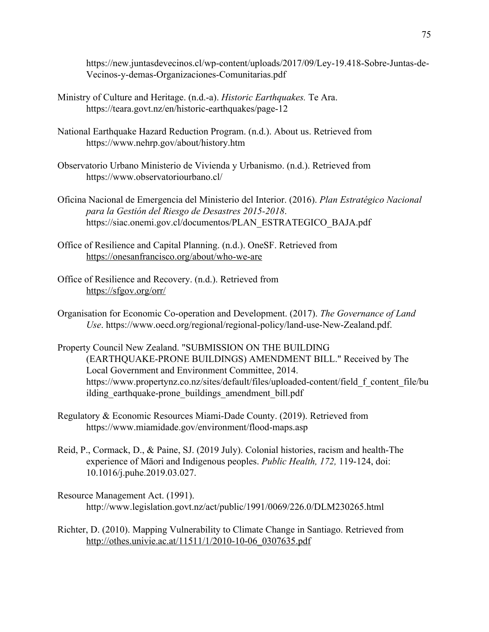[https://new.juntasdevecinos.cl/wp-content/uploads/2017/09/Ley-19.418-Sobre-Juntas-de-](https://new.juntasdevecinos.cl/wp-content/uploads/2017/09/Ley-19.418-Sobre-Juntas-de-Vecinos-y-demas-Organizaciones-Comunitarias.pdf)[Vecinos-y-demas-Organizaciones-Comunitarias.pdf](https://new.juntasdevecinos.cl/wp-content/uploads/2017/09/Ley-19.418-Sobre-Juntas-de-Vecinos-y-demas-Organizaciones-Comunitarias.pdf)

- Ministry of Culture and Heritage. (n.d.-a). *Historic Earthquakes.* Te Ara. <https://teara.govt.nz/en/historic-earthquakes/page-12>
- National Earthquake Hazard Reduction Program. (n.d.). About us. Retrieved from <https://www.nehrp.gov/about/history.htm>
- Observatorio Urbano Ministerio de Vivienda y Urbanismo. (n.d.). Retrieved from https://www.observatoriourbano.cl/
- Oficina Nacional de Emergencia del Ministerio del Interior. (2016). *Plan Estratégico Nacional para la Gestión del Riesgo de Desastres 2015-2018*. [https://siac.onemi.gov.cl/documentos/PLAN\\_ESTRATEGICO\\_BAJA.pdf](https://siac.onemi.gov.cl/documentos/PLAN_ESTRATEGICO_BAJA.pdf)
- Office of Resilience and Capital Planning. (n.d.). OneSF. Retrieved from <https://onesanfrancisco.org/about/who-we-are>
- Office of Resilience and Recovery. (n.d.). Retrieved from <https://sfgov.org/orr/>
- Organisation for Economic Co-operation and Development. (2017). *The Governance of Land Use*. <https://www.oecd.org/regional/regional-policy/land-use-New-Zealand.pdf>.
- Property Council New Zealand. "SUBMISSION ON THE BUILDING (EARTHQUAKE-PRONE BUILDINGS) AMENDMENT BILL." Received by The Local Government and Environment Committee, 2014. https://www.propertynz.co.nz/sites/default/files/uploaded-content/field f content file/bu ilding\_earthquake-prone\_buildings\_amendment\_bill.pdf
- Regulatory & Economic Resources Miami-Dade County. (2019). Retrieved from <https://www.miamidade.gov/environment/flood-maps.asp>
- Reid, P., Cormack, D., & Paine, SJ. (2019 July). Colonial histories, racism and health-The experience of Māori and Indigenous peoples. *Public Health, 172,* 119-124, doi: 10.1016/j.puhe.2019.03.027.
- Resource Management Act. (1991). <http://www.legislation.govt.nz/act/public/1991/0069/226.0/DLM230265.html>
- Richter, D. (2010). Mapping Vulnerability to Climate Change in Santiago. Retrieved from [http://othes.univie.ac.at/11511/1/2010-10-06\\_0307635.pdf](http://othes.univie.ac.at/11511/1/2010-10-06_0307635.pdf)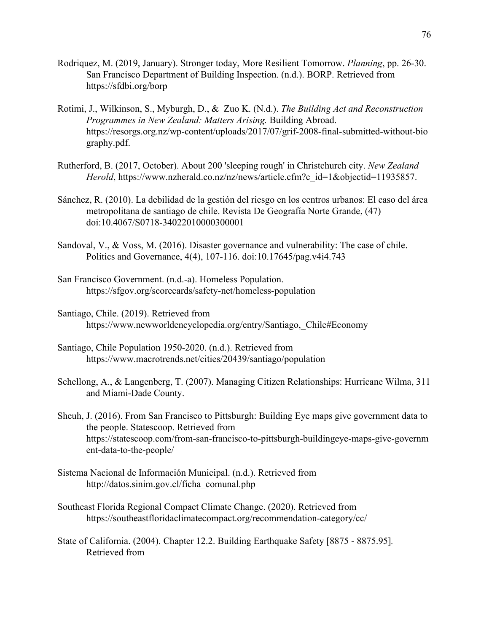- Rodriquez, M. (2019, January). Stronger today, More Resilient Tomorrow. *Planning*, pp. 26-30. San Francisco Department of Building Inspection. (n.d.). BORP. Retrieved from <https://sfdbi.org/borp>
- Rotimi, J., Wilkinson, S., Myburgh, D., & Zuo K. (N.d.). *The Building Act and Reconstruction Programmes in New Zealand: Matters Arising.* Building Abroad. [https://resorgs.org.nz/wp-content/uploads/2017/07/grif-2008-final-submitted-without-bio](https://resorgs.org.nz/wp-content/uploads/2017/07/grif-2008-final-submitted-without-biography.pdf) [graphy.pdf](https://resorgs.org.nz/wp-content/uploads/2017/07/grif-2008-final-submitted-without-biography.pdf).
- Rutherford, B. (2017, October). About 200 'sleeping rough' in Christchurch city. *New Zealand Herold*, [https://www.nzherald.co.nz/nz/news/article.cfm?c\\_id=1&objectid=11935857.](https://www.nzherald.co.nz/nz/news/article.cfm?c_id=1&objectid=11935857)
- Sánchez, R. (2010). La debilidad de la gestión del riesgo en los centros urbanos: El caso del área metropolitana de santiago de chile. Revista De Geografía Norte Grande, (47) doi:10.4067/S0718-34022010000300001
- Sandoval, V., & Voss, M. (2016). Disaster governance and vulnerability: The case of chile. Politics and Governance, 4(4), 107-116. doi:10.17645/pag.v4i4.743
- San Francisco Government. (n.d.-a). Homeless Population. <https://sfgov.org/scorecards/safety-net/homeless-population>
- Santiago, Chile. (2019). Retrieved from [https://www.newworldencyclopedia.org/entry/Santiago,\\_Chile#Economy](https://www.newworldencyclopedia.org/entry/Santiago,_Chile#Economy)
- Santiago, Chile Population 1950-2020. (n.d.). Retrieved from <https://www.macrotrends.net/cities/20439/santiago/population>
- Schellong, A., & Langenberg, T. (2007). Managing Citizen Relationships: Hurricane Wilma, 311 and Miami-Dade County.
- Sheuh, J. (2016). From San Francisco to Pittsburgh: Building Eye maps give government data to the people. Statescoop. Retrieved from [https://statescoop.com/from-san-francisco-to-pittsburgh-buildingeye-maps-give-governm](https://statescoop.com/from-san-francisco-to-pittsburgh-buildingeye-maps-give-government-data-to-the-people/) [ent-data-to-the-people/](https://statescoop.com/from-san-francisco-to-pittsburgh-buildingeye-maps-give-government-data-to-the-people/)
- Sistema Nacional de Información Municipal. (n.d.). Retrieved from http://datos.sinim.gov.cl/ficha\_comunal.php
- Southeast Florida Regional Compact Climate Change. (2020). Retrieved from <https://southeastfloridaclimatecompact.org/recommendation-category/cc/>
- State of California. (2004). Chapter 12.2. Building Earthquake Safety [8875 8875.95]*.* Retrieved from